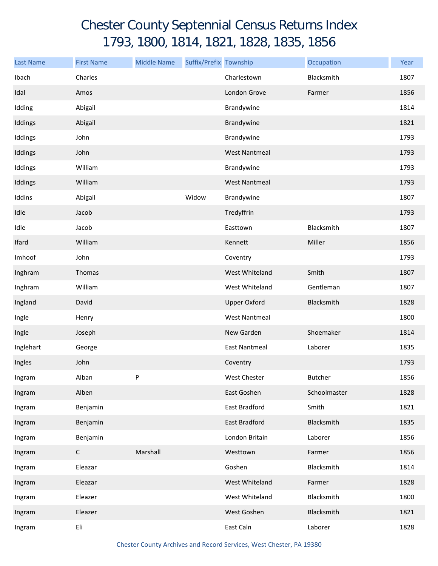## Chester County Septennial Census Returns Index 1793, 1800, 1814, 1821, 1828, 1835, 1856

| <b>Last Name</b> | <b>First Name</b> | <b>Middle Name</b> | Suffix/Prefix Township |                      | Occupation     | Year |
|------------------|-------------------|--------------------|------------------------|----------------------|----------------|------|
| Ibach            | Charles           |                    |                        | Charlestown          | Blacksmith     | 1807 |
| Idal             | Amos              |                    |                        | London Grove         | Farmer         | 1856 |
| Idding           | Abigail           |                    |                        | Brandywine           |                | 1814 |
| Iddings          | Abigail           |                    |                        | Brandywine           |                | 1821 |
| Iddings          | John              |                    |                        | Brandywine           |                | 1793 |
| Iddings          | John              |                    |                        | <b>West Nantmeal</b> |                | 1793 |
| Iddings          | William           |                    |                        | Brandywine           |                | 1793 |
| Iddings          | William           |                    |                        | <b>West Nantmeal</b> |                | 1793 |
| Iddins           | Abigail           |                    | Widow                  | Brandywine           |                | 1807 |
| Idle             | Jacob             |                    |                        | Tredyffrin           |                | 1793 |
| Idle             | Jacob             |                    |                        | Easttown             | Blacksmith     | 1807 |
| Ifard            | William           |                    |                        | Kennett              | Miller         | 1856 |
| Imhoof           | John              |                    |                        | Coventry             |                | 1793 |
| Inghram          | Thomas            |                    |                        | West Whiteland       | Smith          | 1807 |
| Inghram          | William           |                    |                        | West Whiteland       | Gentleman      | 1807 |
| Ingland          | David             |                    |                        | <b>Upper Oxford</b>  | Blacksmith     | 1828 |
| Ingle            | Henry             |                    |                        | <b>West Nantmeal</b> |                | 1800 |
| Ingle            | Joseph            |                    |                        | New Garden           | Shoemaker      | 1814 |
| Inglehart        | George            |                    |                        | <b>East Nantmeal</b> | Laborer        | 1835 |
| Ingles           | John              |                    |                        | Coventry             |                | 1793 |
| Ingram           | Alban             | P                  |                        | West Chester         | <b>Butcher</b> | 1856 |
| Ingram           | Alben             |                    |                        | East Goshen          | Schoolmaster   | 1828 |
| Ingram           | Benjamin          |                    |                        | East Bradford        | Smith          | 1821 |
| Ingram           | Benjamin          |                    |                        | East Bradford        | Blacksmith     | 1835 |
| Ingram           | Benjamin          |                    |                        | London Britain       | Laborer        | 1856 |
| Ingram           | $\mathsf C$       | Marshall           |                        | Westtown             | Farmer         | 1856 |
| Ingram           | Eleazar           |                    |                        | Goshen               | Blacksmith     | 1814 |
| Ingram           | Eleazar           |                    |                        | West Whiteland       | Farmer         | 1828 |
| Ingram           | Eleazer           |                    |                        | West Whiteland       | Blacksmith     | 1800 |
| Ingram           | Eleazer           |                    |                        | West Goshen          | Blacksmith     | 1821 |
| Ingram           | Eli               |                    |                        | East Caln            | Laborer        | 1828 |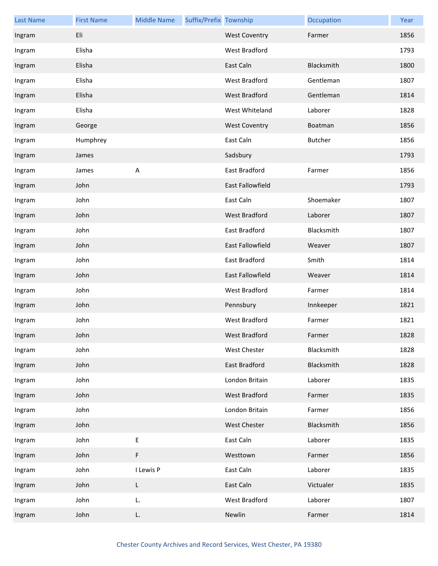| <b>Last Name</b> | <b>First Name</b> | <b>Middle Name</b>        | Suffix/Prefix Township |                         | Occupation | Year |
|------------------|-------------------|---------------------------|------------------------|-------------------------|------------|------|
| Ingram           | Eli               |                           |                        | <b>West Coventry</b>    | Farmer     | 1856 |
| Ingram           | Elisha            |                           |                        | West Bradford           |            | 1793 |
| Ingram           | Elisha            |                           |                        | East Caln               | Blacksmith | 1800 |
| Ingram           | Elisha            |                           |                        | West Bradford           | Gentleman  | 1807 |
| Ingram           | Elisha            |                           |                        | West Bradford           | Gentleman  | 1814 |
| Ingram           | Elisha            |                           |                        | West Whiteland          | Laborer    | 1828 |
| Ingram           | George            |                           |                        | <b>West Coventry</b>    | Boatman    | 1856 |
| Ingram           | Humphrey          |                           |                        | East Caln               | Butcher    | 1856 |
| Ingram           | James             |                           |                        | Sadsbury                |            | 1793 |
| Ingram           | James             | $\boldsymbol{\mathsf{A}}$ |                        | East Bradford           | Farmer     | 1856 |
| Ingram           | John              |                           |                        | <b>East Fallowfield</b> |            | 1793 |
| Ingram           | John              |                           |                        | East Caln               | Shoemaker  | 1807 |
| Ingram           | John              |                           |                        | <b>West Bradford</b>    | Laborer    | 1807 |
| Ingram           | John              |                           |                        | East Bradford           | Blacksmith | 1807 |
| Ingram           | John              |                           |                        | <b>East Fallowfield</b> | Weaver     | 1807 |
| Ingram           | John              |                           |                        | East Bradford           | Smith      | 1814 |
| Ingram           | John              |                           |                        | East Fallowfield        | Weaver     | 1814 |
| Ingram           | John              |                           |                        | West Bradford           | Farmer     | 1814 |
| Ingram           | John              |                           |                        | Pennsbury               | Innkeeper  | 1821 |
| Ingram           | John              |                           |                        | <b>West Bradford</b>    | Farmer     | 1821 |
| Ingram           | John              |                           |                        | West Bradford           | Farmer     | 1828 |
| Ingram           | John              |                           |                        | <b>West Chester</b>     | Blacksmith | 1828 |
| Ingram           | John              |                           |                        | East Bradford           | Blacksmith | 1828 |
| Ingram           | John              |                           |                        | London Britain          | Laborer    | 1835 |
| Ingram           | John              |                           |                        | West Bradford           | Farmer     | 1835 |
| Ingram           | John              |                           |                        | London Britain          | Farmer     | 1856 |
| Ingram           | John              |                           |                        | West Chester            | Blacksmith | 1856 |
| Ingram           | John              | E                         |                        | East Caln               | Laborer    | 1835 |
| Ingram           | John              | F                         |                        | Westtown                | Farmer     | 1856 |
| Ingram           | John              | I Lewis P                 |                        | East Caln               | Laborer    | 1835 |
| Ingram           | John              | L                         |                        | East Caln               | Victualer  | 1835 |
| Ingram           | John              | L.                        |                        | West Bradford           | Laborer    | 1807 |
| Ingram           | John              | L.                        |                        | Newlin                  | Farmer     | 1814 |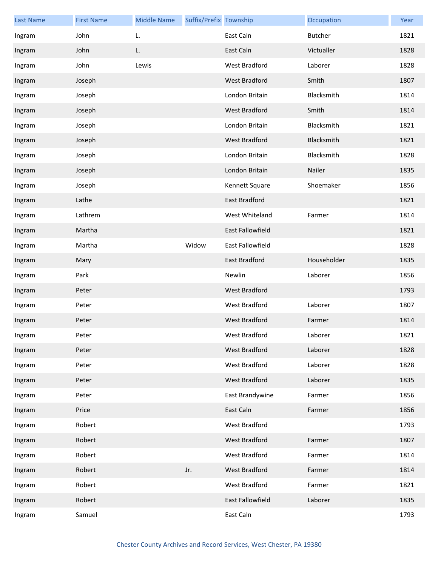| <b>Last Name</b> | <b>First Name</b> | <b>Middle Name</b> | Suffix/Prefix Township |                         | Occupation  | Year |
|------------------|-------------------|--------------------|------------------------|-------------------------|-------------|------|
| Ingram           | John              | L.                 |                        | East Caln               | Butcher     | 1821 |
| Ingram           | John              | L.                 |                        | East Caln               | Victualler  | 1828 |
| Ingram           | John              | Lewis              |                        | <b>West Bradford</b>    | Laborer     | 1828 |
| Ingram           | Joseph            |                    |                        | West Bradford           | Smith       | 1807 |
| Ingram           | Joseph            |                    |                        | London Britain          | Blacksmith  | 1814 |
| Ingram           | Joseph            |                    |                        | West Bradford           | Smith       | 1814 |
| Ingram           | Joseph            |                    |                        | London Britain          | Blacksmith  | 1821 |
| Ingram           | Joseph            |                    |                        | West Bradford           | Blacksmith  | 1821 |
| Ingram           | Joseph            |                    |                        | London Britain          | Blacksmith  | 1828 |
| Ingram           | Joseph            |                    |                        | London Britain          | Nailer      | 1835 |
| Ingram           | Joseph            |                    |                        | Kennett Square          | Shoemaker   | 1856 |
| Ingram           | Lathe             |                    |                        | East Bradford           |             | 1821 |
| Ingram           | Lathrem           |                    |                        | West Whiteland          | Farmer      | 1814 |
| Ingram           | Martha            |                    |                        | <b>East Fallowfield</b> |             | 1821 |
| Ingram           | Martha            |                    | Widow                  | East Fallowfield        |             | 1828 |
| Ingram           | Mary              |                    |                        | East Bradford           | Householder | 1835 |
| Ingram           | Park              |                    |                        | Newlin                  | Laborer     | 1856 |
| Ingram           | Peter             |                    |                        | West Bradford           |             | 1793 |
| Ingram           | Peter             |                    |                        | West Bradford           | Laborer     | 1807 |
| Ingram           | Peter             |                    |                        | West Bradford           | Farmer      | 1814 |
| Ingram           | Peter             |                    |                        | West Bradford           | Laborer     | 1821 |
| Ingram           | Peter             |                    |                        | West Bradford           | Laborer     | 1828 |
| Ingram           | Peter             |                    |                        | West Bradford           | Laborer     | 1828 |
| Ingram           | Peter             |                    |                        | West Bradford           | Laborer     | 1835 |
| Ingram           | Peter             |                    |                        | East Brandywine         | Farmer      | 1856 |
| Ingram           | Price             |                    |                        | East Caln               | Farmer      | 1856 |
| Ingram           | Robert            |                    |                        | West Bradford           |             | 1793 |
| Ingram           | Robert            |                    |                        | West Bradford           | Farmer      | 1807 |
| Ingram           | Robert            |                    |                        | West Bradford           | Farmer      | 1814 |
| Ingram           | Robert            |                    | Jr.                    | West Bradford           | Farmer      | 1814 |
| Ingram           | Robert            |                    |                        | West Bradford           | Farmer      | 1821 |
| Ingram           | Robert            |                    |                        | East Fallowfield        | Laborer     | 1835 |
| Ingram           | Samuel            |                    |                        | East Caln               |             | 1793 |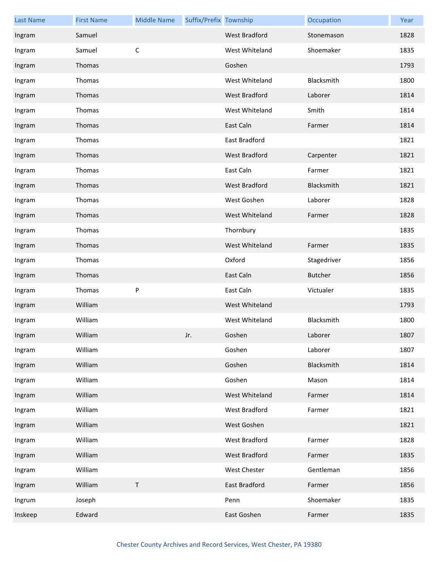| <b>Last Name</b> | <b>First Name</b> | <b>Middle Name</b> | Suffix/Prefix Township |                      | Occupation     | Year |
|------------------|-------------------|--------------------|------------------------|----------------------|----------------|------|
| Ingram           | Samuel            |                    |                        | <b>West Bradford</b> | Stonemason     | 1828 |
| Ingram           | Samuel            | $\mathsf C$        |                        | West Whiteland       | Shoemaker      | 1835 |
| Ingram           | Thomas            |                    |                        | Goshen               |                | 1793 |
| Ingram           | Thomas            |                    |                        | West Whiteland       | Blacksmith     | 1800 |
| Ingram           | Thomas            |                    |                        | West Bradford        | Laborer        | 1814 |
| Ingram           | Thomas            |                    |                        | West Whiteland       | Smith          | 1814 |
| Ingram           | Thomas            |                    |                        | East Caln            | Farmer         | 1814 |
| Ingram           | Thomas            |                    |                        | East Bradford        |                | 1821 |
| Ingram           | Thomas            |                    |                        | West Bradford        | Carpenter      | 1821 |
| Ingram           | Thomas            |                    |                        | East Caln            | Farmer         | 1821 |
| Ingram           | Thomas            |                    |                        | West Bradford        | Blacksmith     | 1821 |
| Ingram           | Thomas            |                    |                        | West Goshen          | Laborer        | 1828 |
| Ingram           | Thomas            |                    |                        | West Whiteland       | Farmer         | 1828 |
| Ingram           | Thomas            |                    |                        | Thornbury            |                | 1835 |
| Ingram           | Thomas            |                    |                        | West Whiteland       | Farmer         | 1835 |
| Ingram           | Thomas            |                    |                        | Oxford               | Stagedriver    | 1856 |
| Ingram           | Thomas            |                    |                        | East Caln            | <b>Butcher</b> | 1856 |
| Ingram           | Thomas            | ${\sf P}$          |                        | East Caln            | Victualer      | 1835 |
| Ingram           | William           |                    |                        | West Whiteland       |                | 1793 |
| Ingram           | William           |                    |                        | West Whiteland       | Blacksmith     | 1800 |
| Ingram           | William           |                    | Jr.                    | Goshen               | Laborer        | 1807 |
| Ingram           | William           |                    |                        | Goshen               | Laborer        | 1807 |
| Ingram           | William           |                    |                        | Goshen               | Blacksmith     | 1814 |
| Ingram           | William           |                    |                        | Goshen               | Mason          | 1814 |
| Ingram           | William           |                    |                        | West Whiteland       | Farmer         | 1814 |
| Ingram           | William           |                    |                        | West Bradford        | Farmer         | 1821 |
| Ingram           | William           |                    |                        | West Goshen          |                | 1821 |
| Ingram           | William           |                    |                        | West Bradford        | Farmer         | 1828 |
| Ingram           | William           |                    |                        | West Bradford        | Farmer         | 1835 |
| Ingram           | William           |                    |                        | West Chester         | Gentleman      | 1856 |
| Ingram           | William           | $\sf T$            |                        | East Bradford        | Farmer         | 1856 |
| Ingrum           | Joseph            |                    |                        | Penn                 | Shoemaker      | 1835 |
| Inskeep          | Edward            |                    |                        | East Goshen          | Farmer         | 1835 |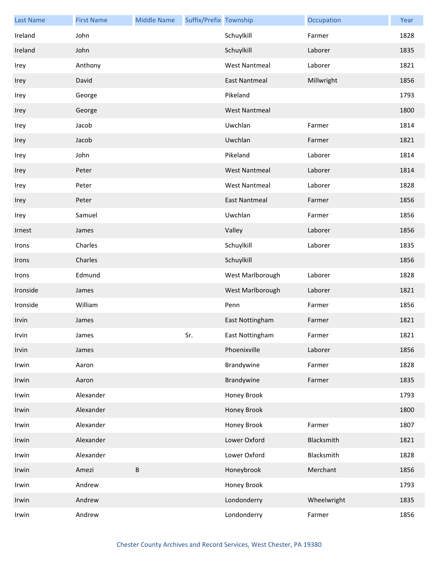| <b>Last Name</b> | <b>First Name</b> | <b>Middle Name</b> | Suffix/Prefix Township |                      | Occupation  | Year |
|------------------|-------------------|--------------------|------------------------|----------------------|-------------|------|
| Ireland          | John              |                    |                        | Schuylkill           | Farmer      | 1828 |
| Ireland          | John              |                    |                        | Schuylkill           | Laborer     | 1835 |
| Irey             | Anthony           |                    |                        | <b>West Nantmeal</b> | Laborer     | 1821 |
| Irey             | David             |                    |                        | <b>East Nantmeal</b> | Millwright  | 1856 |
| Irey             | George            |                    |                        | Pikeland             |             | 1793 |
| Irey             | George            |                    |                        | <b>West Nantmeal</b> |             | 1800 |
| Irey             | Jacob             |                    |                        | Uwchlan              | Farmer      | 1814 |
| Irey             | Jacob             |                    |                        | Uwchlan              | Farmer      | 1821 |
| Irey             | John              |                    |                        | Pikeland             | Laborer     | 1814 |
| Irey             | Peter             |                    |                        | <b>West Nantmeal</b> | Laborer     | 1814 |
| Irey             | Peter             |                    |                        | <b>West Nantmeal</b> | Laborer     | 1828 |
| Irey             | Peter             |                    |                        | <b>East Nantmeal</b> | Farmer      | 1856 |
| Irey             | Samuel            |                    |                        | Uwchlan              | Farmer      | 1856 |
| Irnest           | James             |                    |                        | Valley               | Laborer     | 1856 |
| Irons            | Charles           |                    |                        | Schuylkill           | Laborer     | 1835 |
| Irons            | Charles           |                    |                        | Schuylkill           |             | 1856 |
| Irons            | Edmund            |                    |                        | West Marlborough     | Laborer     | 1828 |
| Ironside         | James             |                    |                        | West Marlborough     | Laborer     | 1821 |
| Ironside         | William           |                    |                        | Penn                 | Farmer      | 1856 |
| Irvin            | James             |                    |                        | East Nottingham      | Farmer      | 1821 |
| Irvin            | James             |                    | Sr.                    | East Nottingham      | Farmer      | 1821 |
| Irvin            | James             |                    |                        | Phoenixville         | Laborer     | 1856 |
| Irwin            | Aaron             |                    |                        | Brandywine           | Farmer      | 1828 |
| Irwin            | Aaron             |                    |                        | Brandywine           | Farmer      | 1835 |
| Irwin            | Alexander         |                    |                        | Honey Brook          |             | 1793 |
| Irwin            | Alexander         |                    |                        | Honey Brook          |             | 1800 |
| Irwin            | Alexander         |                    |                        | Honey Brook          | Farmer      | 1807 |
| Irwin            | Alexander         |                    |                        | Lower Oxford         | Blacksmith  | 1821 |
| Irwin            | Alexander         |                    |                        | Lower Oxford         | Blacksmith  | 1828 |
| Irwin            | Amezi             | $\sf B$            |                        | Honeybrook           | Merchant    | 1856 |
| Irwin            | Andrew            |                    |                        | Honey Brook          |             | 1793 |
| Irwin            | Andrew            |                    |                        | Londonderry          | Wheelwright | 1835 |
| Irwin            | Andrew            |                    |                        | Londonderry          | Farmer      | 1856 |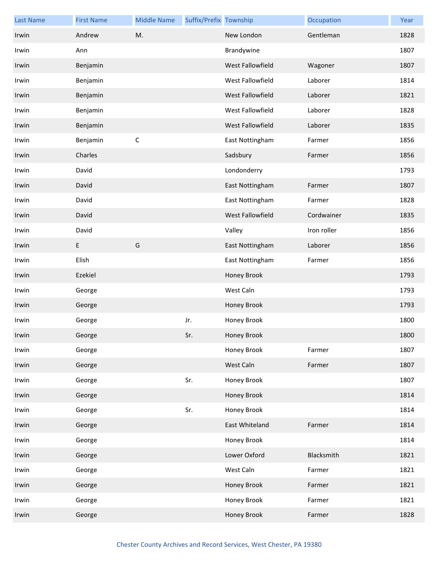| <b>Last Name</b> | <b>First Name</b> | <b>Middle Name</b> | Suffix/Prefix Township |                  | Occupation  | Year |
|------------------|-------------------|--------------------|------------------------|------------------|-------------|------|
| Irwin            | Andrew            | M.                 |                        | New London       | Gentleman   | 1828 |
| Irwin            | Ann               |                    |                        | Brandywine       |             | 1807 |
| Irwin            | Benjamin          |                    |                        | West Fallowfield | Wagoner     | 1807 |
| Irwin            | Benjamin          |                    |                        | West Fallowfield | Laborer     | 1814 |
| Irwin            | Benjamin          |                    |                        | West Fallowfield | Laborer     | 1821 |
| Irwin            | Benjamin          |                    |                        | West Fallowfield | Laborer     | 1828 |
| Irwin            | Benjamin          |                    |                        | West Fallowfield | Laborer     | 1835 |
| Irwin            | Benjamin          | $\mathsf C$        |                        | East Nottingham  | Farmer      | 1856 |
| Irwin            | Charles           |                    |                        | Sadsbury         | Farmer      | 1856 |
| Irwin            | David             |                    |                        | Londonderry      |             | 1793 |
| Irwin            | David             |                    |                        | East Nottingham  | Farmer      | 1807 |
| Irwin            | David             |                    |                        | East Nottingham  | Farmer      | 1828 |
| Irwin            | David             |                    |                        | West Fallowfield | Cordwainer  | 1835 |
| Irwin            | David             |                    |                        | Valley           | Iron roller | 1856 |
| Irwin            | E                 | G                  |                        | East Nottingham  | Laborer     | 1856 |
| Irwin            | Elish             |                    |                        | East Nottingham  | Farmer      | 1856 |
| Irwin            | Ezekiel           |                    |                        | Honey Brook      |             | 1793 |
| Irwin            | George            |                    |                        | West Caln        |             | 1793 |
| Irwin            | George            |                    |                        | Honey Brook      |             | 1793 |
| Irwin            | George            |                    | Jr.                    | Honey Brook      |             | 1800 |
| Irwin            | George            |                    | Sr.                    | Honey Brook      |             | 1800 |
| Irwin            | George            |                    |                        | Honey Brook      | Farmer      | 1807 |
| Irwin            | George            |                    |                        | West Caln        | Farmer      | 1807 |
| Irwin            | George            |                    | Sr.                    | Honey Brook      |             | 1807 |
| Irwin            | George            |                    |                        | Honey Brook      |             | 1814 |
| Irwin            | George            |                    | Sr.                    | Honey Brook      |             | 1814 |
| Irwin            | George            |                    |                        | East Whiteland   | Farmer      | 1814 |
| Irwin            | George            |                    |                        | Honey Brook      |             | 1814 |
| Irwin            | George            |                    |                        | Lower Oxford     | Blacksmith  | 1821 |
| Irwin            | George            |                    |                        | West Caln        | Farmer      | 1821 |
| Irwin            | George            |                    |                        | Honey Brook      | Farmer      | 1821 |
| Irwin            | George            |                    |                        | Honey Brook      | Farmer      | 1821 |
| Irwin            | George            |                    |                        | Honey Brook      | Farmer      | 1828 |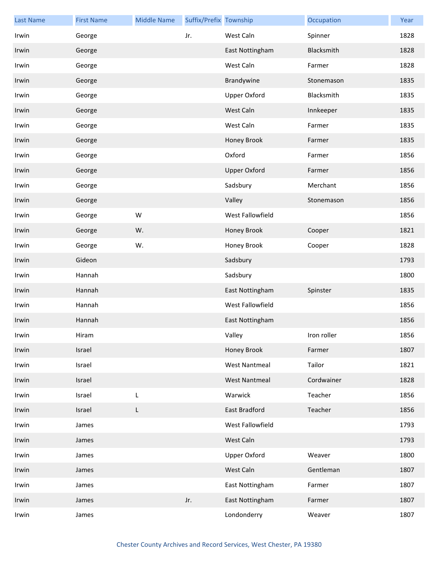| <b>Last Name</b> | <b>First Name</b> | <b>Middle Name</b> | Suffix/Prefix Township |                      | Occupation  | Year |
|------------------|-------------------|--------------------|------------------------|----------------------|-------------|------|
| Irwin            | George            |                    | Jr.                    | West Caln            | Spinner     | 1828 |
| Irwin            | George            |                    |                        | East Nottingham      | Blacksmith  | 1828 |
| Irwin            | George            |                    |                        | West Caln            | Farmer      | 1828 |
| Irwin            | George            |                    |                        | Brandywine           | Stonemason  | 1835 |
| Irwin            | George            |                    |                        | <b>Upper Oxford</b>  | Blacksmith  | 1835 |
| Irwin            | George            |                    |                        | West Caln            | Innkeeper   | 1835 |
| Irwin            | George            |                    |                        | West Caln            | Farmer      | 1835 |
| Irwin            | George            |                    |                        | Honey Brook          | Farmer      | 1835 |
| Irwin            | George            |                    |                        | Oxford               | Farmer      | 1856 |
| Irwin            | George            |                    |                        | <b>Upper Oxford</b>  | Farmer      | 1856 |
| Irwin            | George            |                    |                        | Sadsbury             | Merchant    | 1856 |
| Irwin            | George            |                    |                        | Valley               | Stonemason  | 1856 |
| Irwin            | George            | W                  |                        | West Fallowfield     |             | 1856 |
| Irwin            | George            | W.                 |                        | Honey Brook          | Cooper      | 1821 |
| Irwin            | George            | W.                 |                        | Honey Brook          | Cooper      | 1828 |
| Irwin            | Gideon            |                    |                        | Sadsbury             |             | 1793 |
| Irwin            | Hannah            |                    |                        | Sadsbury             |             | 1800 |
| Irwin            | Hannah            |                    |                        | East Nottingham      | Spinster    | 1835 |
| Irwin            | Hannah            |                    |                        | West Fallowfield     |             | 1856 |
| Irwin            | Hannah            |                    |                        | East Nottingham      |             | 1856 |
| Irwin            | Hiram             |                    |                        | Valley               | Iron roller | 1856 |
| Irwin            | Israel            |                    |                        | Honey Brook          | Farmer      | 1807 |
| Irwin            | Israel            |                    |                        | <b>West Nantmeal</b> | Tailor      | 1821 |
| Irwin            | Israel            |                    |                        | <b>West Nantmeal</b> | Cordwainer  | 1828 |
| Irwin            | Israel            | L                  |                        | Warwick              | Teacher     | 1856 |
| Irwin            | Israel            | L                  |                        | East Bradford        | Teacher     | 1856 |
| Irwin            | James             |                    |                        | West Fallowfield     |             | 1793 |
| Irwin            | James             |                    |                        | West Caln            |             | 1793 |
| Irwin            | James             |                    |                        | Upper Oxford         | Weaver      | 1800 |
| Irwin            | James             |                    |                        | West Caln            | Gentleman   | 1807 |
| Irwin            | James             |                    |                        | East Nottingham      | Farmer      | 1807 |
| Irwin            | James             |                    | Jr.                    | East Nottingham      | Farmer      | 1807 |
| Irwin            | James             |                    |                        | Londonderry          | Weaver      | 1807 |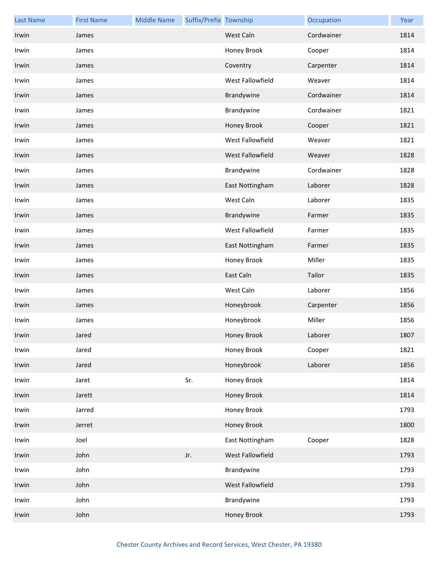| <b>Last Name</b> | <b>First Name</b> | <b>Middle Name</b> | Suffix/Prefix Township |                  | Occupation | Year |
|------------------|-------------------|--------------------|------------------------|------------------|------------|------|
| Irwin            | James             |                    |                        | West Caln        | Cordwainer | 1814 |
| Irwin            | James             |                    |                        | Honey Brook      | Cooper     | 1814 |
| Irwin            | James             |                    |                        | Coventry         | Carpenter  | 1814 |
| Irwin            | James             |                    |                        | West Fallowfield | Weaver     | 1814 |
| Irwin            | James             |                    |                        | Brandywine       | Cordwainer | 1814 |
| Irwin            | James             |                    |                        | Brandywine       | Cordwainer | 1821 |
| Irwin            | James             |                    |                        | Honey Brook      | Cooper     | 1821 |
| Irwin            | James             |                    |                        | West Fallowfield | Weaver     | 1821 |
| Irwin            | James             |                    |                        | West Fallowfield | Weaver     | 1828 |
| Irwin            | James             |                    |                        | Brandywine       | Cordwainer | 1828 |
| Irwin            | James             |                    |                        | East Nottingham  | Laborer    | 1828 |
| Irwin            | James             |                    |                        | West Caln        | Laborer    | 1835 |
| Irwin            | James             |                    |                        | Brandywine       | Farmer     | 1835 |
| Irwin            | James             |                    |                        | West Fallowfield | Farmer     | 1835 |
| Irwin            | James             |                    |                        | East Nottingham  | Farmer     | 1835 |
| Irwin            | James             |                    |                        | Honey Brook      | Miller     | 1835 |
| Irwin            | James             |                    |                        | East Caln        | Tailor     | 1835 |
| Irwin            | James             |                    |                        | West Caln        | Laborer    | 1856 |
| Irwin            | James             |                    |                        | Honeybrook       | Carpenter  | 1856 |
| Irwin            | James             |                    |                        | Honeybrook       | Miller     | 1856 |
| Irwin            | Jared             |                    |                        | Honey Brook      | Laborer    | 1807 |
| Irwin            | Jared             |                    |                        | Honey Brook      | Cooper     | 1821 |
| Irwin            | Jared             |                    |                        | Honeybrook       | Laborer    | 1856 |
| Irwin            | Jaret             |                    | Sr.                    | Honey Brook      |            | 1814 |
| Irwin            | Jarett            |                    |                        | Honey Brook      |            | 1814 |
| Irwin            | Jarred            |                    |                        | Honey Brook      |            | 1793 |
| Irwin            | Jerret            |                    |                        | Honey Brook      |            | 1800 |
| Irwin            | Joel              |                    |                        | East Nottingham  | Cooper     | 1828 |
| Irwin            | John              |                    | Jr.                    | West Fallowfield |            | 1793 |
| Irwin            | John              |                    |                        | Brandywine       |            | 1793 |
| Irwin            | John              |                    |                        | West Fallowfield |            | 1793 |
| Irwin            | John              |                    |                        | Brandywine       |            | 1793 |
| Irwin            | John              |                    |                        | Honey Brook      |            | 1793 |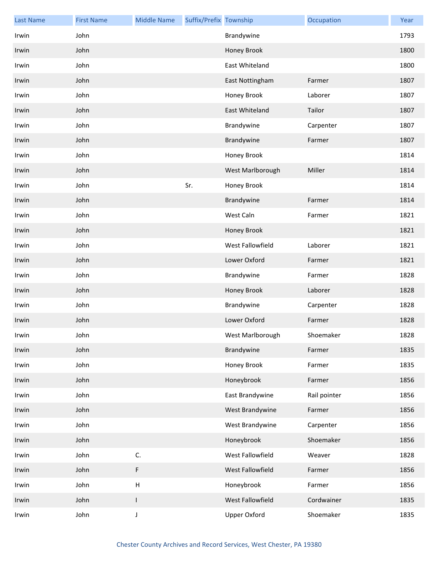| <b>Last Name</b> | <b>First Name</b> | <b>Middle Name</b>        | Suffix/Prefix Township |                       | Occupation   | Year |
|------------------|-------------------|---------------------------|------------------------|-----------------------|--------------|------|
| Irwin            | John              |                           |                        | Brandywine            |              | 1793 |
| Irwin            | John              |                           |                        | Honey Brook           |              | 1800 |
| Irwin            | John              |                           |                        | East Whiteland        |              | 1800 |
| Irwin            | John              |                           |                        | East Nottingham       | Farmer       | 1807 |
| Irwin            | John              |                           |                        | Honey Brook           | Laborer      | 1807 |
| Irwin            | John              |                           |                        | <b>East Whiteland</b> | Tailor       | 1807 |
| Irwin            | John              |                           |                        | Brandywine            | Carpenter    | 1807 |
| Irwin            | John              |                           |                        | Brandywine            | Farmer       | 1807 |
| Irwin            | John              |                           |                        | Honey Brook           |              | 1814 |
| Irwin            | John              |                           |                        | West Marlborough      | Miller       | 1814 |
| Irwin            | John              |                           | Sr.                    | Honey Brook           |              | 1814 |
| Irwin            | John              |                           |                        | Brandywine            | Farmer       | 1814 |
| Irwin            | John              |                           |                        | West Caln             | Farmer       | 1821 |
| Irwin            | John              |                           |                        | Honey Brook           |              | 1821 |
| Irwin            | John              |                           |                        | West Fallowfield      | Laborer      | 1821 |
| Irwin            | John              |                           |                        | Lower Oxford          | Farmer       | 1821 |
| Irwin            | John              |                           |                        | Brandywine            | Farmer       | 1828 |
| Irwin            | John              |                           |                        | Honey Brook           | Laborer      | 1828 |
| Irwin            | John              |                           |                        | Brandywine            | Carpenter    | 1828 |
| Irwin            | John              |                           |                        | Lower Oxford          | Farmer       | 1828 |
| Irwin            | John              |                           |                        | West Marlborough      | Shoemaker    | 1828 |
| Irwin            | John              |                           |                        | Brandywine            | Farmer       | 1835 |
| Irwin            | John              |                           |                        | Honey Brook           | Farmer       | 1835 |
| Irwin            | John              |                           |                        | Honeybrook            | Farmer       | 1856 |
| Irwin            | John              |                           |                        | East Brandywine       | Rail pointer | 1856 |
| Irwin            | John              |                           |                        | West Brandywine       | Farmer       | 1856 |
| Irwin            | John              |                           |                        | West Brandywine       | Carpenter    | 1856 |
| Irwin            | John              |                           |                        | Honeybrook            | Shoemaker    | 1856 |
| Irwin            | John              | C.                        |                        | West Fallowfield      | Weaver       | 1828 |
| Irwin            | John              | $\mathsf F$               |                        | West Fallowfield      | Farmer       | 1856 |
| Irwin            | John              | $\boldsymbol{\mathsf{H}}$ |                        | Honeybrook            | Farmer       | 1856 |
| Irwin            | John              | $\mathsf I$               |                        | West Fallowfield      | Cordwainer   | 1835 |
| Irwin            | John              | J                         |                        | <b>Upper Oxford</b>   | Shoemaker    | 1835 |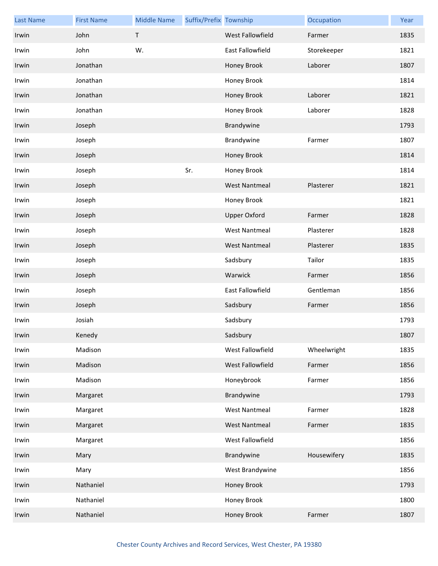| <b>Last Name</b> | <b>First Name</b> | <b>Middle Name</b> | Suffix/Prefix Township |                         | Occupation  | Year |
|------------------|-------------------|--------------------|------------------------|-------------------------|-------------|------|
| Irwin            | John              | $\mathsf T$        |                        | West Fallowfield        | Farmer      | 1835 |
| Irwin            | John              | W.                 |                        | <b>East Fallowfield</b> | Storekeeper | 1821 |
| Irwin            | Jonathan          |                    |                        | Honey Brook             | Laborer     | 1807 |
| Irwin            | Jonathan          |                    |                        | Honey Brook             |             | 1814 |
| Irwin            | Jonathan          |                    |                        | Honey Brook             | Laborer     | 1821 |
| Irwin            | Jonathan          |                    |                        | Honey Brook             | Laborer     | 1828 |
| Irwin            | Joseph            |                    |                        | Brandywine              |             | 1793 |
| Irwin            | Joseph            |                    |                        | Brandywine              | Farmer      | 1807 |
| Irwin            | Joseph            |                    |                        | Honey Brook             |             | 1814 |
| Irwin            | Joseph            |                    | Sr.                    | Honey Brook             |             | 1814 |
| Irwin            | Joseph            |                    |                        | <b>West Nantmeal</b>    | Plasterer   | 1821 |
| Irwin            | Joseph            |                    |                        | Honey Brook             |             | 1821 |
| Irwin            | Joseph            |                    |                        | <b>Upper Oxford</b>     | Farmer      | 1828 |
| Irwin            | Joseph            |                    |                        | <b>West Nantmeal</b>    | Plasterer   | 1828 |
| Irwin            | Joseph            |                    |                        | <b>West Nantmeal</b>    | Plasterer   | 1835 |
| Irwin            | Joseph            |                    |                        | Sadsbury                | Tailor      | 1835 |
| Irwin            | Joseph            |                    |                        | Warwick                 | Farmer      | 1856 |
| Irwin            | Joseph            |                    |                        | East Fallowfield        | Gentleman   | 1856 |
| Irwin            | Joseph            |                    |                        | Sadsbury                | Farmer      | 1856 |
| Irwin            | Josiah            |                    |                        | Sadsbury                |             | 1793 |
| Irwin            | Kenedy            |                    |                        | Sadsbury                |             | 1807 |
| Irwin            | Madison           |                    |                        | West Fallowfield        | Wheelwright | 1835 |
| Irwin            | Madison           |                    |                        | West Fallowfield        | Farmer      | 1856 |
| Irwin            | Madison           |                    |                        | Honeybrook              | Farmer      | 1856 |
| Irwin            | Margaret          |                    |                        | Brandywine              |             | 1793 |
| Irwin            | Margaret          |                    |                        | <b>West Nantmeal</b>    | Farmer      | 1828 |
| Irwin            | Margaret          |                    |                        | <b>West Nantmeal</b>    | Farmer      | 1835 |
| Irwin            | Margaret          |                    |                        | West Fallowfield        |             | 1856 |
| Irwin            | Mary              |                    |                        | Brandywine              | Housewifery | 1835 |
| Irwin            | Mary              |                    |                        | West Brandywine         |             | 1856 |
| Irwin            | Nathaniel         |                    |                        | Honey Brook             |             | 1793 |
| Irwin            | Nathaniel         |                    |                        | Honey Brook             |             | 1800 |
| Irwin            | Nathaniel         |                    |                        | Honey Brook             | Farmer      | 1807 |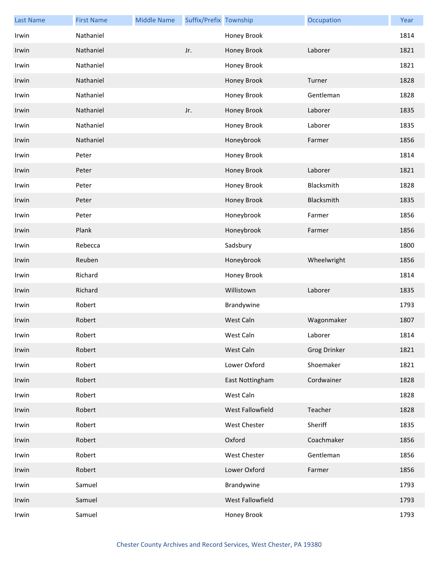| <b>Last Name</b> | <b>First Name</b> | <b>Middle Name</b> | Suffix/Prefix Township |                     | Occupation          | Year |
|------------------|-------------------|--------------------|------------------------|---------------------|---------------------|------|
| Irwin            | Nathaniel         |                    |                        | Honey Brook         |                     | 1814 |
| Irwin            | Nathaniel         |                    | Jr.                    | Honey Brook         | Laborer             | 1821 |
| Irwin            | Nathaniel         |                    |                        | Honey Brook         |                     | 1821 |
| Irwin            | Nathaniel         |                    |                        | Honey Brook         | Turner              | 1828 |
| Irwin            | Nathaniel         |                    |                        | Honey Brook         | Gentleman           | 1828 |
| Irwin            | Nathaniel         |                    | Jr.                    | Honey Brook         | Laborer             | 1835 |
| Irwin            | Nathaniel         |                    |                        | Honey Brook         | Laborer             | 1835 |
| Irwin            | Nathaniel         |                    |                        | Honeybrook          | Farmer              | 1856 |
| Irwin            | Peter             |                    |                        | Honey Brook         |                     | 1814 |
| Irwin            | Peter             |                    |                        | Honey Brook         | Laborer             | 1821 |
| Irwin            | Peter             |                    |                        | Honey Brook         | Blacksmith          | 1828 |
| Irwin            | Peter             |                    |                        | Honey Brook         | Blacksmith          | 1835 |
| Irwin            | Peter             |                    |                        | Honeybrook          | Farmer              | 1856 |
| Irwin            | Plank             |                    |                        | Honeybrook          | Farmer              | 1856 |
| Irwin            | Rebecca           |                    |                        | Sadsbury            |                     | 1800 |
| Irwin            | Reuben            |                    |                        | Honeybrook          | Wheelwright         | 1856 |
| Irwin            | Richard           |                    |                        | Honey Brook         |                     | 1814 |
| Irwin            | Richard           |                    |                        | Willistown          | Laborer             | 1835 |
| Irwin            | Robert            |                    |                        | Brandywine          |                     | 1793 |
| Irwin            | Robert            |                    |                        | West Caln           | Wagonmaker          | 1807 |
| Irwin            | Robert            |                    |                        | West Caln           | Laborer             | 1814 |
| Irwin            | Robert            |                    |                        | West Caln           | <b>Grog Drinker</b> | 1821 |
| Irwin            | Robert            |                    |                        | Lower Oxford        | Shoemaker           | 1821 |
| Irwin            | Robert            |                    |                        | East Nottingham     | Cordwainer          | 1828 |
| Irwin            | Robert            |                    |                        | West Caln           |                     | 1828 |
| Irwin            | Robert            |                    |                        | West Fallowfield    | Teacher             | 1828 |
| Irwin            | Robert            |                    |                        | <b>West Chester</b> | Sheriff             | 1835 |
| Irwin            | Robert            |                    |                        | Oxford              | Coachmaker          | 1856 |
| Irwin            | Robert            |                    |                        | <b>West Chester</b> | Gentleman           | 1856 |
| Irwin            | Robert            |                    |                        | Lower Oxford        | Farmer              | 1856 |
| Irwin            | Samuel            |                    |                        | Brandywine          |                     | 1793 |
| Irwin            | Samuel            |                    |                        | West Fallowfield    |                     | 1793 |
| Irwin            | Samuel            |                    |                        | Honey Brook         |                     | 1793 |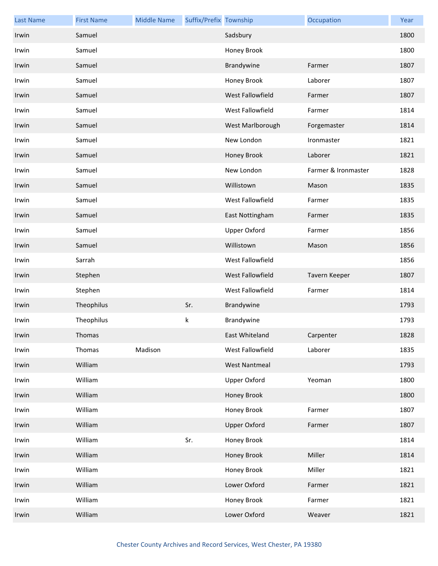| <b>Last Name</b> | <b>First Name</b> | <b>Middle Name</b> | Suffix/Prefix Township |                      | Occupation          | Year |
|------------------|-------------------|--------------------|------------------------|----------------------|---------------------|------|
| Irwin            | Samuel            |                    |                        | Sadsbury             |                     | 1800 |
| Irwin            | Samuel            |                    |                        | Honey Brook          |                     | 1800 |
| Irwin            | Samuel            |                    |                        | Brandywine           | Farmer              | 1807 |
| Irwin            | Samuel            |                    |                        | Honey Brook          | Laborer             | 1807 |
| Irwin            | Samuel            |                    |                        | West Fallowfield     | Farmer              | 1807 |
| Irwin            | Samuel            |                    |                        | West Fallowfield     | Farmer              | 1814 |
| Irwin            | Samuel            |                    |                        | West Marlborough     | Forgemaster         | 1814 |
| Irwin            | Samuel            |                    |                        | New London           | Ironmaster          | 1821 |
| Irwin            | Samuel            |                    |                        | Honey Brook          | Laborer             | 1821 |
| Irwin            | Samuel            |                    |                        | New London           | Farmer & Ironmaster | 1828 |
| Irwin            | Samuel            |                    |                        | Willistown           | Mason               | 1835 |
| Irwin            | Samuel            |                    |                        | West Fallowfield     | Farmer              | 1835 |
| Irwin            | Samuel            |                    |                        | East Nottingham      | Farmer              | 1835 |
| Irwin            | Samuel            |                    |                        | <b>Upper Oxford</b>  | Farmer              | 1856 |
| Irwin            | Samuel            |                    |                        | Willistown           | Mason               | 1856 |
| Irwin            | Sarrah            |                    |                        | West Fallowfield     |                     | 1856 |
| Irwin            | Stephen           |                    |                        | West Fallowfield     | Tavern Keeper       | 1807 |
| Irwin            | Stephen           |                    |                        | West Fallowfield     | Farmer              | 1814 |
| Irwin            | Theophilus        |                    | Sr.                    | Brandywine           |                     | 1793 |
| Irwin            | Theophilus        |                    | k                      | Brandywine           |                     | 1793 |
| Irwin            | Thomas            |                    |                        | East Whiteland       | Carpenter           | 1828 |
| Irwin            | Thomas            | Madison            |                        | West Fallowfield     | Laborer             | 1835 |
| Irwin            | William           |                    |                        | <b>West Nantmeal</b> |                     | 1793 |
| Irwin            | William           |                    |                        | <b>Upper Oxford</b>  | Yeoman              | 1800 |
| Irwin            | William           |                    |                        | Honey Brook          |                     | 1800 |
| Irwin            | William           |                    |                        | Honey Brook          | Farmer              | 1807 |
| Irwin            | William           |                    |                        | <b>Upper Oxford</b>  | Farmer              | 1807 |
| Irwin            | William           |                    | Sr.                    | Honey Brook          |                     | 1814 |
| Irwin            | William           |                    |                        | Honey Brook          | Miller              | 1814 |
| Irwin            | William           |                    |                        | Honey Brook          | Miller              | 1821 |
| Irwin            | William           |                    |                        | Lower Oxford         | Farmer              | 1821 |
| Irwin            | William           |                    |                        | Honey Brook          | Farmer              | 1821 |
| Irwin            | William           |                    |                        | Lower Oxford         | Weaver              | 1821 |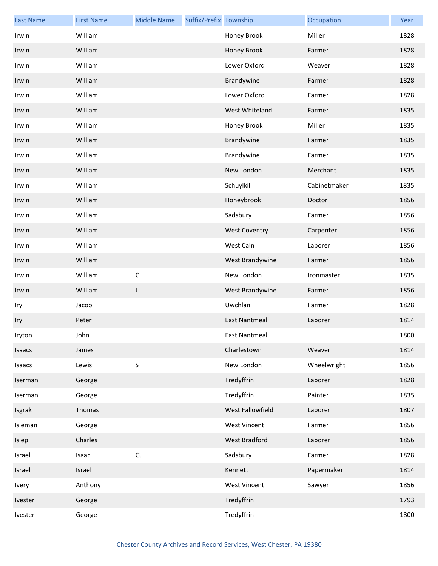| <b>Last Name</b> | <b>First Name</b> | <b>Middle Name</b> | Suffix/Prefix Township |                      | Occupation   | Year |
|------------------|-------------------|--------------------|------------------------|----------------------|--------------|------|
| Irwin            | William           |                    |                        | Honey Brook          | Miller       | 1828 |
| Irwin            | William           |                    |                        | Honey Brook          | Farmer       | 1828 |
| Irwin            | William           |                    |                        | Lower Oxford         | Weaver       | 1828 |
| Irwin            | William           |                    |                        | Brandywine           | Farmer       | 1828 |
| Irwin            | William           |                    |                        | Lower Oxford         | Farmer       | 1828 |
| Irwin            | William           |                    |                        | West Whiteland       | Farmer       | 1835 |
| Irwin            | William           |                    |                        | Honey Brook          | Miller       | 1835 |
| Irwin            | William           |                    |                        | Brandywine           | Farmer       | 1835 |
| Irwin            | William           |                    |                        | Brandywine           | Farmer       | 1835 |
| Irwin            | William           |                    |                        | New London           | Merchant     | 1835 |
| Irwin            | William           |                    |                        | Schuylkill           | Cabinetmaker | 1835 |
| Irwin            | William           |                    |                        | Honeybrook           | Doctor       | 1856 |
| Irwin            | William           |                    |                        | Sadsbury             | Farmer       | 1856 |
| Irwin            | William           |                    |                        | <b>West Coventry</b> | Carpenter    | 1856 |
| Irwin            | William           |                    |                        | West Caln            | Laborer      | 1856 |
| Irwin            | William           |                    |                        | West Brandywine      | Farmer       | 1856 |
| Irwin            | William           | $\mathsf C$        |                        | New London           | Ironmaster   | 1835 |
| Irwin            | William           | J                  |                        | West Brandywine      | Farmer       | 1856 |
| Iry              | Jacob             |                    |                        | Uwchlan              | Farmer       | 1828 |
| Iry              | Peter             |                    |                        | <b>East Nantmeal</b> | Laborer      | 1814 |
| Iryton           | John              |                    |                        | East Nantmeal        |              | 1800 |
| Isaacs           | James             |                    |                        | Charlestown          | Weaver       | 1814 |
| Isaacs           | Lewis             | S                  |                        | New London           | Wheelwright  | 1856 |
| Iserman          | George            |                    |                        | Tredyffrin           | Laborer      | 1828 |
| Iserman          | George            |                    |                        | Tredyffrin           | Painter      | 1835 |
| Isgrak           | Thomas            |                    |                        | West Fallowfield     | Laborer      | 1807 |
| Isleman          | George            |                    |                        | <b>West Vincent</b>  | Farmer       | 1856 |
| Islep            | Charles           |                    |                        | West Bradford        | Laborer      | 1856 |
| Israel           | Isaac             | G.                 |                        | Sadsbury             | Farmer       | 1828 |
| Israel           | Israel            |                    |                        | Kennett              | Papermaker   | 1814 |
| Ivery            | Anthony           |                    |                        | <b>West Vincent</b>  | Sawyer       | 1856 |
| Ivester          | George            |                    |                        | Tredyffrin           |              | 1793 |
| Ivester          | George            |                    |                        | Tredyffrin           |              | 1800 |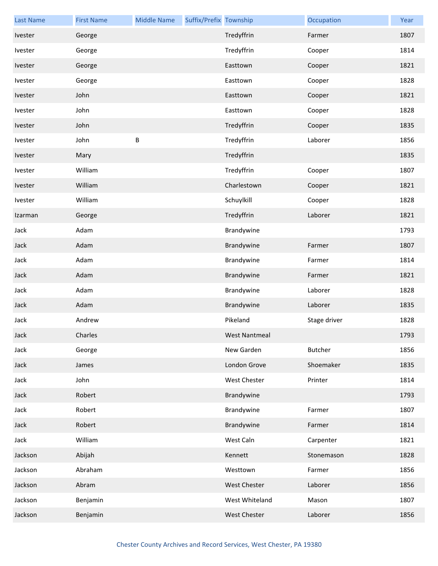| <b>Last Name</b> | <b>First Name</b> | <b>Middle Name</b> | Suffix/Prefix Township |                      | Occupation     | Year |
|------------------|-------------------|--------------------|------------------------|----------------------|----------------|------|
| Ivester          | George            |                    |                        | Tredyffrin           | Farmer         | 1807 |
| Ivester          | George            |                    |                        | Tredyffrin           | Cooper         | 1814 |
| Ivester          | George            |                    |                        | Easttown             | Cooper         | 1821 |
| Ivester          | George            |                    |                        | Easttown             | Cooper         | 1828 |
| Ivester          | John              |                    |                        | Easttown             | Cooper         | 1821 |
| Ivester          | John              |                    |                        | Easttown             | Cooper         | 1828 |
| Ivester          | John              |                    |                        | Tredyffrin           | Cooper         | 1835 |
| Ivester          | John              | $\sf B$            |                        | Tredyffrin           | Laborer        | 1856 |
| Ivester          | Mary              |                    |                        | Tredyffrin           |                | 1835 |
| Ivester          | William           |                    |                        | Tredyffrin           | Cooper         | 1807 |
| Ivester          | William           |                    |                        | Charlestown          | Cooper         | 1821 |
| Ivester          | William           |                    |                        | Schuylkill           | Cooper         | 1828 |
| Izarman          | George            |                    |                        | Tredyffrin           | Laborer        | 1821 |
| Jack             | Adam              |                    |                        | Brandywine           |                | 1793 |
| Jack             | Adam              |                    |                        | Brandywine           | Farmer         | 1807 |
| Jack             | Adam              |                    |                        | Brandywine           | Farmer         | 1814 |
| Jack             | Adam              |                    |                        | Brandywine           | Farmer         | 1821 |
| Jack             | Adam              |                    |                        | Brandywine           | Laborer        | 1828 |
| Jack             | Adam              |                    |                        | Brandywine           | Laborer        | 1835 |
| Jack             | Andrew            |                    |                        | Pikeland             | Stage driver   | 1828 |
| Jack             | Charles           |                    |                        | <b>West Nantmeal</b> |                | 1793 |
| Jack             | George            |                    |                        | New Garden           | <b>Butcher</b> | 1856 |
| Jack             | James             |                    |                        | London Grove         | Shoemaker      | 1835 |
| Jack             | John              |                    |                        | <b>West Chester</b>  | Printer        | 1814 |
| Jack             | Robert            |                    |                        | Brandywine           |                | 1793 |
| Jack             | Robert            |                    |                        | Brandywine           | Farmer         | 1807 |
| Jack             | Robert            |                    |                        | Brandywine           | Farmer         | 1814 |
| Jack             | William           |                    |                        | West Caln            | Carpenter      | 1821 |
| Jackson          | Abijah            |                    |                        | Kennett              | Stonemason     | 1828 |
| Jackson          | Abraham           |                    |                        | Westtown             | Farmer         | 1856 |
| Jackson          | Abram             |                    |                        | West Chester         | Laborer        | 1856 |
| Jackson          | Benjamin          |                    |                        | West Whiteland       | Mason          | 1807 |
| Jackson          | Benjamin          |                    |                        | West Chester         | Laborer        | 1856 |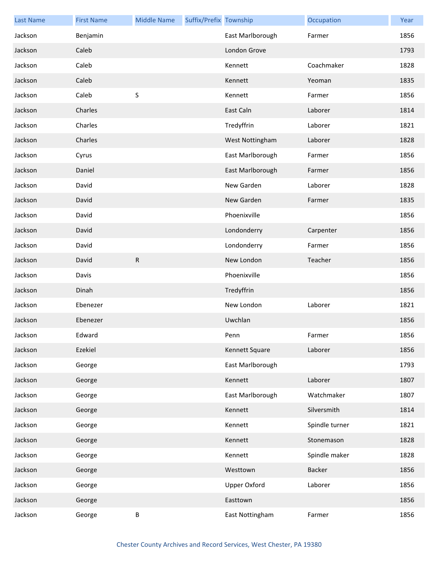| <b>Last Name</b> | <b>First Name</b> | <b>Middle Name</b> | Suffix/Prefix Township |                     | Occupation     | Year |
|------------------|-------------------|--------------------|------------------------|---------------------|----------------|------|
| Jackson          | Benjamin          |                    |                        | East Marlborough    | Farmer         | 1856 |
| Jackson          | Caleb             |                    |                        | London Grove        |                | 1793 |
| Jackson          | Caleb             |                    |                        | Kennett             | Coachmaker     | 1828 |
| Jackson          | Caleb             |                    |                        | Kennett             | Yeoman         | 1835 |
| Jackson          | Caleb             | S                  |                        | Kennett             | Farmer         | 1856 |
| Jackson          | Charles           |                    |                        | East Caln           | Laborer        | 1814 |
| Jackson          | Charles           |                    |                        | Tredyffrin          | Laborer        | 1821 |
| Jackson          | Charles           |                    |                        | West Nottingham     | Laborer        | 1828 |
| Jackson          | Cyrus             |                    |                        | East Marlborough    | Farmer         | 1856 |
| Jackson          | Daniel            |                    |                        | East Marlborough    | Farmer         | 1856 |
| Jackson          | David             |                    |                        | New Garden          | Laborer        | 1828 |
| Jackson          | David             |                    |                        | New Garden          | Farmer         | 1835 |
| Jackson          | David             |                    |                        | Phoenixville        |                | 1856 |
| Jackson          | David             |                    |                        | Londonderry         | Carpenter      | 1856 |
| Jackson          | David             |                    |                        | Londonderry         | Farmer         | 1856 |
| Jackson          | David             | ${\sf R}$          |                        | New London          | Teacher        | 1856 |
| Jackson          | Davis             |                    |                        | Phoenixville        |                | 1856 |
| Jackson          | Dinah             |                    |                        | Tredyffrin          |                | 1856 |
| Jackson          | Ebenezer          |                    |                        | New London          | Laborer        | 1821 |
| Jackson          | Ebenezer          |                    |                        | Uwchlan             |                | 1856 |
| Jackson          | Edward            |                    |                        | Penn                | Farmer         | 1856 |
| Jackson          | Ezekiel           |                    |                        | Kennett Square      | Laborer        | 1856 |
| Jackson          | George            |                    |                        | East Marlborough    |                | 1793 |
| Jackson          | George            |                    |                        | Kennett             | Laborer        | 1807 |
| Jackson          | George            |                    |                        | East Marlborough    | Watchmaker     | 1807 |
| Jackson          | George            |                    |                        | Kennett             | Silversmith    | 1814 |
| Jackson          | George            |                    |                        | Kennett             | Spindle turner | 1821 |
| Jackson          | George            |                    |                        | Kennett             | Stonemason     | 1828 |
| Jackson          | George            |                    |                        | Kennett             | Spindle maker  | 1828 |
| Jackson          | George            |                    |                        | Westtown            | Backer         | 1856 |
| Jackson          | George            |                    |                        | <b>Upper Oxford</b> | Laborer        | 1856 |
| Jackson          | George            |                    |                        | Easttown            |                | 1856 |
| Jackson          | George            | B                  |                        | East Nottingham     | Farmer         | 1856 |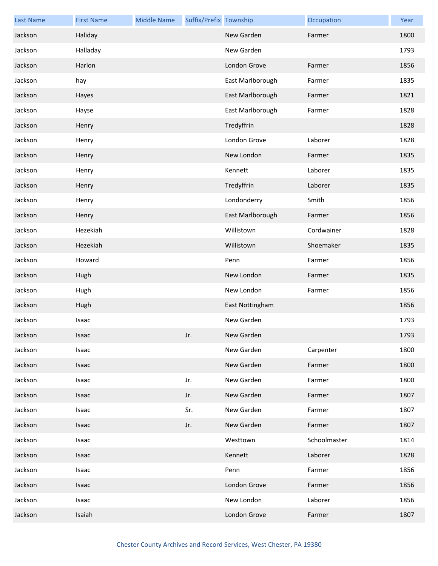| <b>Last Name</b> | <b>First Name</b> | <b>Middle Name</b> | Suffix/Prefix Township |                  | Occupation   | Year |
|------------------|-------------------|--------------------|------------------------|------------------|--------------|------|
| Jackson          | Haliday           |                    |                        | New Garden       | Farmer       | 1800 |
| Jackson          | Halladay          |                    |                        | New Garden       |              | 1793 |
| Jackson          | Harlon            |                    |                        | London Grove     | Farmer       | 1856 |
| Jackson          | hay               |                    |                        | East Marlborough | Farmer       | 1835 |
| Jackson          | Hayes             |                    |                        | East Marlborough | Farmer       | 1821 |
| Jackson          | Hayse             |                    |                        | East Marlborough | Farmer       | 1828 |
| Jackson          | Henry             |                    |                        | Tredyffrin       |              | 1828 |
| Jackson          | Henry             |                    |                        | London Grove     | Laborer      | 1828 |
| Jackson          | Henry             |                    |                        | New London       | Farmer       | 1835 |
| Jackson          | Henry             |                    |                        | Kennett          | Laborer      | 1835 |
| Jackson          | Henry             |                    |                        | Tredyffrin       | Laborer      | 1835 |
| Jackson          | Henry             |                    |                        | Londonderry      | Smith        | 1856 |
| Jackson          | Henry             |                    |                        | East Marlborough | Farmer       | 1856 |
| Jackson          | Hezekiah          |                    |                        | Willistown       | Cordwainer   | 1828 |
| Jackson          | Hezekiah          |                    |                        | Willistown       | Shoemaker    | 1835 |
| Jackson          | Howard            |                    |                        | Penn             | Farmer       | 1856 |
| Jackson          | Hugh              |                    |                        | New London       | Farmer       | 1835 |
| Jackson          | Hugh              |                    |                        | New London       | Farmer       | 1856 |
| Jackson          | Hugh              |                    |                        | East Nottingham  |              | 1856 |
| Jackson          | Isaac             |                    |                        | New Garden       |              | 1793 |
| Jackson          | Isaac             |                    | Jr.                    | New Garden       |              | 1793 |
| Jackson          | Isaac             |                    |                        | New Garden       | Carpenter    | 1800 |
| Jackson          | Isaac             |                    |                        | New Garden       | Farmer       | 1800 |
| Jackson          | Isaac             |                    | Jr.                    | New Garden       | Farmer       | 1800 |
| Jackson          | Isaac             |                    | Jr.                    | New Garden       | Farmer       | 1807 |
| Jackson          | Isaac             |                    | Sr.                    | New Garden       | Farmer       | 1807 |
| Jackson          | Isaac             |                    | Jr.                    | New Garden       | Farmer       | 1807 |
| Jackson          | Isaac             |                    |                        | Westtown         | Schoolmaster | 1814 |
| Jackson          | Isaac             |                    |                        | Kennett          | Laborer      | 1828 |
| Jackson          | Isaac             |                    |                        | Penn             | Farmer       | 1856 |
| Jackson          | Isaac             |                    |                        | London Grove     | Farmer       | 1856 |
| Jackson          | Isaac             |                    |                        | New London       | Laborer      | 1856 |
| Jackson          | Isaiah            |                    |                        | London Grove     | Farmer       | 1807 |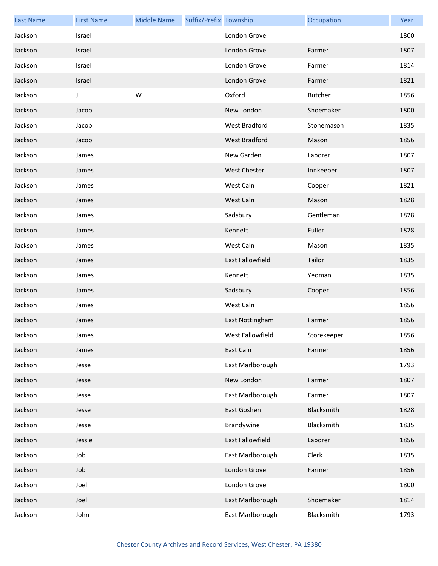| <b>Last Name</b> | <b>First Name</b> | <b>Middle Name</b> | Suffix/Prefix Township |                         | Occupation     | Year |
|------------------|-------------------|--------------------|------------------------|-------------------------|----------------|------|
| Jackson          | Israel            |                    |                        | London Grove            |                | 1800 |
| Jackson          | Israel            |                    |                        | London Grove            | Farmer         | 1807 |
| Jackson          | Israel            |                    |                        | London Grove            | Farmer         | 1814 |
| Jackson          | Israel            |                    |                        | London Grove            | Farmer         | 1821 |
| Jackson          | J                 | W                  |                        | Oxford                  | <b>Butcher</b> | 1856 |
| Jackson          | Jacob             |                    |                        | New London              | Shoemaker      | 1800 |
| Jackson          | Jacob             |                    |                        | West Bradford           | Stonemason     | 1835 |
| Jackson          | Jacob             |                    |                        | West Bradford           | Mason          | 1856 |
| Jackson          | James             |                    |                        | New Garden              | Laborer        | 1807 |
| Jackson          | James             |                    |                        | <b>West Chester</b>     | Innkeeper      | 1807 |
| Jackson          | James             |                    |                        | West Caln               | Cooper         | 1821 |
| Jackson          | James             |                    |                        | West Caln               | Mason          | 1828 |
| Jackson          | James             |                    |                        | Sadsbury                | Gentleman      | 1828 |
| Jackson          | James             |                    |                        | Kennett                 | Fuller         | 1828 |
| Jackson          | James             |                    |                        | West Caln               | Mason          | 1835 |
| Jackson          | James             |                    |                        | <b>East Fallowfield</b> | Tailor         | 1835 |
| Jackson          | James             |                    |                        | Kennett                 | Yeoman         | 1835 |
| Jackson          | James             |                    |                        | Sadsbury                | Cooper         | 1856 |
| Jackson          | James             |                    |                        | West Caln               |                | 1856 |
| Jackson          | James             |                    |                        | East Nottingham         | Farmer         | 1856 |
| Jackson          | James             |                    |                        | West Fallowfield        | Storekeeper    | 1856 |
| Jackson          | James             |                    |                        | East Caln               | Farmer         | 1856 |
| Jackson          | Jesse             |                    |                        | East Marlborough        |                | 1793 |
| Jackson          | Jesse             |                    |                        | New London              | Farmer         | 1807 |
| Jackson          | Jesse             |                    |                        | East Marlborough        | Farmer         | 1807 |
| Jackson          | Jesse             |                    |                        | East Goshen             | Blacksmith     | 1828 |
| Jackson          | Jesse             |                    |                        | Brandywine              | Blacksmith     | 1835 |
| Jackson          | Jessie            |                    |                        | East Fallowfield        | Laborer        | 1856 |
| Jackson          | Job               |                    |                        | East Marlborough        | Clerk          | 1835 |
| Jackson          | Job               |                    |                        | London Grove            | Farmer         | 1856 |
| Jackson          | Joel              |                    |                        | London Grove            |                | 1800 |
| Jackson          | Joel              |                    |                        | East Marlborough        | Shoemaker      | 1814 |
| Jackson          | John              |                    |                        | East Marlborough        | Blacksmith     | 1793 |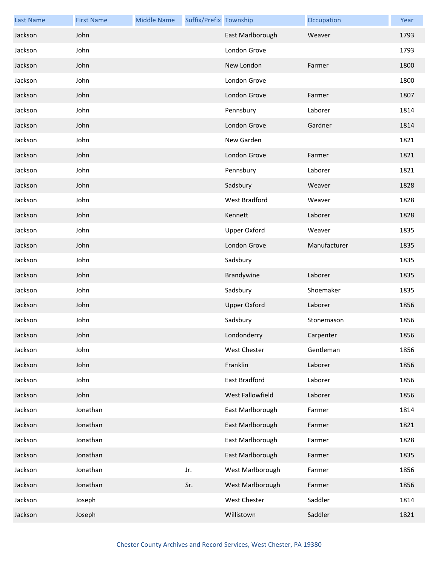| <b>Last Name</b> | <b>First Name</b> | <b>Middle Name</b> | Suffix/Prefix Township |                      | Occupation   | Year |
|------------------|-------------------|--------------------|------------------------|----------------------|--------------|------|
| Jackson          | John              |                    |                        | East Marlborough     | Weaver       | 1793 |
| Jackson          | John              |                    |                        | London Grove         |              | 1793 |
| Jackson          | John              |                    |                        | New London           | Farmer       | 1800 |
| Jackson          | John              |                    |                        | London Grove         |              | 1800 |
| Jackson          | John              |                    |                        | London Grove         | Farmer       | 1807 |
| Jackson          | John              |                    |                        | Pennsbury            | Laborer      | 1814 |
| Jackson          | John              |                    |                        | London Grove         | Gardner      | 1814 |
| Jackson          | John              |                    |                        | New Garden           |              | 1821 |
| Jackson          | John              |                    |                        | London Grove         | Farmer       | 1821 |
| Jackson          | John              |                    |                        | Pennsbury            | Laborer      | 1821 |
| Jackson          | John              |                    |                        | Sadsbury             | Weaver       | 1828 |
| Jackson          | John              |                    |                        | <b>West Bradford</b> | Weaver       | 1828 |
| Jackson          | John              |                    |                        | Kennett              | Laborer      | 1828 |
| Jackson          | John              |                    |                        | <b>Upper Oxford</b>  | Weaver       | 1835 |
| Jackson          | John              |                    |                        | London Grove         | Manufacturer | 1835 |
| Jackson          | John              |                    |                        | Sadsbury             |              | 1835 |
| Jackson          | John              |                    |                        | Brandywine           | Laborer      | 1835 |
| Jackson          | John              |                    |                        | Sadsbury             | Shoemaker    | 1835 |
| Jackson          | John              |                    |                        | <b>Upper Oxford</b>  | Laborer      | 1856 |
| Jackson          | John              |                    |                        | Sadsbury             | Stonemason   | 1856 |
| Jackson          | John              |                    |                        | Londonderry          | Carpenter    | 1856 |
| Jackson          | John              |                    |                        | West Chester         | Gentleman    | 1856 |
| Jackson          | John              |                    |                        | Franklin             | Laborer      | 1856 |
| Jackson          | John              |                    |                        | East Bradford        | Laborer      | 1856 |
| Jackson          | John              |                    |                        | West Fallowfield     | Laborer      | 1856 |
| Jackson          | Jonathan          |                    |                        | East Marlborough     | Farmer       | 1814 |
| Jackson          | Jonathan          |                    |                        | East Marlborough     | Farmer       | 1821 |
| Jackson          | Jonathan          |                    |                        | East Marlborough     | Farmer       | 1828 |
| Jackson          | Jonathan          |                    |                        | East Marlborough     | Farmer       | 1835 |
| Jackson          | Jonathan          |                    | Jr.                    | West Marlborough     | Farmer       | 1856 |
| Jackson          | Jonathan          |                    | Sr.                    | West Marlborough     | Farmer       | 1856 |
| Jackson          | Joseph            |                    |                        | West Chester         | Saddler      | 1814 |
| Jackson          | Joseph            |                    |                        | Willistown           | Saddler      | 1821 |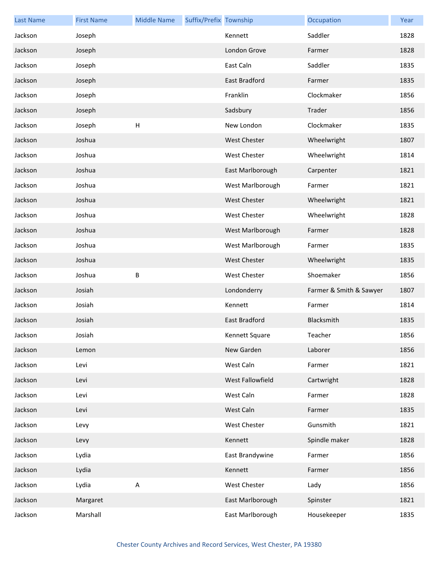| <b>Last Name</b> | <b>First Name</b> | <b>Middle Name</b> | Suffix/Prefix Township |                     | Occupation              | Year |
|------------------|-------------------|--------------------|------------------------|---------------------|-------------------------|------|
| Jackson          | Joseph            |                    |                        | Kennett             | Saddler                 | 1828 |
| Jackson          | Joseph            |                    |                        | London Grove        | Farmer                  | 1828 |
| Jackson          | Joseph            |                    |                        | East Caln           | Saddler                 | 1835 |
| Jackson          | Joseph            |                    |                        | East Bradford       | Farmer                  | 1835 |
| Jackson          | Joseph            |                    |                        | Franklin            | Clockmaker              | 1856 |
| Jackson          | Joseph            |                    |                        | Sadsbury            | Trader                  | 1856 |
| Jackson          | Joseph            | $\mathsf H$        |                        | New London          | Clockmaker              | 1835 |
| Jackson          | Joshua            |                    |                        | <b>West Chester</b> | Wheelwright             | 1807 |
| Jackson          | Joshua            |                    |                        | West Chester        | Wheelwright             | 1814 |
| Jackson          | Joshua            |                    |                        | East Marlborough    | Carpenter               | 1821 |
| Jackson          | Joshua            |                    |                        | West Marlborough    | Farmer                  | 1821 |
| Jackson          | Joshua            |                    |                        | <b>West Chester</b> | Wheelwright             | 1821 |
| Jackson          | Joshua            |                    |                        | West Chester        | Wheelwright             | 1828 |
| Jackson          | Joshua            |                    |                        | West Marlborough    | Farmer                  | 1828 |
| Jackson          | Joshua            |                    |                        | West Marlborough    | Farmer                  | 1835 |
| Jackson          | Joshua            |                    |                        | <b>West Chester</b> | Wheelwright             | 1835 |
| Jackson          | Joshua            | B                  |                        | <b>West Chester</b> | Shoemaker               | 1856 |
| Jackson          | Josiah            |                    |                        | Londonderry         | Farmer & Smith & Sawyer | 1807 |
| Jackson          | Josiah            |                    |                        | Kennett             | Farmer                  | 1814 |
| Jackson          | Josiah            |                    |                        | East Bradford       | Blacksmith              | 1835 |
| Jackson          | Josiah            |                    |                        | Kennett Square      | Teacher                 | 1856 |
| Jackson          | Lemon             |                    |                        | New Garden          | Laborer                 | 1856 |
| Jackson          | Levi              |                    |                        | West Caln           | Farmer                  | 1821 |
| Jackson          | Levi              |                    |                        | West Fallowfield    | Cartwright              | 1828 |
| Jackson          | Levi              |                    |                        | West Caln           | Farmer                  | 1828 |
| Jackson          | Levi              |                    |                        | West Caln           | Farmer                  | 1835 |
| Jackson          | Levy              |                    |                        | West Chester        | Gunsmith                | 1821 |
| Jackson          | Levy              |                    |                        | Kennett             | Spindle maker           | 1828 |
| Jackson          | Lydia             |                    |                        | East Brandywine     | Farmer                  | 1856 |
| Jackson          | Lydia             |                    |                        | Kennett             | Farmer                  | 1856 |
| Jackson          | Lydia             | $\mathsf{A}$       |                        | West Chester        | Lady                    | 1856 |
| Jackson          | Margaret          |                    |                        | East Marlborough    | Spinster                | 1821 |
| Jackson          | Marshall          |                    |                        | East Marlborough    | Housekeeper             | 1835 |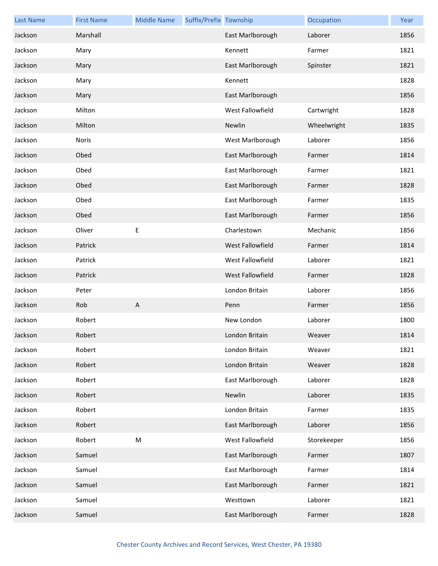| <b>Last Name</b> | <b>First Name</b> | <b>Middle Name</b> | Suffix/Prefix Township |                  | Occupation  | Year |
|------------------|-------------------|--------------------|------------------------|------------------|-------------|------|
| Jackson          | Marshall          |                    |                        | East Marlborough | Laborer     | 1856 |
| Jackson          | Mary              |                    |                        | Kennett          | Farmer      | 1821 |
| Jackson          | Mary              |                    |                        | East Marlborough | Spinster    | 1821 |
| Jackson          | Mary              |                    |                        | Kennett          |             | 1828 |
| Jackson          | Mary              |                    |                        | East Marlborough |             | 1856 |
| Jackson          | Milton            |                    |                        | West Fallowfield | Cartwright  | 1828 |
| Jackson          | Milton            |                    |                        | Newlin           | Wheelwright | 1835 |
| Jackson          | Noris             |                    |                        | West Marlborough | Laborer     | 1856 |
| Jackson          | Obed              |                    |                        | East Marlborough | Farmer      | 1814 |
| Jackson          | Obed              |                    |                        | East Marlborough | Farmer      | 1821 |
| Jackson          | Obed              |                    |                        | East Marlborough | Farmer      | 1828 |
| Jackson          | Obed              |                    |                        | East Marlborough | Farmer      | 1835 |
| Jackson          | Obed              |                    |                        | East Marlborough | Farmer      | 1856 |
| Jackson          | Oliver            | Е                  |                        | Charlestown      | Mechanic    | 1856 |
| Jackson          | Patrick           |                    |                        | West Fallowfield | Farmer      | 1814 |
| Jackson          | Patrick           |                    |                        | West Fallowfield | Laborer     | 1821 |
| Jackson          | Patrick           |                    |                        | West Fallowfield | Farmer      | 1828 |
| Jackson          | Peter             |                    |                        | London Britain   | Laborer     | 1856 |
| Jackson          | Rob               | A                  |                        | Penn             | Farmer      | 1856 |
| Jackson          | Robert            |                    |                        | New London       | Laborer     | 1800 |
| Jackson          | Robert            |                    |                        | London Britain   | Weaver      | 1814 |
| Jackson          | Robert            |                    |                        | London Britain   | Weaver      | 1821 |
| Jackson          | Robert            |                    |                        | London Britain   | Weaver      | 1828 |
| Jackson          | Robert            |                    |                        | East Marlborough | Laborer     | 1828 |
| Jackson          | Robert            |                    |                        | Newlin           | Laborer     | 1835 |
| Jackson          | Robert            |                    |                        | London Britain   | Farmer      | 1835 |
| Jackson          | Robert            |                    |                        | East Marlborough | Laborer     | 1856 |
| Jackson          | Robert            | ${\sf M}$          |                        | West Fallowfield | Storekeeper | 1856 |
| Jackson          | Samuel            |                    |                        | East Marlborough | Farmer      | 1807 |
| Jackson          | Samuel            |                    |                        | East Marlborough | Farmer      | 1814 |
| Jackson          | Samuel            |                    |                        | East Marlborough | Farmer      | 1821 |
| Jackson          | Samuel            |                    |                        | Westtown         | Laborer     | 1821 |
| Jackson          | Samuel            |                    |                        | East Marlborough | Farmer      | 1828 |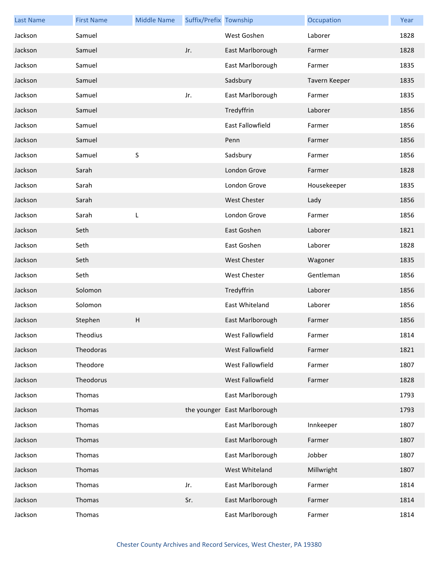| <b>Last Name</b> | <b>First Name</b> | <b>Middle Name</b>        | Suffix/Prefix Township |                              | Occupation    | Year |
|------------------|-------------------|---------------------------|------------------------|------------------------------|---------------|------|
| Jackson          | Samuel            |                           |                        | West Goshen                  | Laborer       | 1828 |
| Jackson          | Samuel            |                           | Jr.                    | East Marlborough             | Farmer        | 1828 |
| Jackson          | Samuel            |                           |                        | East Marlborough             | Farmer        | 1835 |
| Jackson          | Samuel            |                           |                        | Sadsbury                     | Tavern Keeper | 1835 |
| Jackson          | Samuel            |                           | Jr.                    | East Marlborough             | Farmer        | 1835 |
| Jackson          | Samuel            |                           |                        | Tredyffrin                   | Laborer       | 1856 |
| Jackson          | Samuel            |                           |                        | East Fallowfield             | Farmer        | 1856 |
| Jackson          | Samuel            |                           |                        | Penn                         | Farmer        | 1856 |
| Jackson          | Samuel            | S                         |                        | Sadsbury                     | Farmer        | 1856 |
| Jackson          | Sarah             |                           |                        | London Grove                 | Farmer        | 1828 |
| Jackson          | Sarah             |                           |                        | London Grove                 | Housekeeper   | 1835 |
| Jackson          | Sarah             |                           |                        | <b>West Chester</b>          | Lady          | 1856 |
| Jackson          | Sarah             | L                         |                        | London Grove                 | Farmer        | 1856 |
| Jackson          | Seth              |                           |                        | East Goshen                  | Laborer       | 1821 |
| Jackson          | Seth              |                           |                        | East Goshen                  | Laborer       | 1828 |
| Jackson          | Seth              |                           |                        | <b>West Chester</b>          | Wagoner       | 1835 |
| Jackson          | Seth              |                           |                        | West Chester                 | Gentleman     | 1856 |
| Jackson          | Solomon           |                           |                        | Tredyffrin                   | Laborer       | 1856 |
| Jackson          | Solomon           |                           |                        | East Whiteland               | Laborer       | 1856 |
| Jackson          | Stephen           | $\boldsymbol{\mathsf{H}}$ |                        | East Marlborough             | Farmer        | 1856 |
| Jackson          | Theodius          |                           |                        | West Fallowfield             | Farmer        | 1814 |
| Jackson          | Theodoras         |                           |                        | West Fallowfield             | Farmer        | 1821 |
| Jackson          | Theodore          |                           |                        | West Fallowfield             | Farmer        | 1807 |
| Jackson          | Theodorus         |                           |                        | West Fallowfield             | Farmer        | 1828 |
| Jackson          | Thomas            |                           |                        | East Marlborough             |               | 1793 |
| Jackson          | Thomas            |                           |                        | the younger East Marlborough |               | 1793 |
| Jackson          | Thomas            |                           |                        | East Marlborough             | Innkeeper     | 1807 |
| Jackson          | Thomas            |                           |                        | East Marlborough             | Farmer        | 1807 |
| Jackson          | Thomas            |                           |                        | East Marlborough             | Jobber        | 1807 |
| Jackson          | Thomas            |                           |                        | West Whiteland               | Millwright    | 1807 |
| Jackson          | Thomas            |                           | Jr.                    | East Marlborough             | Farmer        | 1814 |
| Jackson          | Thomas            |                           | Sr.                    | East Marlborough             | Farmer        | 1814 |
| Jackson          | Thomas            |                           |                        | East Marlborough             | Farmer        | 1814 |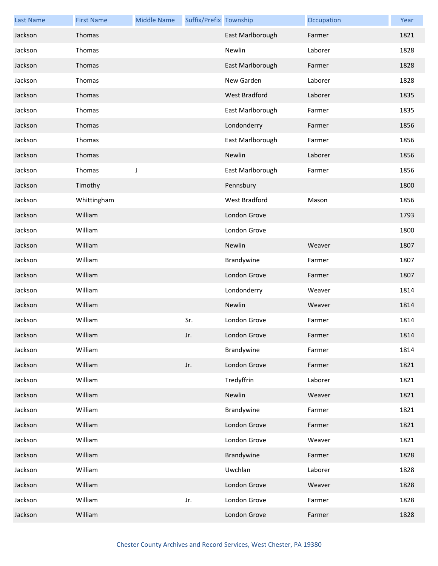| <b>Last Name</b> | <b>First Name</b> | <b>Middle Name</b> | Suffix/Prefix Township |                  | Occupation | Year |
|------------------|-------------------|--------------------|------------------------|------------------|------------|------|
| Jackson          | Thomas            |                    |                        | East Marlborough | Farmer     | 1821 |
| Jackson          | Thomas            |                    |                        | Newlin           | Laborer    | 1828 |
| Jackson          | Thomas            |                    |                        | East Marlborough | Farmer     | 1828 |
| Jackson          | Thomas            |                    |                        | New Garden       | Laborer    | 1828 |
| Jackson          | Thomas            |                    |                        | West Bradford    | Laborer    | 1835 |
| Jackson          | Thomas            |                    |                        | East Marlborough | Farmer     | 1835 |
| Jackson          | Thomas            |                    |                        | Londonderry      | Farmer     | 1856 |
| Jackson          | Thomas            |                    |                        | East Marlborough | Farmer     | 1856 |
| Jackson          | Thomas            |                    |                        | Newlin           | Laborer    | 1856 |
| Jackson          | Thomas            | $\mathsf J$        |                        | East Marlborough | Farmer     | 1856 |
| Jackson          | Timothy           |                    |                        | Pennsbury        |            | 1800 |
| Jackson          | Whittingham       |                    |                        | West Bradford    | Mason      | 1856 |
| Jackson          | William           |                    |                        | London Grove     |            | 1793 |
| Jackson          | William           |                    |                        | London Grove     |            | 1800 |
| Jackson          | William           |                    |                        | Newlin           | Weaver     | 1807 |
| Jackson          | William           |                    |                        | Brandywine       | Farmer     | 1807 |
| Jackson          | William           |                    |                        | London Grove     | Farmer     | 1807 |
| Jackson          | William           |                    |                        | Londonderry      | Weaver     | 1814 |
| Jackson          | William           |                    |                        | Newlin           | Weaver     | 1814 |
| Jackson          | William           |                    | Sr.                    | London Grove     | Farmer     | 1814 |
| Jackson          | William           |                    | Jr.                    | London Grove     | Farmer     | 1814 |
| Jackson          | William           |                    |                        | Brandywine       | Farmer     | 1814 |
| Jackson          | William           |                    | Jr.                    | London Grove     | Farmer     | 1821 |
| Jackson          | William           |                    |                        | Tredyffrin       | Laborer    | 1821 |
| Jackson          | William           |                    |                        | Newlin           | Weaver     | 1821 |
| Jackson          | William           |                    |                        | Brandywine       | Farmer     | 1821 |
| Jackson          | William           |                    |                        | London Grove     | Farmer     | 1821 |
| Jackson          | William           |                    |                        | London Grove     | Weaver     | 1821 |
| Jackson          | William           |                    |                        | Brandywine       | Farmer     | 1828 |
| Jackson          | William           |                    |                        | Uwchlan          | Laborer    | 1828 |
| Jackson          | William           |                    |                        | London Grove     | Weaver     | 1828 |
| Jackson          | William           |                    | Jr.                    | London Grove     | Farmer     | 1828 |
| Jackson          | William           |                    |                        | London Grove     | Farmer     | 1828 |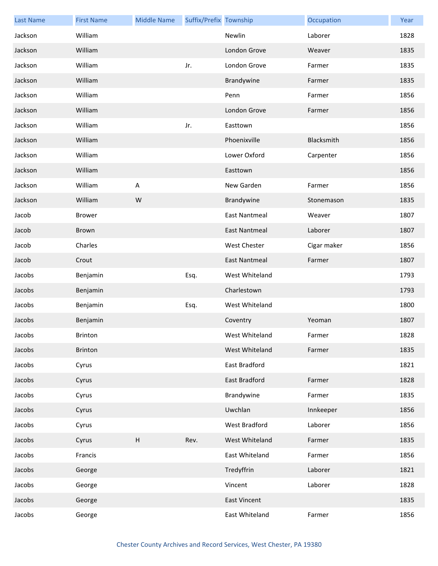| <b>Last Name</b> | <b>First Name</b> | <b>Middle Name</b> | Suffix/Prefix Township |                      | Occupation  | Year |
|------------------|-------------------|--------------------|------------------------|----------------------|-------------|------|
| Jackson          | William           |                    |                        | Newlin               | Laborer     | 1828 |
| Jackson          | William           |                    |                        | London Grove         | Weaver      | 1835 |
| Jackson          | William           |                    | Jr.                    | London Grove         | Farmer      | 1835 |
| Jackson          | William           |                    |                        | Brandywine           | Farmer      | 1835 |
| Jackson          | William           |                    |                        | Penn                 | Farmer      | 1856 |
| Jackson          | William           |                    |                        | London Grove         | Farmer      | 1856 |
| Jackson          | William           |                    | Jr.                    | Easttown             |             | 1856 |
| Jackson          | William           |                    |                        | Phoenixville         | Blacksmith  | 1856 |
| Jackson          | William           |                    |                        | Lower Oxford         | Carpenter   | 1856 |
| Jackson          | William           |                    |                        | Easttown             |             | 1856 |
| Jackson          | William           | $\sf A$            |                        | New Garden           | Farmer      | 1856 |
| Jackson          | William           | W                  |                        | Brandywine           | Stonemason  | 1835 |
| Jacob            | <b>Brower</b>     |                    |                        | <b>East Nantmeal</b> | Weaver      | 1807 |
| Jacob            | Brown             |                    |                        | <b>East Nantmeal</b> | Laborer     | 1807 |
| Jacob            | Charles           |                    |                        | West Chester         | Cigar maker | 1856 |
| Jacob            | Crout             |                    |                        | <b>East Nantmeal</b> | Farmer      | 1807 |
| Jacobs           | Benjamin          |                    | Esq.                   | West Whiteland       |             | 1793 |
| Jacobs           | Benjamin          |                    |                        | Charlestown          |             | 1793 |
| Jacobs           | Benjamin          |                    | Esq.                   | West Whiteland       |             | 1800 |
| Jacobs           | Benjamin          |                    |                        | Coventry             | Yeoman      | 1807 |
| Jacobs           | Brinton           |                    |                        | West Whiteland       | Farmer      | 1828 |
| Jacobs           | Brinton           |                    |                        | West Whiteland       | Farmer      | 1835 |
| Jacobs           | Cyrus             |                    |                        | East Bradford        |             | 1821 |
| Jacobs           | Cyrus             |                    |                        | East Bradford        | Farmer      | 1828 |
| Jacobs           | Cyrus             |                    |                        | Brandywine           | Farmer      | 1835 |
| Jacobs           | Cyrus             |                    |                        | Uwchlan              | Innkeeper   | 1856 |
| Jacobs           | Cyrus             |                    |                        | West Bradford        | Laborer     | 1856 |
| Jacobs           | Cyrus             | H                  | Rev.                   | West Whiteland       | Farmer      | 1835 |
| Jacobs           | Francis           |                    |                        | East Whiteland       | Farmer      | 1856 |
| Jacobs           | George            |                    |                        | Tredyffrin           | Laborer     | 1821 |
| Jacobs           | George            |                    |                        | Vincent              | Laborer     | 1828 |
| Jacobs           | George            |                    |                        | <b>East Vincent</b>  |             | 1835 |
| Jacobs           | George            |                    |                        | East Whiteland       | Farmer      | 1856 |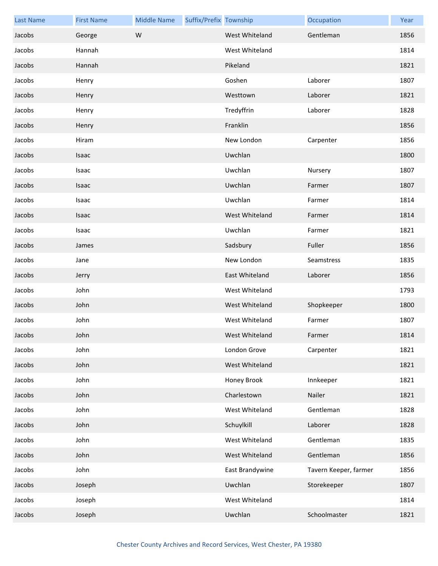| <b>Last Name</b> | <b>First Name</b> | <b>Middle Name</b> | Suffix/Prefix Township |                 | Occupation            | Year |
|------------------|-------------------|--------------------|------------------------|-----------------|-----------------------|------|
| Jacobs           | George            | W                  |                        | West Whiteland  | Gentleman             | 1856 |
| Jacobs           | Hannah            |                    |                        | West Whiteland  |                       | 1814 |
| Jacobs           | Hannah            |                    |                        | Pikeland        |                       | 1821 |
| Jacobs           | Henry             |                    |                        | Goshen          | Laborer               | 1807 |
| Jacobs           | Henry             |                    |                        | Westtown        | Laborer               | 1821 |
| Jacobs           | Henry             |                    |                        | Tredyffrin      | Laborer               | 1828 |
| Jacobs           | Henry             |                    |                        | Franklin        |                       | 1856 |
| Jacobs           | Hiram             |                    |                        | New London      | Carpenter             | 1856 |
| Jacobs           | Isaac             |                    |                        | Uwchlan         |                       | 1800 |
| Jacobs           | Isaac             |                    |                        | Uwchlan         | Nursery               | 1807 |
| Jacobs           | Isaac             |                    |                        | Uwchlan         | Farmer                | 1807 |
| Jacobs           | Isaac             |                    |                        | Uwchlan         | Farmer                | 1814 |
| Jacobs           | Isaac             |                    |                        | West Whiteland  | Farmer                | 1814 |
| Jacobs           | Isaac             |                    |                        | Uwchlan         | Farmer                | 1821 |
| Jacobs           | James             |                    |                        | Sadsbury        | Fuller                | 1856 |
| Jacobs           | Jane              |                    |                        | New London      | Seamstress            | 1835 |
| Jacobs           | Jerry             |                    |                        | East Whiteland  | Laborer               | 1856 |
| Jacobs           | John              |                    |                        | West Whiteland  |                       | 1793 |
| Jacobs           | John              |                    |                        | West Whiteland  | Shopkeeper            | 1800 |
| Jacobs           | John              |                    |                        | West Whiteland  | Farmer                | 1807 |
| Jacobs           | John              |                    |                        | West Whiteland  | Farmer                | 1814 |
| Jacobs           | John              |                    |                        | London Grove    | Carpenter             | 1821 |
| Jacobs           | John              |                    |                        | West Whiteland  |                       | 1821 |
| Jacobs           | John              |                    |                        | Honey Brook     | Innkeeper             | 1821 |
| Jacobs           | John              |                    |                        | Charlestown     | Nailer                | 1821 |
| Jacobs           | John              |                    |                        | West Whiteland  | Gentleman             | 1828 |
| Jacobs           | John              |                    |                        | Schuylkill      | Laborer               | 1828 |
| Jacobs           | John              |                    |                        | West Whiteland  | Gentleman             | 1835 |
| Jacobs           | John              |                    |                        | West Whiteland  | Gentleman             | 1856 |
| Jacobs           | John              |                    |                        | East Brandywine | Tavern Keeper, farmer | 1856 |
| Jacobs           | Joseph            |                    |                        | Uwchlan         | Storekeeper           | 1807 |
| Jacobs           | Joseph            |                    |                        | West Whiteland  |                       | 1814 |
| Jacobs           | Joseph            |                    |                        | Uwchlan         | Schoolmaster          | 1821 |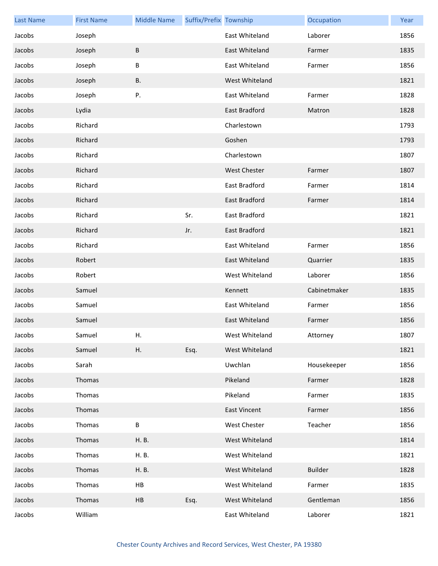| <b>Last Name</b> | <b>First Name</b> | <b>Middle Name</b> | Suffix/Prefix Township |                     | Occupation     | Year |
|------------------|-------------------|--------------------|------------------------|---------------------|----------------|------|
| Jacobs           | Joseph            |                    |                        | East Whiteland      | Laborer        | 1856 |
| Jacobs           | Joseph            | B                  |                        | East Whiteland      | Farmer         | 1835 |
| Jacobs           | Joseph            | B                  |                        | East Whiteland      | Farmer         | 1856 |
| Jacobs           | Joseph            | В.                 |                        | West Whiteland      |                | 1821 |
| Jacobs           | Joseph            | Ρ.                 |                        | East Whiteland      | Farmer         | 1828 |
| Jacobs           | Lydia             |                    |                        | East Bradford       | Matron         | 1828 |
| Jacobs           | Richard           |                    |                        | Charlestown         |                | 1793 |
| Jacobs           | Richard           |                    |                        | Goshen              |                | 1793 |
| Jacobs           | Richard           |                    |                        | Charlestown         |                | 1807 |
| Jacobs           | Richard           |                    |                        | <b>West Chester</b> | Farmer         | 1807 |
| Jacobs           | Richard           |                    |                        | East Bradford       | Farmer         | 1814 |
| Jacobs           | Richard           |                    |                        | East Bradford       | Farmer         | 1814 |
| Jacobs           | Richard           |                    | Sr.                    | East Bradford       |                | 1821 |
| Jacobs           | Richard           |                    | Jr.                    | East Bradford       |                | 1821 |
| Jacobs           | Richard           |                    |                        | East Whiteland      | Farmer         | 1856 |
| Jacobs           | Robert            |                    |                        | East Whiteland      | Quarrier       | 1835 |
| Jacobs           | Robert            |                    |                        | West Whiteland      | Laborer        | 1856 |
| Jacobs           | Samuel            |                    |                        | Kennett             | Cabinetmaker   | 1835 |
| Jacobs           | Samuel            |                    |                        | East Whiteland      | Farmer         | 1856 |
| Jacobs           | Samuel            |                    |                        | East Whiteland      | Farmer         | 1856 |
| Jacobs           | Samuel            | Н.                 |                        | West Whiteland      | Attorney       | 1807 |
| Jacobs           | Samuel            | Η.                 | Esq.                   | West Whiteland      |                | 1821 |
| Jacobs           | Sarah             |                    |                        | Uwchlan             | Housekeeper    | 1856 |
| Jacobs           | Thomas            |                    |                        | Pikeland            | Farmer         | 1828 |
| Jacobs           | Thomas            |                    |                        | Pikeland            | Farmer         | 1835 |
| Jacobs           | Thomas            |                    |                        | <b>East Vincent</b> | Farmer         | 1856 |
| Jacobs           | Thomas            | B                  |                        | West Chester        | Teacher        | 1856 |
| Jacobs           | Thomas            | H. B.              |                        | West Whiteland      |                | 1814 |
| Jacobs           | Thomas            | H. B.              |                        | West Whiteland      |                | 1821 |
| Jacobs           | Thomas            | H. B.              |                        | West Whiteland      | <b>Builder</b> | 1828 |
| Jacobs           | Thomas            | HB                 |                        | West Whiteland      | Farmer         | 1835 |
| Jacobs           | Thomas            | HB                 | Esq.                   | West Whiteland      | Gentleman      | 1856 |
| Jacobs           | William           |                    |                        | East Whiteland      | Laborer        | 1821 |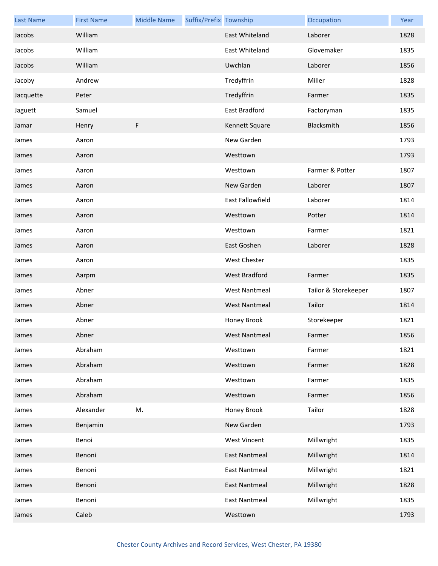| <b>Last Name</b> | <b>First Name</b> | <b>Middle Name</b> | Suffix/Prefix Township |                      | Occupation           | Year |
|------------------|-------------------|--------------------|------------------------|----------------------|----------------------|------|
| Jacobs           | William           |                    |                        | East Whiteland       | Laborer              | 1828 |
| Jacobs           | William           |                    |                        | East Whiteland       | Glovemaker           | 1835 |
| Jacobs           | William           |                    |                        | Uwchlan              | Laborer              | 1856 |
| Jacoby           | Andrew            |                    |                        | Tredyffrin           | Miller               | 1828 |
| Jacquette        | Peter             |                    |                        | Tredyffrin           | Farmer               | 1835 |
| Jaguett          | Samuel            |                    |                        | East Bradford        | Factoryman           | 1835 |
| Jamar            | Henry             | F                  |                        | Kennett Square       | Blacksmith           | 1856 |
| James            | Aaron             |                    |                        | New Garden           |                      | 1793 |
| James            | Aaron             |                    |                        | Westtown             |                      | 1793 |
| James            | Aaron             |                    |                        | Westtown             | Farmer & Potter      | 1807 |
| James            | Aaron             |                    |                        | New Garden           | Laborer              | 1807 |
| James            | Aaron             |                    |                        | East Fallowfield     | Laborer              | 1814 |
| James            | Aaron             |                    |                        | Westtown             | Potter               | 1814 |
| James            | Aaron             |                    |                        | Westtown             | Farmer               | 1821 |
| James            | Aaron             |                    |                        | East Goshen          | Laborer              | 1828 |
| James            | Aaron             |                    |                        | <b>West Chester</b>  |                      | 1835 |
| James            | Aarpm             |                    |                        | West Bradford        | Farmer               | 1835 |
| James            | Abner             |                    |                        | <b>West Nantmeal</b> | Tailor & Storekeeper | 1807 |
| James            | Abner             |                    |                        | <b>West Nantmeal</b> | Tailor               | 1814 |
| James            | Abner             |                    |                        | Honey Brook          | Storekeeper          | 1821 |
| James            | Abner             |                    |                        | West Nantmeal        | Farmer               | 1856 |
| James            | Abraham           |                    |                        | Westtown             | Farmer               | 1821 |
| James            | Abraham           |                    |                        | Westtown             | Farmer               | 1828 |
| James            | Abraham           |                    |                        | Westtown             | Farmer               | 1835 |
| James            | Abraham           |                    |                        | Westtown             | Farmer               | 1856 |
| James            | Alexander         | M.                 |                        | Honey Brook          | Tailor               | 1828 |
| James            | Benjamin          |                    |                        | New Garden           |                      | 1793 |
| James            | Benoi             |                    |                        | <b>West Vincent</b>  | Millwright           | 1835 |
| James            | Benoni            |                    |                        | <b>East Nantmeal</b> | Millwright           | 1814 |
| James            | Benoni            |                    |                        | <b>East Nantmeal</b> | Millwright           | 1821 |
| James            | Benoni            |                    |                        | <b>East Nantmeal</b> | Millwright           | 1828 |
| James            | Benoni            |                    |                        | <b>East Nantmeal</b> | Millwright           | 1835 |
| James            | Caleb             |                    |                        | Westtown             |                      | 1793 |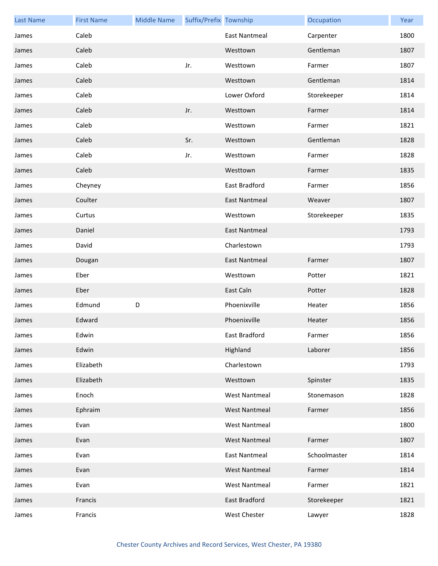| <b>Last Name</b> | <b>First Name</b> | <b>Middle Name</b> | Suffix/Prefix Township |                      | Occupation   | Year |
|------------------|-------------------|--------------------|------------------------|----------------------|--------------|------|
| James            | Caleb             |                    |                        | <b>East Nantmeal</b> | Carpenter    | 1800 |
| James            | Caleb             |                    |                        | Westtown             | Gentleman    | 1807 |
| James            | Caleb             |                    | Jr.                    | Westtown             | Farmer       | 1807 |
| James            | Caleb             |                    |                        | Westtown             | Gentleman    | 1814 |
| James            | Caleb             |                    |                        | Lower Oxford         | Storekeeper  | 1814 |
| James            | Caleb             |                    | Jr.                    | Westtown             | Farmer       | 1814 |
| James            | Caleb             |                    |                        | Westtown             | Farmer       | 1821 |
| James            | Caleb             |                    | Sr.                    | Westtown             | Gentleman    | 1828 |
| James            | Caleb             |                    | Jr.                    | Westtown             | Farmer       | 1828 |
| James            | Caleb             |                    |                        | Westtown             | Farmer       | 1835 |
| James            | Cheyney           |                    |                        | East Bradford        | Farmer       | 1856 |
| James            | Coulter           |                    |                        | <b>East Nantmeal</b> | Weaver       | 1807 |
| James            | Curtus            |                    |                        | Westtown             | Storekeeper  | 1835 |
| James            | Daniel            |                    |                        | <b>East Nantmeal</b> |              | 1793 |
| James            | David             |                    |                        | Charlestown          |              | 1793 |
| James            | Dougan            |                    |                        | <b>East Nantmeal</b> | Farmer       | 1807 |
| James            | Eber              |                    |                        | Westtown             | Potter       | 1821 |
| James            | Eber              |                    |                        | East Caln            | Potter       | 1828 |
| James            | Edmund            | D                  |                        | Phoenixville         | Heater       | 1856 |
| James            | Edward            |                    |                        | Phoenixville         | Heater       | 1856 |
| James            | Edwin             |                    |                        | East Bradford        | Farmer       | 1856 |
| James            | Edwin             |                    |                        | Highland             | Laborer      | 1856 |
| James            | Elizabeth         |                    |                        | Charlestown          |              | 1793 |
| James            | Elizabeth         |                    |                        | Westtown             | Spinster     | 1835 |
| James            | Enoch             |                    |                        | <b>West Nantmeal</b> | Stonemason   | 1828 |
| James            | Ephraim           |                    |                        | <b>West Nantmeal</b> | Farmer       | 1856 |
| James            | Evan              |                    |                        | <b>West Nantmeal</b> |              | 1800 |
| James            | Evan              |                    |                        | <b>West Nantmeal</b> | Farmer       | 1807 |
| James            | Evan              |                    |                        | <b>East Nantmeal</b> | Schoolmaster | 1814 |
| James            | Evan              |                    |                        | <b>West Nantmeal</b> | Farmer       | 1814 |
| James            | Evan              |                    |                        | <b>West Nantmeal</b> | Farmer       | 1821 |
| James            | Francis           |                    |                        | East Bradford        | Storekeeper  | 1821 |
| James            | Francis           |                    |                        | West Chester         | Lawyer       | 1828 |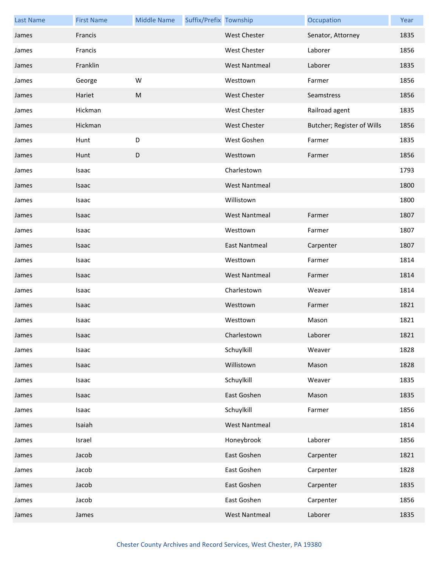| <b>Last Name</b> | <b>First Name</b> | <b>Middle Name</b> | Suffix/Prefix Township |                      | Occupation                 | Year |
|------------------|-------------------|--------------------|------------------------|----------------------|----------------------------|------|
| James            | Francis           |                    |                        | <b>West Chester</b>  | Senator, Attorney          | 1835 |
| James            | Francis           |                    |                        | West Chester         | Laborer                    | 1856 |
| James            | Franklin          |                    |                        | <b>West Nantmeal</b> | Laborer                    | 1835 |
| James            | George            | W                  |                        | Westtown             | Farmer                     | 1856 |
| James            | Hariet            | ${\sf M}$          |                        | <b>West Chester</b>  | Seamstress                 | 1856 |
| James            | Hickman           |                    |                        | West Chester         | Railroad agent             | 1835 |
| James            | Hickman           |                    |                        | <b>West Chester</b>  | Butcher; Register of Wills | 1856 |
| James            | Hunt              | D                  |                        | West Goshen          | Farmer                     | 1835 |
| James            | Hunt              | $\mathsf D$        |                        | Westtown             | Farmer                     | 1856 |
| James            | Isaac             |                    |                        | Charlestown          |                            | 1793 |
| James            | Isaac             |                    |                        | <b>West Nantmeal</b> |                            | 1800 |
| James            | Isaac             |                    |                        | Willistown           |                            | 1800 |
| James            | Isaac             |                    |                        | <b>West Nantmeal</b> | Farmer                     | 1807 |
| James            | Isaac             |                    |                        | Westtown             | Farmer                     | 1807 |
| James            | Isaac             |                    |                        | <b>East Nantmeal</b> | Carpenter                  | 1807 |
| James            | Isaac             |                    |                        | Westtown             | Farmer                     | 1814 |
| James            | Isaac             |                    |                        | <b>West Nantmeal</b> | Farmer                     | 1814 |
| James            | Isaac             |                    |                        | Charlestown          | Weaver                     | 1814 |
| James            | Isaac             |                    |                        | Westtown             | Farmer                     | 1821 |
| James            | Isaac             |                    |                        | Westtown             | Mason                      | 1821 |
| James            | Isaac             |                    |                        | Charlestown          | Laborer                    | 1821 |
| James            | Isaac             |                    |                        | Schuylkill           | Weaver                     | 1828 |
| James            | Isaac             |                    |                        | Willistown           | Mason                      | 1828 |
| James            | Isaac             |                    |                        | Schuylkill           | Weaver                     | 1835 |
| James            | Isaac             |                    |                        | East Goshen          | Mason                      | 1835 |
| James            | Isaac             |                    |                        | Schuylkill           | Farmer                     | 1856 |
| James            | Isaiah            |                    |                        | <b>West Nantmeal</b> |                            | 1814 |
| James            | Israel            |                    |                        | Honeybrook           | Laborer                    | 1856 |
| James            | Jacob             |                    |                        | East Goshen          | Carpenter                  | 1821 |
| James            | Jacob             |                    |                        | East Goshen          | Carpenter                  | 1828 |
| James            | Jacob             |                    |                        | East Goshen          | Carpenter                  | 1835 |
| James            | Jacob             |                    |                        | East Goshen          | Carpenter                  | 1856 |
| James            | James             |                    |                        | <b>West Nantmeal</b> | Laborer                    | 1835 |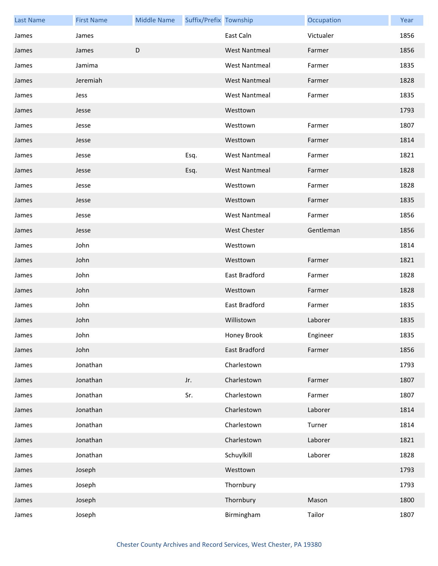| <b>Last Name</b> | <b>First Name</b> | <b>Middle Name</b> | Suffix/Prefix Township |                      | Occupation | Year |
|------------------|-------------------|--------------------|------------------------|----------------------|------------|------|
| James            | James             |                    |                        | East Caln            | Victualer  | 1856 |
| James            | James             | D                  |                        | <b>West Nantmeal</b> | Farmer     | 1856 |
| James            | Jamima            |                    |                        | <b>West Nantmeal</b> | Farmer     | 1835 |
| James            | Jeremiah          |                    |                        | <b>West Nantmeal</b> | Farmer     | 1828 |
| James            | Jess              |                    |                        | <b>West Nantmeal</b> | Farmer     | 1835 |
| James            | Jesse             |                    |                        | Westtown             |            | 1793 |
| James            | Jesse             |                    |                        | Westtown             | Farmer     | 1807 |
| James            | Jesse             |                    |                        | Westtown             | Farmer     | 1814 |
| James            | Jesse             |                    | Esq.                   | <b>West Nantmeal</b> | Farmer     | 1821 |
| James            | Jesse             |                    | Esq.                   | <b>West Nantmeal</b> | Farmer     | 1828 |
| James            | Jesse             |                    |                        | Westtown             | Farmer     | 1828 |
| James            | Jesse             |                    |                        | Westtown             | Farmer     | 1835 |
| James            | Jesse             |                    |                        | <b>West Nantmeal</b> | Farmer     | 1856 |
| James            | Jesse             |                    |                        | <b>West Chester</b>  | Gentleman  | 1856 |
| James            | John              |                    |                        | Westtown             |            | 1814 |
| James            | John              |                    |                        | Westtown             | Farmer     | 1821 |
| James            | John              |                    |                        | East Bradford        | Farmer     | 1828 |
| James            | John              |                    |                        | Westtown             | Farmer     | 1828 |
| James            | John              |                    |                        | East Bradford        | Farmer     | 1835 |
| James            | John              |                    |                        | Willistown           | Laborer    | 1835 |
| James            | John              |                    |                        | Honey Brook          | Engineer   | 1835 |
| James            | John              |                    |                        | East Bradford        | Farmer     | 1856 |
| James            | Jonathan          |                    |                        | Charlestown          |            | 1793 |
| James            | Jonathan          |                    | Jr.                    | Charlestown          | Farmer     | 1807 |
| James            | Jonathan          |                    | Sr.                    | Charlestown          | Farmer     | 1807 |
| James            | Jonathan          |                    |                        | Charlestown          | Laborer    | 1814 |
| James            | Jonathan          |                    |                        | Charlestown          | Turner     | 1814 |
| James            | Jonathan          |                    |                        | Charlestown          | Laborer    | 1821 |
| James            | Jonathan          |                    |                        | Schuylkill           | Laborer    | 1828 |
| James            | Joseph            |                    |                        | Westtown             |            | 1793 |
| James            | Joseph            |                    |                        | Thornbury            |            | 1793 |
| James            | Joseph            |                    |                        | Thornbury            | Mason      | 1800 |
| James            | Joseph            |                    |                        | Birmingham           | Tailor     | 1807 |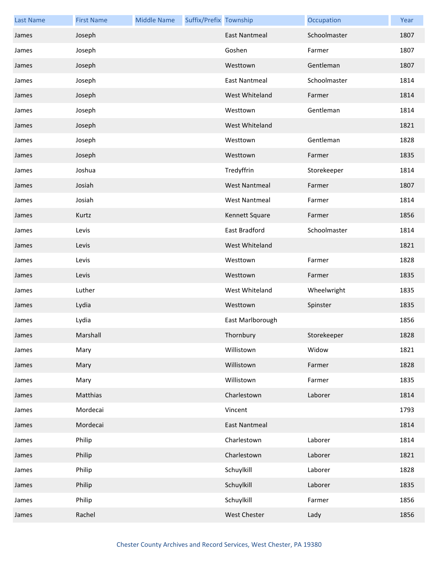| <b>Last Name</b> | <b>First Name</b> | <b>Middle Name</b> | Suffix/Prefix Township |                      | Occupation   | Year |
|------------------|-------------------|--------------------|------------------------|----------------------|--------------|------|
| James            | Joseph            |                    |                        | <b>East Nantmeal</b> | Schoolmaster | 1807 |
| James            | Joseph            |                    |                        | Goshen               | Farmer       | 1807 |
| James            | Joseph            |                    |                        | Westtown             | Gentleman    | 1807 |
| James            | Joseph            |                    |                        | <b>East Nantmeal</b> | Schoolmaster | 1814 |
| James            | Joseph            |                    |                        | West Whiteland       | Farmer       | 1814 |
| James            | Joseph            |                    |                        | Westtown             | Gentleman    | 1814 |
| James            | Joseph            |                    |                        | West Whiteland       |              | 1821 |
| James            | Joseph            |                    |                        | Westtown             | Gentleman    | 1828 |
| James            | Joseph            |                    |                        | Westtown             | Farmer       | 1835 |
| James            | Joshua            |                    |                        | Tredyffrin           | Storekeeper  | 1814 |
| James            | Josiah            |                    |                        | <b>West Nantmeal</b> | Farmer       | 1807 |
| James            | Josiah            |                    |                        | <b>West Nantmeal</b> | Farmer       | 1814 |
| James            | Kurtz             |                    |                        | Kennett Square       | Farmer       | 1856 |
| James            | Levis             |                    |                        | East Bradford        | Schoolmaster | 1814 |
| James            | Levis             |                    |                        | West Whiteland       |              | 1821 |
| James            | Levis             |                    |                        | Westtown             | Farmer       | 1828 |
| James            | Levis             |                    |                        | Westtown             | Farmer       | 1835 |
| James            | Luther            |                    |                        | West Whiteland       | Wheelwright  | 1835 |
| James            | Lydia             |                    |                        | Westtown             | Spinster     | 1835 |
| James            | Lydia             |                    |                        | East Marlborough     |              | 1856 |
| James            | Marshall          |                    |                        | Thornbury            | Storekeeper  | 1828 |
| James            | Mary              |                    |                        | Willistown           | Widow        | 1821 |
| James            | Mary              |                    |                        | Willistown           | Farmer       | 1828 |
| James            | Mary              |                    |                        | Willistown           | Farmer       | 1835 |
| James            | Matthias          |                    |                        | Charlestown          | Laborer      | 1814 |
| James            | Mordecai          |                    |                        | Vincent              |              | 1793 |
| James            | Mordecai          |                    |                        | <b>East Nantmeal</b> |              | 1814 |
| James            | Philip            |                    |                        | Charlestown          | Laborer      | 1814 |
| James            | Philip            |                    |                        | Charlestown          | Laborer      | 1821 |
| James            | Philip            |                    |                        | Schuylkill           | Laborer      | 1828 |
| James            | Philip            |                    |                        | Schuylkill           | Laborer      | 1835 |
| James            | Philip            |                    |                        | Schuylkill           | Farmer       | 1856 |
| James            | Rachel            |                    |                        | <b>West Chester</b>  | Lady         | 1856 |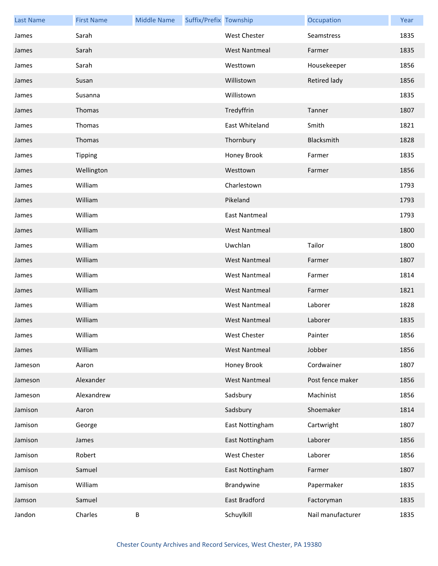| <b>Last Name</b> | <b>First Name</b> | <b>Middle Name</b> | Suffix/Prefix Township |                      | Occupation          | Year |
|------------------|-------------------|--------------------|------------------------|----------------------|---------------------|------|
| James            | Sarah             |                    |                        | <b>West Chester</b>  | Seamstress          | 1835 |
| James            | Sarah             |                    |                        | <b>West Nantmeal</b> | Farmer              | 1835 |
| James            | Sarah             |                    |                        | Westtown             | Housekeeper         | 1856 |
| James            | Susan             |                    |                        | Willistown           | <b>Retired lady</b> | 1856 |
| James            | Susanna           |                    |                        | Willistown           |                     | 1835 |
| James            | Thomas            |                    |                        | Tredyffrin           | Tanner              | 1807 |
| James            | Thomas            |                    |                        | East Whiteland       | Smith               | 1821 |
| James            | Thomas            |                    |                        | Thornbury            | Blacksmith          | 1828 |
| James            | <b>Tipping</b>    |                    |                        | Honey Brook          | Farmer              | 1835 |
| James            | Wellington        |                    |                        | Westtown             | Farmer              | 1856 |
| James            | William           |                    |                        | Charlestown          |                     | 1793 |
| James            | William           |                    |                        | Pikeland             |                     | 1793 |
| James            | William           |                    |                        | <b>East Nantmeal</b> |                     | 1793 |
| James            | William           |                    |                        | <b>West Nantmeal</b> |                     | 1800 |
| James            | William           |                    |                        | Uwchlan              | Tailor              | 1800 |
| James            | William           |                    |                        | <b>West Nantmeal</b> | Farmer              | 1807 |
| James            | William           |                    |                        | <b>West Nantmeal</b> | Farmer              | 1814 |
| James            | William           |                    |                        | <b>West Nantmeal</b> | Farmer              | 1821 |
| James            | William           |                    |                        | <b>West Nantmeal</b> | Laborer             | 1828 |
| James            | William           |                    |                        | <b>West Nantmeal</b> | Laborer             | 1835 |
| James            | William           |                    |                        | West Chester         | Painter             | 1856 |
| James            | William           |                    |                        | <b>West Nantmeal</b> | Jobber              | 1856 |
| Jameson          | Aaron             |                    |                        | Honey Brook          | Cordwainer          | 1807 |
| Jameson          | Alexander         |                    |                        | <b>West Nantmeal</b> | Post fence maker    | 1856 |
| Jameson          | Alexandrew        |                    |                        | Sadsbury             | Machinist           | 1856 |
| Jamison          | Aaron             |                    |                        | Sadsbury             | Shoemaker           | 1814 |
| Jamison          | George            |                    |                        | East Nottingham      | Cartwright          | 1807 |
| Jamison          | James             |                    |                        | East Nottingham      | Laborer             | 1856 |
| Jamison          | Robert            |                    |                        | West Chester         | Laborer             | 1856 |
| Jamison          | Samuel            |                    |                        | East Nottingham      | Farmer              | 1807 |
| Jamison          | William           |                    |                        | Brandywine           | Papermaker          | 1835 |
| Jamson           | Samuel            |                    |                        | East Bradford        | Factoryman          | 1835 |
| Jandon           | Charles           | В                  |                        | Schuylkill           | Nail manufacturer   | 1835 |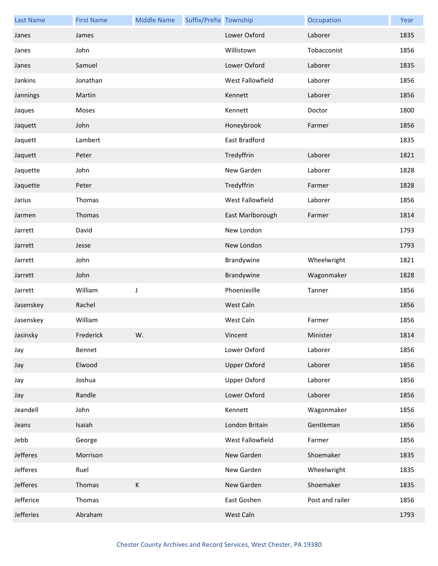| <b>Last Name</b> | <b>First Name</b> | <b>Middle Name</b> | Suffix/Prefix Township |                     | Occupation      | Year |
|------------------|-------------------|--------------------|------------------------|---------------------|-----------------|------|
| Janes            | James             |                    |                        | Lower Oxford        | Laborer         | 1835 |
| Janes            | John              |                    |                        | Willistown          | Tobacconist     | 1856 |
| Janes            | Samuel            |                    |                        | Lower Oxford        | Laborer         | 1835 |
| Jankins          | Jonathan          |                    |                        | West Fallowfield    | Laborer         | 1856 |
| Jannings         | Martin            |                    |                        | Kennett             | Laborer         | 1856 |
| Jaques           | Moses             |                    |                        | Kennett             | Doctor          | 1800 |
| Jaquett          | John              |                    |                        | Honeybrook          | Farmer          | 1856 |
| Jaquett          | Lambert           |                    |                        | East Bradford       |                 | 1835 |
| Jaquett          | Peter             |                    |                        | Tredyffrin          | Laborer         | 1821 |
| Jaquette         | John              |                    |                        | New Garden          | Laborer         | 1828 |
| Jaquette         | Peter             |                    |                        | Tredyffrin          | Farmer          | 1828 |
| Jarius           | Thomas            |                    |                        | West Fallowfield    | Laborer         | 1856 |
| Jarmen           | Thomas            |                    |                        | East Marlborough    | Farmer          | 1814 |
| Jarrett          | David             |                    |                        | New London          |                 | 1793 |
| Jarrett          | Jesse             |                    |                        | New London          |                 | 1793 |
| Jarrett          | John              |                    |                        | Brandywine          | Wheelwright     | 1821 |
| Jarrett          | John              |                    |                        | Brandywine          | Wagonmaker      | 1828 |
| Jarrett          | William           | $\mathsf J$        |                        | Phoenixville        | Tanner          | 1856 |
| Jasenskey        | Rachel            |                    |                        | West Caln           |                 | 1856 |
| Jasenskey        | William           |                    |                        | West Caln           | Farmer          | 1856 |
| Jasinsky         | Frederick         | W.                 |                        | Vincent             | Minister        | 1814 |
| Jay              | Bennet            |                    |                        | Lower Oxford        | Laborer         | 1856 |
| Jay              | Elwood            |                    |                        | <b>Upper Oxford</b> | Laborer         | 1856 |
| Jay              | Joshua            |                    |                        | <b>Upper Oxford</b> | Laborer         | 1856 |
| Jay              | Randle            |                    |                        | Lower Oxford        | Laborer         | 1856 |
| Jeandell         | John              |                    |                        | Kennett             | Wagonmaker      | 1856 |
| Jeans            | Isaiah            |                    |                        | London Britain      | Gentleman       | 1856 |
| Jebb             | George            |                    |                        | West Fallowfield    | Farmer          | 1856 |
| Jefferes         | Morrison          |                    |                        | New Garden          | Shoemaker       | 1835 |
| Jefferes         | Ruel              |                    |                        | New Garden          | Wheelwright     | 1835 |
| Jefferes         | Thomas            | $\mathsf K$        |                        | New Garden          | Shoemaker       | 1835 |
| Jefferice        | Thomas            |                    |                        | East Goshen         | Post and railer | 1856 |
| Jefferies        | Abraham           |                    |                        | West Caln           |                 | 1793 |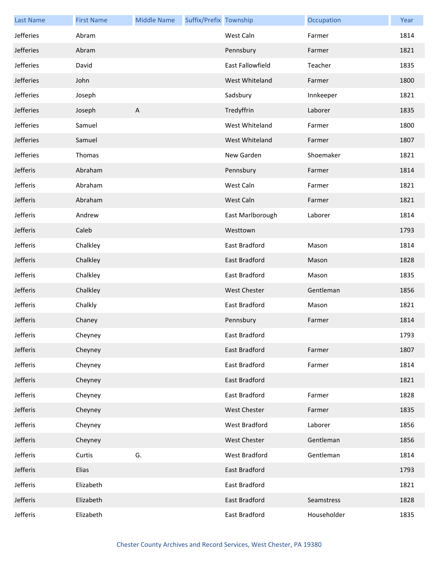| <b>Last Name</b> | <b>First Name</b> | <b>Middle Name</b> | Suffix/Prefix Township |                         | Occupation  | Year |
|------------------|-------------------|--------------------|------------------------|-------------------------|-------------|------|
| Jefferies        | Abram             |                    |                        | West Caln               | Farmer      | 1814 |
| Jefferies        | Abram             |                    |                        | Pennsbury               | Farmer      | 1821 |
| Jefferies        | David             |                    |                        | <b>East Fallowfield</b> | Teacher     | 1835 |
| Jefferies        | John              |                    |                        | West Whiteland          | Farmer      | 1800 |
| Jefferies        | Joseph            |                    |                        | Sadsbury                | Innkeeper   | 1821 |
| Jefferies        | Joseph            | $\mathsf{A}$       |                        | Tredyffrin              | Laborer     | 1835 |
| Jefferies        | Samuel            |                    |                        | West Whiteland          | Farmer      | 1800 |
| Jefferies        | Samuel            |                    |                        | West Whiteland          | Farmer      | 1807 |
| Jefferies        | Thomas            |                    |                        | New Garden              | Shoemaker   | 1821 |
| Jefferis         | Abraham           |                    |                        | Pennsbury               | Farmer      | 1814 |
| Jefferis         | Abraham           |                    |                        | West Caln               | Farmer      | 1821 |
| Jefferis         | Abraham           |                    |                        | West Caln               | Farmer      | 1821 |
| Jefferis         | Andrew            |                    |                        | East Marlborough        | Laborer     | 1814 |
| Jefferis         | Caleb             |                    |                        | Westtown                |             | 1793 |
| Jefferis         | Chalkley          |                    |                        | East Bradford           | Mason       | 1814 |
| Jefferis         | Chalkley          |                    |                        | East Bradford           | Mason       | 1828 |
| Jefferis         | Chalkley          |                    |                        | East Bradford           | Mason       | 1835 |
| Jefferis         | Chalkley          |                    |                        | <b>West Chester</b>     | Gentleman   | 1856 |
| Jefferis         | Chalkly           |                    |                        | East Bradford           | Mason       | 1821 |
| Jefferis         | Chaney            |                    |                        | Pennsbury               | Farmer      | 1814 |
| Jefferis         | Cheyney           |                    |                        | East Bradford           |             | 1793 |
| Jefferis         | Cheyney           |                    |                        | <b>East Bradford</b>    | Farmer      | 1807 |
| Jefferis         | Cheyney           |                    |                        | East Bradford           | Farmer      | 1814 |
| Jefferis         | Cheyney           |                    |                        | East Bradford           |             | 1821 |
| Jefferis         | Cheyney           |                    |                        | East Bradford           | Farmer      | 1828 |
| Jefferis         | Cheyney           |                    |                        | <b>West Chester</b>     | Farmer      | 1835 |
| Jefferis         | Cheyney           |                    |                        | West Bradford           | Laborer     | 1856 |
| Jefferis         | Cheyney           |                    |                        | West Chester            | Gentleman   | 1856 |
| Jefferis         | Curtis            | G.                 |                        | West Bradford           | Gentleman   | 1814 |
| Jefferis         | Elias             |                    |                        | East Bradford           |             | 1793 |
| Jefferis         | Elizabeth         |                    |                        | East Bradford           |             | 1821 |
| Jefferis         | Elizabeth         |                    |                        | East Bradford           | Seamstress  | 1828 |
| Jefferis         | Elizabeth         |                    |                        | East Bradford           | Householder | 1835 |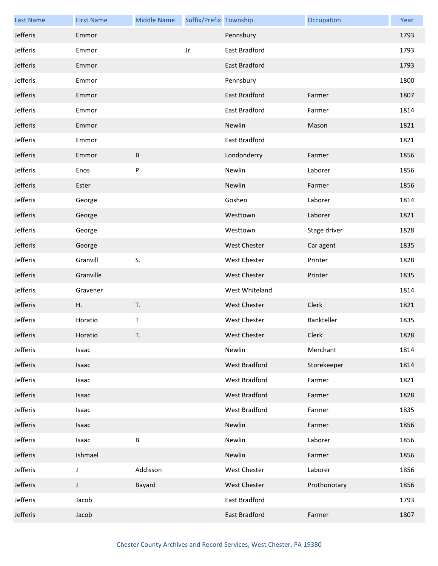| <b>Last Name</b> | <b>First Name</b> | <b>Middle Name</b> | Suffix/Prefix Township |                      | Occupation   | Year |
|------------------|-------------------|--------------------|------------------------|----------------------|--------------|------|
| Jefferis         | Emmor             |                    |                        | Pennsbury            |              | 1793 |
| Jefferis         | Emmor             |                    | Jr.                    | East Bradford        |              | 1793 |
| Jefferis         | Emmor             |                    |                        | East Bradford        |              | 1793 |
| Jefferis         | Emmor             |                    |                        | Pennsbury            |              | 1800 |
| Jefferis         | Emmor             |                    |                        | East Bradford        | Farmer       | 1807 |
| Jefferis         | Emmor             |                    |                        | East Bradford        | Farmer       | 1814 |
| Jefferis         | Emmor             |                    |                        | Newlin               | Mason        | 1821 |
| Jefferis         | Emmor             |                    |                        | East Bradford        |              | 1821 |
| Jefferis         | Emmor             | B                  |                        | Londonderry          | Farmer       | 1856 |
| Jefferis         | Enos              | P                  |                        | Newlin               | Laborer      | 1856 |
| Jefferis         | Ester             |                    |                        | Newlin               | Farmer       | 1856 |
| Jefferis         | George            |                    |                        | Goshen               | Laborer      | 1814 |
| Jefferis         | George            |                    |                        | Westtown             | Laborer      | 1821 |
| Jefferis         | George            |                    |                        | Westtown             | Stage driver | 1828 |
| Jefferis         | George            |                    |                        | West Chester         | Car agent    | 1835 |
| Jefferis         | Granvill          | S.                 |                        | West Chester         | Printer      | 1828 |
| Jefferis         | Granville         |                    |                        | <b>West Chester</b>  | Printer      | 1835 |
| Jefferis         | Gravener          |                    |                        | West Whiteland       |              | 1814 |
| Jefferis         | Η.                | T.                 |                        | West Chester         | Clerk        | 1821 |
| Jefferis         | Horatio           | T                  |                        | West Chester         | Bankteller   | 1835 |
| Jefferis         | Horatio           | Т.                 |                        | <b>West Chester</b>  | Clerk        | 1828 |
| Jefferis         | Isaac             |                    |                        | Newlin               | Merchant     | 1814 |
| Jefferis         | Isaac             |                    |                        | West Bradford        | Storekeeper  | 1814 |
| Jefferis         | Isaac             |                    |                        | West Bradford        | Farmer       | 1821 |
| Jefferis         | Isaac             |                    |                        | <b>West Bradford</b> | Farmer       | 1828 |
| Jefferis         | Isaac             |                    |                        | West Bradford        | Farmer       | 1835 |
| Jefferis         | Isaac             |                    |                        | Newlin               | Farmer       | 1856 |
| Jefferis         | Isaac             | B                  |                        | Newlin               | Laborer      | 1856 |
| Jefferis         | Ishmael           |                    |                        | Newlin               | Farmer       | 1856 |
| Jefferis         | J                 | Addisson           |                        | <b>West Chester</b>  | Laborer      | 1856 |
| Jefferis         | J                 | Bayard             |                        | <b>West Chester</b>  | Prothonotary | 1856 |
| Jefferis         | Jacob             |                    |                        | East Bradford        |              | 1793 |
| Jefferis         | Jacob             |                    |                        | East Bradford        | Farmer       | 1807 |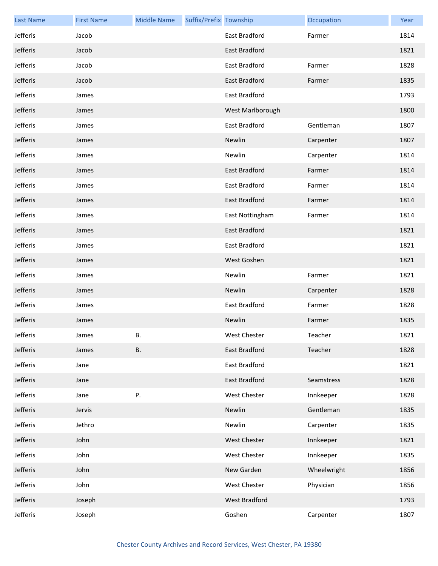| <b>Last Name</b> | <b>First Name</b> | <b>Middle Name</b> | Suffix/Prefix Township |                  | Occupation  | Year |
|------------------|-------------------|--------------------|------------------------|------------------|-------------|------|
| Jefferis         | Jacob             |                    |                        | East Bradford    | Farmer      | 1814 |
| Jefferis         | Jacob             |                    |                        | East Bradford    |             | 1821 |
| Jefferis         | Jacob             |                    |                        | East Bradford    | Farmer      | 1828 |
| Jefferis         | Jacob             |                    |                        | East Bradford    | Farmer      | 1835 |
| Jefferis         | James             |                    |                        | East Bradford    |             | 1793 |
| Jefferis         | James             |                    |                        | West Marlborough |             | 1800 |
| Jefferis         | James             |                    |                        | East Bradford    | Gentleman   | 1807 |
| Jefferis         | James             |                    |                        | Newlin           | Carpenter   | 1807 |
| Jefferis         | James             |                    |                        | Newlin           | Carpenter   | 1814 |
| Jefferis         | James             |                    |                        | East Bradford    | Farmer      | 1814 |
| Jefferis         | James             |                    |                        | East Bradford    | Farmer      | 1814 |
| Jefferis         | James             |                    |                        | East Bradford    | Farmer      | 1814 |
| Jefferis         | James             |                    |                        | East Nottingham  | Farmer      | 1814 |
| Jefferis         | James             |                    |                        | East Bradford    |             | 1821 |
| Jefferis         | James             |                    |                        | East Bradford    |             | 1821 |
| Jefferis         | James             |                    |                        | West Goshen      |             | 1821 |
| Jefferis         | James             |                    |                        | Newlin           | Farmer      | 1821 |
| Jefferis         | James             |                    |                        | Newlin           | Carpenter   | 1828 |
| Jefferis         | James             |                    |                        | East Bradford    | Farmer      | 1828 |
| Jefferis         | James             |                    |                        | Newlin           | Farmer      | 1835 |
| Jefferis         | James             | В.                 |                        | West Chester     | Teacher     | 1821 |
| Jefferis         | James             | <b>B.</b>          |                        | East Bradford    | Teacher     | 1828 |
| Jefferis         | Jane              |                    |                        | East Bradford    |             | 1821 |
| Jefferis         | Jane              |                    |                        | East Bradford    | Seamstress  | 1828 |
| Jefferis         | Jane              | Ρ.                 |                        | West Chester     | Innkeeper   | 1828 |
| Jefferis         | Jervis            |                    |                        | Newlin           | Gentleman   | 1835 |
| Jefferis         | Jethro            |                    |                        | Newlin           | Carpenter   | 1835 |
| Jefferis         | John              |                    |                        | West Chester     | Innkeeper   | 1821 |
| Jefferis         | John              |                    |                        | West Chester     | Innkeeper   | 1835 |
| Jefferis         | John              |                    |                        | New Garden       | Wheelwright | 1856 |
| Jefferis         | John              |                    |                        | West Chester     | Physician   | 1856 |
| Jefferis         | Joseph            |                    |                        | West Bradford    |             | 1793 |
| Jefferis         | Joseph            |                    |                        | Goshen           | Carpenter   | 1807 |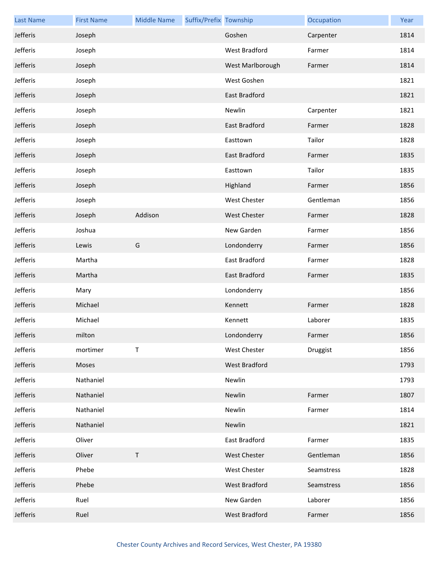| <b>Last Name</b> | <b>First Name</b> | <b>Middle Name</b> | Suffix/Prefix Township |                      | Occupation | Year |
|------------------|-------------------|--------------------|------------------------|----------------------|------------|------|
| Jefferis         | Joseph            |                    |                        | Goshen               | Carpenter  | 1814 |
| Jefferis         | Joseph            |                    |                        | West Bradford        | Farmer     | 1814 |
| Jefferis         | Joseph            |                    |                        | West Marlborough     | Farmer     | 1814 |
| Jefferis         | Joseph            |                    |                        | West Goshen          |            | 1821 |
| Jefferis         | Joseph            |                    |                        | <b>East Bradford</b> |            | 1821 |
| Jefferis         | Joseph            |                    |                        | Newlin               | Carpenter  | 1821 |
| Jefferis         | Joseph            |                    |                        | East Bradford        | Farmer     | 1828 |
| Jefferis         | Joseph            |                    |                        | Easttown             | Tailor     | 1828 |
| Jefferis         | Joseph            |                    |                        | East Bradford        | Farmer     | 1835 |
| Jefferis         | Joseph            |                    |                        | Easttown             | Tailor     | 1835 |
| Jefferis         | Joseph            |                    |                        | Highland             | Farmer     | 1856 |
| Jefferis         | Joseph            |                    |                        | <b>West Chester</b>  | Gentleman  | 1856 |
| Jefferis         | Joseph            | Addison            |                        | <b>West Chester</b>  | Farmer     | 1828 |
| Jefferis         | Joshua            |                    |                        | New Garden           | Farmer     | 1856 |
| Jefferis         | Lewis             | G                  |                        | Londonderry          | Farmer     | 1856 |
| Jefferis         | Martha            |                    |                        | East Bradford        | Farmer     | 1828 |
| Jefferis         | Martha            |                    |                        | East Bradford        | Farmer     | 1835 |
| Jefferis         | Mary              |                    |                        | Londonderry          |            | 1856 |
| Jefferis         | Michael           |                    |                        | Kennett              | Farmer     | 1828 |
| Jefferis         | Michael           |                    |                        | Kennett              | Laborer    | 1835 |
| Jefferis         | milton            |                    |                        | Londonderry          | Farmer     | 1856 |
| Jefferis         | mortimer          | Τ                  |                        | <b>West Chester</b>  | Druggist   | 1856 |
| Jefferis         | Moses             |                    |                        | West Bradford        |            | 1793 |
| Jefferis         | Nathaniel         |                    |                        | Newlin               |            | 1793 |
| Jefferis         | Nathaniel         |                    |                        | Newlin               | Farmer     | 1807 |
| Jefferis         | Nathaniel         |                    |                        | Newlin               | Farmer     | 1814 |
| Jefferis         | Nathaniel         |                    |                        | Newlin               |            | 1821 |
| Jefferis         | Oliver            |                    |                        | East Bradford        | Farmer     | 1835 |
| Jefferis         | Oliver            | T                  |                        | West Chester         | Gentleman  | 1856 |
| Jefferis         | Phebe             |                    |                        | West Chester         | Seamstress | 1828 |
| Jefferis         | Phebe             |                    |                        | West Bradford        | Seamstress | 1856 |
| Jefferis         | Ruel              |                    |                        | New Garden           | Laborer    | 1856 |
| Jefferis         | Ruel              |                    |                        | West Bradford        | Farmer     | 1856 |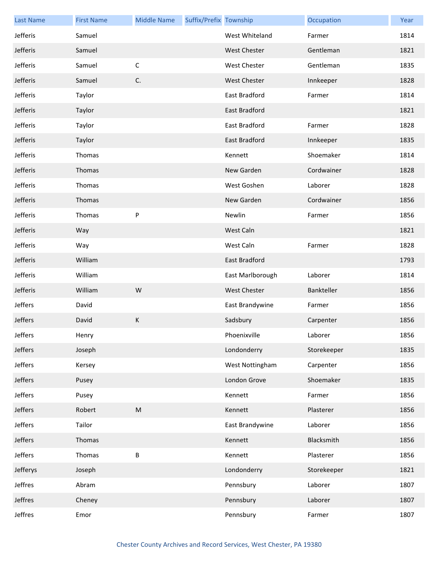| <b>Last Name</b> | <b>First Name</b> | <b>Middle Name</b>                                                                                         | Suffix/Prefix Township |                      | Occupation  | Year |
|------------------|-------------------|------------------------------------------------------------------------------------------------------------|------------------------|----------------------|-------------|------|
| Jefferis         | Samuel            |                                                                                                            |                        | West Whiteland       | Farmer      | 1814 |
| Jefferis         | Samuel            |                                                                                                            |                        | <b>West Chester</b>  | Gentleman   | 1821 |
| Jefferis         | Samuel            | $\mathsf C$                                                                                                |                        | West Chester         | Gentleman   | 1835 |
| Jefferis         | Samuel            | C.                                                                                                         |                        | <b>West Chester</b>  | Innkeeper   | 1828 |
| Jefferis         | Taylor            |                                                                                                            |                        | East Bradford        | Farmer      | 1814 |
| Jefferis         | Taylor            |                                                                                                            |                        | <b>East Bradford</b> |             | 1821 |
| Jefferis         | Taylor            |                                                                                                            |                        | East Bradford        | Farmer      | 1828 |
| Jefferis         | Taylor            |                                                                                                            |                        | <b>East Bradford</b> | Innkeeper   | 1835 |
| Jefferis         | Thomas            |                                                                                                            |                        | Kennett              | Shoemaker   | 1814 |
| Jefferis         | Thomas            |                                                                                                            |                        | New Garden           | Cordwainer  | 1828 |
| Jefferis         | Thomas            |                                                                                                            |                        | West Goshen          | Laborer     | 1828 |
| Jefferis         | Thomas            |                                                                                                            |                        | New Garden           | Cordwainer  | 1856 |
| Jefferis         | Thomas            | P                                                                                                          |                        | Newlin               | Farmer      | 1856 |
| Jefferis         | Way               |                                                                                                            |                        | West Caln            |             | 1821 |
| Jefferis         | Way               |                                                                                                            |                        | West Caln            | Farmer      | 1828 |
| Jefferis         | William           |                                                                                                            |                        | East Bradford        |             | 1793 |
| Jefferis         | William           |                                                                                                            |                        | East Marlborough     | Laborer     | 1814 |
| Jefferis         | William           | W                                                                                                          |                        | West Chester         | Bankteller  | 1856 |
| Jeffers          | David             |                                                                                                            |                        | East Brandywine      | Farmer      | 1856 |
| Jeffers          | David             | К                                                                                                          |                        | Sadsbury             | Carpenter   | 1856 |
| Jeffers          | Henry             |                                                                                                            |                        | Phoenixville         | Laborer     | 1856 |
| Jeffers          | Joseph            |                                                                                                            |                        | Londonderry          | Storekeeper | 1835 |
| Jeffers          | Kersey            |                                                                                                            |                        | West Nottingham      | Carpenter   | 1856 |
| Jeffers          | Pusey             |                                                                                                            |                        | London Grove         | Shoemaker   | 1835 |
| Jeffers          | Pusey             |                                                                                                            |                        | Kennett              | Farmer      | 1856 |
| Jeffers          | Robert            | $\mathsf{M}% _{T}=\mathsf{M}_{T}\!\left( a,b\right) ,\ \mathsf{M}_{T}=\mathsf{M}_{T}\!\left( a,b\right) ,$ |                        | Kennett              | Plasterer   | 1856 |
| Jeffers          | Tailor            |                                                                                                            |                        | East Brandywine      | Laborer     | 1856 |
| Jeffers          | Thomas            |                                                                                                            |                        | Kennett              | Blacksmith  | 1856 |
| Jeffers          | Thomas            | В                                                                                                          |                        | Kennett              | Plasterer   | 1856 |
| Jefferys         | Joseph            |                                                                                                            |                        | Londonderry          | Storekeeper | 1821 |
| Jeffres          | Abram             |                                                                                                            |                        | Pennsbury            | Laborer     | 1807 |
| Jeffres          | Cheney            |                                                                                                            |                        | Pennsbury            | Laborer     | 1807 |
| Jeffres          | Emor              |                                                                                                            |                        | Pennsbury            | Farmer      | 1807 |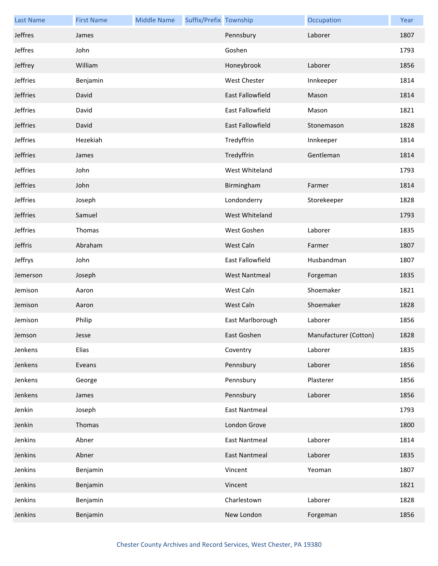| <b>Last Name</b> | <b>First Name</b> | <b>Middle Name</b> | Suffix/Prefix Township |                         | Occupation            | Year |
|------------------|-------------------|--------------------|------------------------|-------------------------|-----------------------|------|
| Jeffres          | James             |                    |                        | Pennsbury               | Laborer               | 1807 |
| Jeffres          | John              |                    |                        | Goshen                  |                       | 1793 |
| Jeffrey          | William           |                    |                        | Honeybrook              | Laborer               | 1856 |
| Jeffries         | Benjamin          |                    |                        | West Chester            | Innkeeper             | 1814 |
| Jeffries         | David             |                    |                        | East Fallowfield        | Mason                 | 1814 |
| Jeffries         | David             |                    |                        | East Fallowfield        | Mason                 | 1821 |
| Jeffries         | David             |                    |                        | <b>East Fallowfield</b> | Stonemason            | 1828 |
| Jeffries         | Hezekiah          |                    |                        | Tredyffrin              | Innkeeper             | 1814 |
| Jeffries         | James             |                    |                        | Tredyffrin              | Gentleman             | 1814 |
| Jeffries         | John              |                    |                        | West Whiteland          |                       | 1793 |
| Jeffries         | John              |                    |                        | Birmingham              | Farmer                | 1814 |
| Jeffries         | Joseph            |                    |                        | Londonderry             | Storekeeper           | 1828 |
| Jeffries         | Samuel            |                    |                        | West Whiteland          |                       | 1793 |
| Jeffries         | Thomas            |                    |                        | West Goshen             | Laborer               | 1835 |
| Jeffris          | Abraham           |                    |                        | West Caln               | Farmer                | 1807 |
| Jeffrys          | John              |                    |                        | East Fallowfield        | Husbandman            | 1807 |
| Jemerson         | Joseph            |                    |                        | <b>West Nantmeal</b>    | Forgeman              | 1835 |
| Jemison          | Aaron             |                    |                        | West Caln               | Shoemaker             | 1821 |
| Jemison          | Aaron             |                    |                        | West Caln               | Shoemaker             | 1828 |
| Jemison          | Philip            |                    |                        | East Marlborough        | Laborer               | 1856 |
| Jemson           | Jesse             |                    |                        | East Goshen             | Manufacturer (Cotton) | 1828 |
| Jenkens          | Elias             |                    |                        | Coventry                | Laborer               | 1835 |
| Jenkens          | Eveans            |                    |                        | Pennsbury               | Laborer               | 1856 |
| Jenkens          | George            |                    |                        | Pennsbury               | Plasterer             | 1856 |
| Jenkens          | James             |                    |                        | Pennsbury               | Laborer               | 1856 |
| Jenkin           | Joseph            |                    |                        | East Nantmeal           |                       | 1793 |
| Jenkin           | Thomas            |                    |                        | London Grove            |                       | 1800 |
| Jenkins          | Abner             |                    |                        | <b>East Nantmeal</b>    | Laborer               | 1814 |
| Jenkins          | Abner             |                    |                        | <b>East Nantmeal</b>    | Laborer               | 1835 |
| Jenkins          | Benjamin          |                    |                        | Vincent                 | Yeoman                | 1807 |
| Jenkins          | Benjamin          |                    |                        | Vincent                 |                       | 1821 |
| Jenkins          | Benjamin          |                    |                        | Charlestown             | Laborer               | 1828 |
| Jenkins          | Benjamin          |                    |                        | New London              | Forgeman              | 1856 |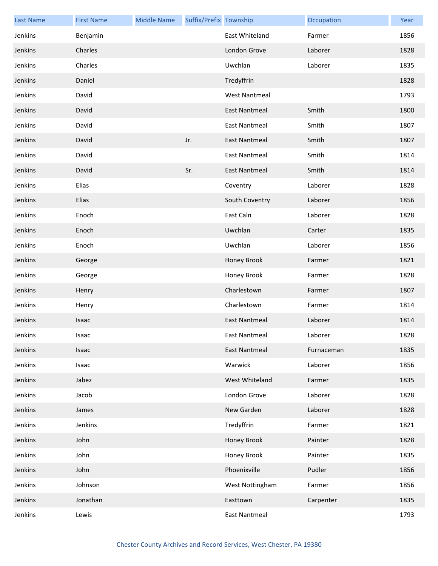| <b>Last Name</b> | <b>First Name</b> | <b>Middle Name</b> | Suffix/Prefix Township |                      | Occupation | Year |
|------------------|-------------------|--------------------|------------------------|----------------------|------------|------|
| Jenkins          | Benjamin          |                    |                        | East Whiteland       | Farmer     | 1856 |
| Jenkins          | Charles           |                    |                        | London Grove         | Laborer    | 1828 |
| Jenkins          | Charles           |                    |                        | Uwchlan              | Laborer    | 1835 |
| Jenkins          | Daniel            |                    |                        | Tredyffrin           |            | 1828 |
| Jenkins          | David             |                    |                        | <b>West Nantmeal</b> |            | 1793 |
| Jenkins          | David             |                    |                        | <b>East Nantmeal</b> | Smith      | 1800 |
| Jenkins          | David             |                    |                        | <b>East Nantmeal</b> | Smith      | 1807 |
| Jenkins          | David             |                    | Jr.                    | <b>East Nantmeal</b> | Smith      | 1807 |
| Jenkins          | David             |                    |                        | <b>East Nantmeal</b> | Smith      | 1814 |
| Jenkins          | David             |                    | Sr.                    | <b>East Nantmeal</b> | Smith      | 1814 |
| Jenkins          | Elias             |                    |                        | Coventry             | Laborer    | 1828 |
| Jenkins          | Elias             |                    |                        | South Coventry       | Laborer    | 1856 |
| Jenkins          | Enoch             |                    |                        | East Caln            | Laborer    | 1828 |
| Jenkins          | Enoch             |                    |                        | Uwchlan              | Carter     | 1835 |
| Jenkins          | Enoch             |                    |                        | Uwchlan              | Laborer    | 1856 |
| Jenkins          | George            |                    |                        | Honey Brook          | Farmer     | 1821 |
| Jenkins          | George            |                    |                        | Honey Brook          | Farmer     | 1828 |
| Jenkins          | Henry             |                    |                        | Charlestown          | Farmer     | 1807 |
| Jenkins          | Henry             |                    |                        | Charlestown          | Farmer     | 1814 |
| Jenkins          | Isaac             |                    |                        | <b>East Nantmeal</b> | Laborer    | 1814 |
| Jenkins          | Isaac             |                    |                        | East Nantmeal        | Laborer    | 1828 |
| Jenkins          | Isaac             |                    |                        | East Nantmeal        | Furnaceman | 1835 |
| Jenkins          | Isaac             |                    |                        | Warwick              | Laborer    | 1856 |
| Jenkins          | Jabez             |                    |                        | West Whiteland       | Farmer     | 1835 |
| Jenkins          | Jacob             |                    |                        | London Grove         | Laborer    | 1828 |
| Jenkins          | James             |                    |                        | New Garden           | Laborer    | 1828 |
| Jenkins          | Jenkins           |                    |                        | Tredyffrin           | Farmer     | 1821 |
| Jenkins          | John              |                    |                        | Honey Brook          | Painter    | 1828 |
| Jenkins          | John              |                    |                        | Honey Brook          | Painter    | 1835 |
| Jenkins          | John              |                    |                        | Phoenixville         | Pudler     | 1856 |
| Jenkins          | Johnson           |                    |                        | West Nottingham      | Farmer     | 1856 |
| Jenkins          | Jonathan          |                    |                        | Easttown             | Carpenter  | 1835 |
| Jenkins          | Lewis             |                    |                        | <b>East Nantmeal</b> |            | 1793 |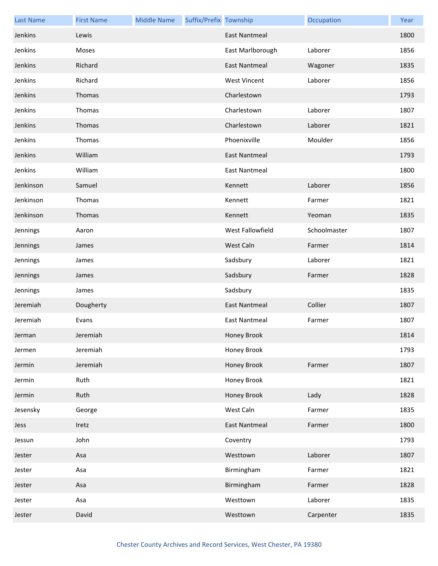| <b>Last Name</b> | <b>First Name</b> | <b>Middle Name</b> | Suffix/Prefix Township |                      | Occupation   | Year |
|------------------|-------------------|--------------------|------------------------|----------------------|--------------|------|
| Jenkins          | Lewis             |                    |                        | <b>East Nantmeal</b> |              | 1800 |
| Jenkins          | Moses             |                    |                        | East Marlborough     | Laborer      | 1856 |
| Jenkins          | Richard           |                    |                        | <b>East Nantmeal</b> | Wagoner      | 1835 |
| Jenkins          | Richard           |                    |                        | <b>West Vincent</b>  | Laborer      | 1856 |
| Jenkins          | Thomas            |                    |                        | Charlestown          |              | 1793 |
| Jenkins          | Thomas            |                    |                        | Charlestown          | Laborer      | 1807 |
| Jenkins          | Thomas            |                    |                        | Charlestown          | Laborer      | 1821 |
| Jenkins          | Thomas            |                    |                        | Phoenixville         | Moulder      | 1856 |
| Jenkins          | William           |                    |                        | <b>East Nantmeal</b> |              | 1793 |
| Jenkins          | William           |                    |                        | <b>East Nantmeal</b> |              | 1800 |
| Jenkinson        | Samuel            |                    |                        | Kennett              | Laborer      | 1856 |
| Jenkinson        | Thomas            |                    |                        | Kennett              | Farmer       | 1821 |
| Jenkinson        | Thomas            |                    |                        | Kennett              | Yeoman       | 1835 |
| Jennings         | Aaron             |                    |                        | West Fallowfield     | Schoolmaster | 1807 |
| Jennings         | James             |                    |                        | West Caln            | Farmer       | 1814 |
| Jennings         | James             |                    |                        | Sadsbury             | Laborer      | 1821 |
| Jennings         | James             |                    |                        | Sadsbury             | Farmer       | 1828 |
| Jennings         | James             |                    |                        | Sadsbury             |              | 1835 |
| Jeremiah         | Dougherty         |                    |                        | <b>East Nantmeal</b> | Collier      | 1807 |
| Jeremiah         | Evans             |                    |                        | <b>East Nantmeal</b> | Farmer       | 1807 |
| Jerman           | Jeremiah          |                    |                        | Honey Brook          |              | 1814 |
| Jermen           | Jeremiah          |                    |                        | Honey Brook          |              | 1793 |
| Jermin           | Jeremiah          |                    |                        | Honey Brook          | Farmer       | 1807 |
| Jermin           | Ruth              |                    |                        | Honey Brook          |              | 1821 |
| Jermin           | Ruth              |                    |                        | Honey Brook          | Lady         | 1828 |
| Jesensky         | George            |                    |                        | West Caln            | Farmer       | 1835 |
| Jess             | Iretz             |                    |                        | <b>East Nantmeal</b> | Farmer       | 1800 |
| Jessun           | John              |                    |                        | Coventry             |              | 1793 |
| Jester           | Asa               |                    |                        | Westtown             | Laborer      | 1807 |
| Jester           | Asa               |                    |                        | Birmingham           | Farmer       | 1821 |
| Jester           | Asa               |                    |                        | Birmingham           | Farmer       | 1828 |
| Jester           | Asa               |                    |                        | Westtown             | Laborer      | 1835 |
| Jester           | David             |                    |                        | Westtown             | Carpenter    | 1835 |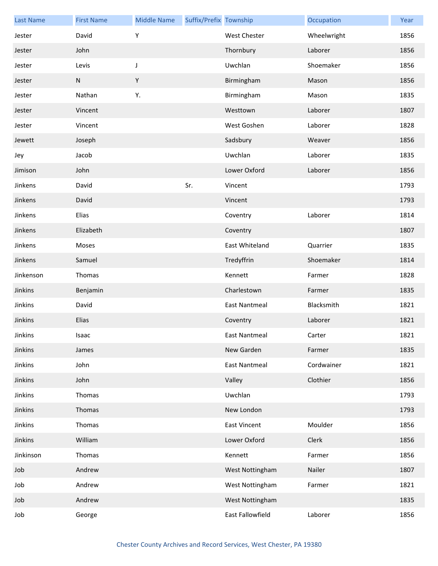| <b>Last Name</b> | <b>First Name</b> | <b>Middle Name</b> | Suffix/Prefix Township |                      | Occupation  | Year |
|------------------|-------------------|--------------------|------------------------|----------------------|-------------|------|
| Jester           | David             | Υ                  |                        | West Chester         | Wheelwright | 1856 |
| Jester           | John              |                    |                        | Thornbury            | Laborer     | 1856 |
| Jester           | Levis             | J                  |                        | Uwchlan              | Shoemaker   | 1856 |
| Jester           | ${\sf N}$         | Y                  |                        | Birmingham           | Mason       | 1856 |
| Jester           | Nathan            | Υ.                 |                        | Birmingham           | Mason       | 1835 |
| Jester           | Vincent           |                    |                        | Westtown             | Laborer     | 1807 |
| Jester           | Vincent           |                    |                        | West Goshen          | Laborer     | 1828 |
| Jewett           | Joseph            |                    |                        | Sadsbury             | Weaver      | 1856 |
| Jey              | Jacob             |                    |                        | Uwchlan              | Laborer     | 1835 |
| Jimison          | John              |                    |                        | Lower Oxford         | Laborer     | 1856 |
| Jinkens          | David             |                    | Sr.                    | Vincent              |             | 1793 |
| Jinkens          | David             |                    |                        | Vincent              |             | 1793 |
| Jinkens          | Elias             |                    |                        | Coventry             | Laborer     | 1814 |
| Jinkens          | Elizabeth         |                    |                        | Coventry             |             | 1807 |
| Jinkens          | Moses             |                    |                        | East Whiteland       | Quarrier    | 1835 |
| Jinkens          | Samuel            |                    |                        | Tredyffrin           | Shoemaker   | 1814 |
| Jinkenson        | Thomas            |                    |                        | Kennett              | Farmer      | 1828 |
| Jinkins          | Benjamin          |                    |                        | Charlestown          | Farmer      | 1835 |
| Jinkins          | David             |                    |                        | <b>East Nantmeal</b> | Blacksmith  | 1821 |
| Jinkins          | Elias             |                    |                        | Coventry             | Laborer     | 1821 |
| Jinkins          | Isaac             |                    |                        | East Nantmeal        | Carter      | 1821 |
| Jinkins          | James             |                    |                        | New Garden           | Farmer      | 1835 |
| Jinkins          | John              |                    |                        | <b>East Nantmeal</b> | Cordwainer  | 1821 |
| Jinkins          | John              |                    |                        | Valley               | Clothier    | 1856 |
| Jinkins          | Thomas            |                    |                        | Uwchlan              |             | 1793 |
| Jinkins          | Thomas            |                    |                        | New London           |             | 1793 |
| Jinkins          | Thomas            |                    |                        | East Vincent         | Moulder     | 1856 |
| Jinkins          | William           |                    |                        | Lower Oxford         | Clerk       | 1856 |
| Jinkinson        | Thomas            |                    |                        | Kennett              | Farmer      | 1856 |
| Job              | Andrew            |                    |                        | West Nottingham      | Nailer      | 1807 |
| Job              | Andrew            |                    |                        | West Nottingham      | Farmer      | 1821 |
| Job              | Andrew            |                    |                        | West Nottingham      |             | 1835 |
| Job              | George            |                    |                        | East Fallowfield     | Laborer     | 1856 |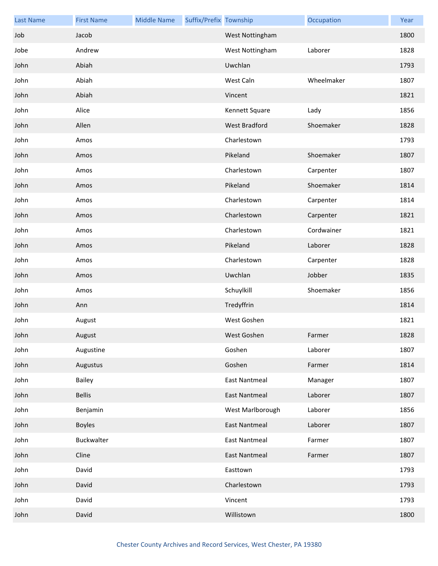| <b>Last Name</b> | <b>First Name</b> | <b>Middle Name</b> | Suffix/Prefix Township |                      | Occupation | Year |
|------------------|-------------------|--------------------|------------------------|----------------------|------------|------|
| Job              | Jacob             |                    |                        | West Nottingham      |            | 1800 |
| Jobe             | Andrew            |                    |                        | West Nottingham      | Laborer    | 1828 |
| John             | Abiah             |                    |                        | Uwchlan              |            | 1793 |
| John             | Abiah             |                    |                        | West Caln            | Wheelmaker | 1807 |
| John             | Abiah             |                    |                        | Vincent              |            | 1821 |
| John             | Alice             |                    |                        | Kennett Square       | Lady       | 1856 |
| John             | Allen             |                    |                        | West Bradford        | Shoemaker  | 1828 |
| John             | Amos              |                    |                        | Charlestown          |            | 1793 |
| John             | Amos              |                    |                        | Pikeland             | Shoemaker  | 1807 |
| John             | Amos              |                    |                        | Charlestown          | Carpenter  | 1807 |
| John             | Amos              |                    |                        | Pikeland             | Shoemaker  | 1814 |
| John             | Amos              |                    |                        | Charlestown          | Carpenter  | 1814 |
| John             | Amos              |                    |                        | Charlestown          | Carpenter  | 1821 |
| John             | Amos              |                    |                        | Charlestown          | Cordwainer | 1821 |
| John             | Amos              |                    |                        | Pikeland             | Laborer    | 1828 |
| John             | Amos              |                    |                        | Charlestown          | Carpenter  | 1828 |
| John             | Amos              |                    |                        | Uwchlan              | Jobber     | 1835 |
| John             | Amos              |                    |                        | Schuylkill           | Shoemaker  | 1856 |
| John             | Ann               |                    |                        | Tredyffrin           |            | 1814 |
| John             | August            |                    |                        | West Goshen          |            | 1821 |
| John             | August            |                    |                        | West Goshen          | Farmer     | 1828 |
| John             | Augustine         |                    |                        | Goshen               | Laborer    | 1807 |
| John             | Augustus          |                    |                        | Goshen               | Farmer     | 1814 |
| John             | Bailey            |                    |                        | <b>East Nantmeal</b> | Manager    | 1807 |
| John             | <b>Bellis</b>     |                    |                        | East Nantmeal        | Laborer    | 1807 |
| John             | Benjamin          |                    |                        | West Marlborough     | Laborer    | 1856 |
| John             | <b>Boyles</b>     |                    |                        | East Nantmeal        | Laborer    | 1807 |
| John             | Buckwalter        |                    |                        | <b>East Nantmeal</b> | Farmer     | 1807 |
| John             | Cline             |                    |                        | <b>East Nantmeal</b> | Farmer     | 1807 |
| John             | David             |                    |                        | Easttown             |            | 1793 |
| John             | David             |                    |                        | Charlestown          |            | 1793 |
| John             | David             |                    |                        | Vincent              |            | 1793 |
| John             | David             |                    |                        | Willistown           |            | 1800 |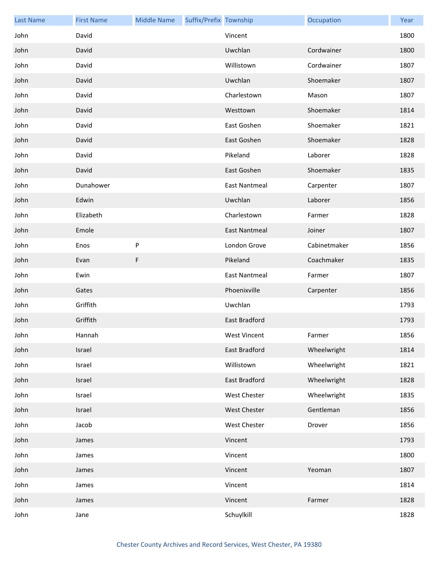| <b>Last Name</b> | <b>First Name</b> | <b>Middle Name</b> | Suffix/Prefix Township |                      | Occupation   | Year |
|------------------|-------------------|--------------------|------------------------|----------------------|--------------|------|
| John             | David             |                    |                        | Vincent              |              | 1800 |
| John             | David             |                    |                        | Uwchlan              | Cordwainer   | 1800 |
| John             | David             |                    |                        | Willistown           | Cordwainer   | 1807 |
| John             | David             |                    |                        | Uwchlan              | Shoemaker    | 1807 |
| John             | David             |                    |                        | Charlestown          | Mason        | 1807 |
| John             | David             |                    |                        | Westtown             | Shoemaker    | 1814 |
| John             | David             |                    |                        | East Goshen          | Shoemaker    | 1821 |
| John             | David             |                    |                        | East Goshen          | Shoemaker    | 1828 |
| John             | David             |                    |                        | Pikeland             | Laborer      | 1828 |
| John             | David             |                    |                        | East Goshen          | Shoemaker    | 1835 |
| John             | Dunahower         |                    |                        | <b>East Nantmeal</b> | Carpenter    | 1807 |
| John             | Edwin             |                    |                        | Uwchlan              | Laborer      | 1856 |
| John             | Elizabeth         |                    |                        | Charlestown          | Farmer       | 1828 |
| John             | Emole             |                    |                        | <b>East Nantmeal</b> | Joiner       | 1807 |
| John             | Enos              | ${\sf P}$          |                        | London Grove         | Cabinetmaker | 1856 |
| John             | Evan              | F                  |                        | Pikeland             | Coachmaker   | 1835 |
| John             | Ewin              |                    |                        | <b>East Nantmeal</b> | Farmer       | 1807 |
| John             | Gates             |                    |                        | Phoenixville         | Carpenter    | 1856 |
| John             | Griffith          |                    |                        | Uwchlan              |              | 1793 |
| John             | Griffith          |                    |                        | East Bradford        |              | 1793 |
| John             | Hannah            |                    |                        | West Vincent         | Farmer       | 1856 |
| John             | Israel            |                    |                        | East Bradford        | Wheelwright  | 1814 |
| John             | Israel            |                    |                        | Willistown           | Wheelwright  | 1821 |
| John             | Israel            |                    |                        | East Bradford        | Wheelwright  | 1828 |
| John             | Israel            |                    |                        | West Chester         | Wheelwright  | 1835 |
| John             | Israel            |                    |                        | West Chester         | Gentleman    | 1856 |
| John             | Jacob             |                    |                        | West Chester         | Drover       | 1856 |
| John             | James             |                    |                        | Vincent              |              | 1793 |
| John             | James             |                    |                        | Vincent              |              | 1800 |
| John             | James             |                    |                        | Vincent              | Yeoman       | 1807 |
| John             | James             |                    |                        | Vincent              |              | 1814 |
| John             | James             |                    |                        | Vincent              | Farmer       | 1828 |
| John             | Jane              |                    |                        | Schuylkill           |              | 1828 |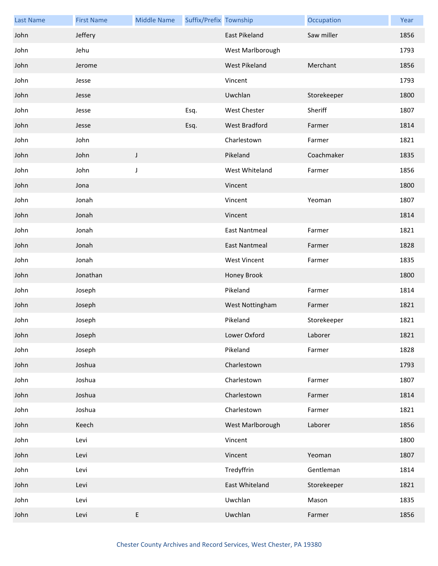| <b>Last Name</b> | <b>First Name</b> | <b>Middle Name</b> | Suffix/Prefix Township |                      | Occupation  | Year |
|------------------|-------------------|--------------------|------------------------|----------------------|-------------|------|
| John             | Jeffery           |                    |                        | East Pikeland        | Saw miller  | 1856 |
| John             | Jehu              |                    |                        | West Marlborough     |             | 1793 |
| John             | Jerome            |                    |                        | <b>West Pikeland</b> | Merchant    | 1856 |
| John             | Jesse             |                    |                        | Vincent              |             | 1793 |
| John             | Jesse             |                    |                        | Uwchlan              | Storekeeper | 1800 |
| John             | Jesse             |                    | Esq.                   | <b>West Chester</b>  | Sheriff     | 1807 |
| John             | Jesse             |                    | Esq.                   | West Bradford        | Farmer      | 1814 |
| John             | John              |                    |                        | Charlestown          | Farmer      | 1821 |
| John             | John              | J                  |                        | Pikeland             | Coachmaker  | 1835 |
| John             | John              | J                  |                        | West Whiteland       | Farmer      | 1856 |
| John             | Jona              |                    |                        | Vincent              |             | 1800 |
| John             | Jonah             |                    |                        | Vincent              | Yeoman      | 1807 |
| John             | Jonah             |                    |                        | Vincent              |             | 1814 |
| John             | Jonah             |                    |                        | <b>East Nantmeal</b> | Farmer      | 1821 |
| John             | Jonah             |                    |                        | <b>East Nantmeal</b> | Farmer      | 1828 |
| John             | Jonah             |                    |                        | <b>West Vincent</b>  | Farmer      | 1835 |
| John             | Jonathan          |                    |                        | Honey Brook          |             | 1800 |
| John             | Joseph            |                    |                        | Pikeland             | Farmer      | 1814 |
| John             | Joseph            |                    |                        | West Nottingham      | Farmer      | 1821 |
| John             | Joseph            |                    |                        | Pikeland             | Storekeeper | 1821 |
| John             | Joseph            |                    |                        | Lower Oxford         | Laborer     | 1821 |
| John             | Joseph            |                    |                        | Pikeland             | Farmer      | 1828 |
| John             | Joshua            |                    |                        | Charlestown          |             | 1793 |
| John             | Joshua            |                    |                        | Charlestown          | Farmer      | 1807 |
| John             | Joshua            |                    |                        | Charlestown          | Farmer      | 1814 |
| John             | Joshua            |                    |                        | Charlestown          | Farmer      | 1821 |
| John             | Keech             |                    |                        | West Marlborough     | Laborer     | 1856 |
| John             | Levi              |                    |                        | Vincent              |             | 1800 |
| John             | Levi              |                    |                        | Vincent              | Yeoman      | 1807 |
| John             | Levi              |                    |                        | Tredyffrin           | Gentleman   | 1814 |
| John             | Levi              |                    |                        | East Whiteland       | Storekeeper | 1821 |
| John             | Levi              |                    |                        | Uwchlan              | Mason       | 1835 |
| John             | Levi              | E                  |                        | Uwchlan              | Farmer      | 1856 |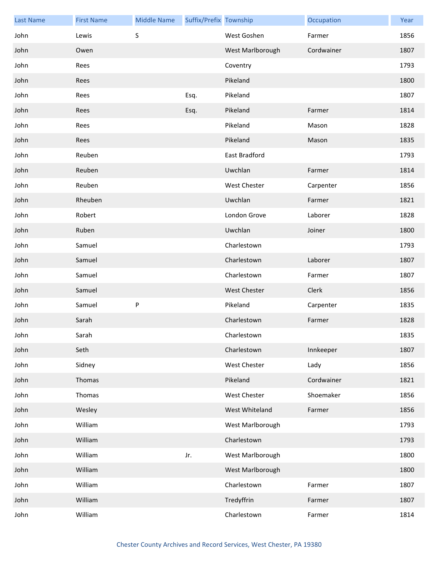| <b>Last Name</b> | <b>First Name</b> | <b>Middle Name</b> | Suffix/Prefix Township |                     | Occupation | Year |
|------------------|-------------------|--------------------|------------------------|---------------------|------------|------|
| John             | Lewis             | S                  |                        | West Goshen         | Farmer     | 1856 |
| John             | Owen              |                    |                        | West Marlborough    | Cordwainer | 1807 |
| John             | Rees              |                    |                        | Coventry            |            | 1793 |
| John             | Rees              |                    |                        | Pikeland            |            | 1800 |
| John             | Rees              |                    | Esq.                   | Pikeland            |            | 1807 |
| John             | Rees              |                    | Esq.                   | Pikeland            | Farmer     | 1814 |
| John             | Rees              |                    |                        | Pikeland            | Mason      | 1828 |
| John             | Rees              |                    |                        | Pikeland            | Mason      | 1835 |
| John             | Reuben            |                    |                        | East Bradford       |            | 1793 |
| John             | Reuben            |                    |                        | Uwchlan             | Farmer     | 1814 |
| John             | Reuben            |                    |                        | West Chester        | Carpenter  | 1856 |
| John             | Rheuben           |                    |                        | Uwchlan             | Farmer     | 1821 |
| John             | Robert            |                    |                        | London Grove        | Laborer    | 1828 |
| John             | Ruben             |                    |                        | Uwchlan             | Joiner     | 1800 |
| John             | Samuel            |                    |                        | Charlestown         |            | 1793 |
| John             | Samuel            |                    |                        | Charlestown         | Laborer    | 1807 |
| John             | Samuel            |                    |                        | Charlestown         | Farmer     | 1807 |
| John             | Samuel            |                    |                        | <b>West Chester</b> | Clerk      | 1856 |
| John             | Samuel            | P                  |                        | Pikeland            | Carpenter  | 1835 |
| John             | Sarah             |                    |                        | Charlestown         | Farmer     | 1828 |
| John             | Sarah             |                    |                        | Charlestown         |            | 1835 |
| John             | Seth              |                    |                        | Charlestown         | Innkeeper  | 1807 |
| John             | Sidney            |                    |                        | West Chester        | Lady       | 1856 |
| John             | Thomas            |                    |                        | Pikeland            | Cordwainer | 1821 |
| John             | Thomas            |                    |                        | West Chester        | Shoemaker  | 1856 |
| John             | Wesley            |                    |                        | West Whiteland      | Farmer     | 1856 |
| John             | William           |                    |                        | West Marlborough    |            | 1793 |
| John             | William           |                    |                        | Charlestown         |            | 1793 |
| John             | William           |                    | Jr.                    | West Marlborough    |            | 1800 |
| John             | William           |                    |                        | West Marlborough    |            | 1800 |
| John             | William           |                    |                        | Charlestown         | Farmer     | 1807 |
| John             | William           |                    |                        | Tredyffrin          | Farmer     | 1807 |
| John             | William           |                    |                        | Charlestown         | Farmer     | 1814 |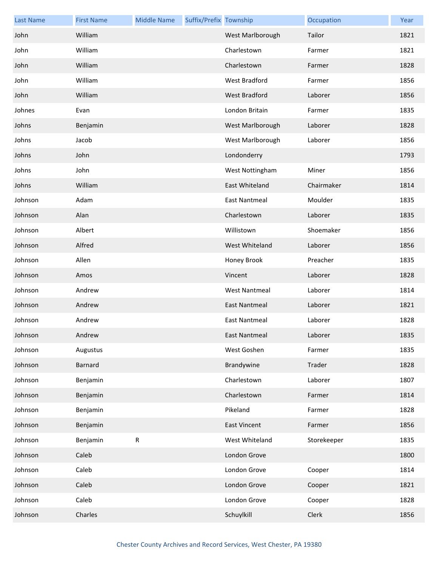| <b>Last Name</b> | <b>First Name</b> | <b>Middle Name</b> | Suffix/Prefix Township |                      | Occupation  | Year |
|------------------|-------------------|--------------------|------------------------|----------------------|-------------|------|
| John             | William           |                    |                        | West Marlborough     | Tailor      | 1821 |
| John             | William           |                    |                        | Charlestown          | Farmer      | 1821 |
| John             | William           |                    |                        | Charlestown          | Farmer      | 1828 |
| John             | William           |                    |                        | West Bradford        | Farmer      | 1856 |
| John             | William           |                    |                        | West Bradford        | Laborer     | 1856 |
| Johnes           | Evan              |                    |                        | London Britain       | Farmer      | 1835 |
| Johns            | Benjamin          |                    |                        | West Marlborough     | Laborer     | 1828 |
| Johns            | Jacob             |                    |                        | West Marlborough     | Laborer     | 1856 |
| Johns            | John              |                    |                        | Londonderry          |             | 1793 |
| Johns            | John              |                    |                        | West Nottingham      | Miner       | 1856 |
| Johns            | William           |                    |                        | East Whiteland       | Chairmaker  | 1814 |
| Johnson          | Adam              |                    |                        | <b>East Nantmeal</b> | Moulder     | 1835 |
| Johnson          | Alan              |                    |                        | Charlestown          | Laborer     | 1835 |
| Johnson          | Albert            |                    |                        | Willistown           | Shoemaker   | 1856 |
| Johnson          | Alfred            |                    |                        | West Whiteland       | Laborer     | 1856 |
| Johnson          | Allen             |                    |                        | Honey Brook          | Preacher    | 1835 |
| Johnson          | Amos              |                    |                        | Vincent              | Laborer     | 1828 |
| Johnson          | Andrew            |                    |                        | <b>West Nantmeal</b> | Laborer     | 1814 |
| Johnson          | Andrew            |                    |                        | <b>East Nantmeal</b> | Laborer     | 1821 |
| Johnson          | Andrew            |                    |                        | <b>East Nantmeal</b> | Laborer     | 1828 |
| Johnson          | Andrew            |                    |                        | <b>East Nantmeal</b> | Laborer     | 1835 |
| Johnson          | Augustus          |                    |                        | West Goshen          | Farmer      | 1835 |
| Johnson          | <b>Barnard</b>    |                    |                        | Brandywine           | Trader      | 1828 |
| Johnson          | Benjamin          |                    |                        | Charlestown          | Laborer     | 1807 |
| Johnson          | Benjamin          |                    |                        | Charlestown          | Farmer      | 1814 |
| Johnson          | Benjamin          |                    |                        | Pikeland             | Farmer      | 1828 |
| Johnson          | Benjamin          |                    |                        | <b>East Vincent</b>  | Farmer      | 1856 |
| Johnson          | Benjamin          | ${\sf R}$          |                        | West Whiteland       | Storekeeper | 1835 |
| Johnson          | Caleb             |                    |                        | London Grove         |             | 1800 |
| Johnson          | Caleb             |                    |                        | London Grove         | Cooper      | 1814 |
| Johnson          | Caleb             |                    |                        | London Grove         | Cooper      | 1821 |
| Johnson          | Caleb             |                    |                        | London Grove         | Cooper      | 1828 |
| Johnson          | Charles           |                    |                        | Schuylkill           | Clerk       | 1856 |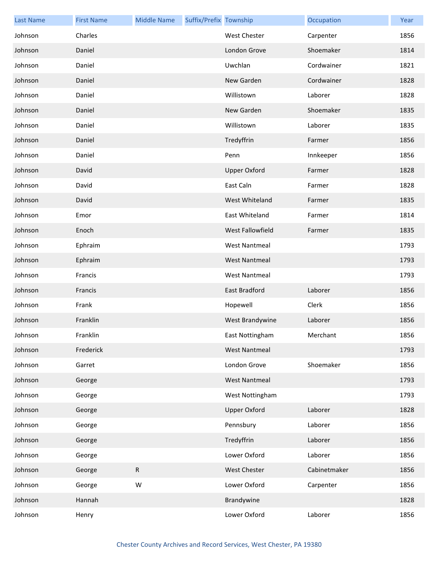| <b>Last Name</b> | <b>First Name</b> | <b>Middle Name</b> | Suffix/Prefix Township |                      | Occupation   | Year |
|------------------|-------------------|--------------------|------------------------|----------------------|--------------|------|
| Johnson          | Charles           |                    |                        | West Chester         | Carpenter    | 1856 |
| Johnson          | Daniel            |                    |                        | London Grove         | Shoemaker    | 1814 |
| Johnson          | Daniel            |                    |                        | Uwchlan              | Cordwainer   | 1821 |
| Johnson          | Daniel            |                    |                        | New Garden           | Cordwainer   | 1828 |
| Johnson          | Daniel            |                    |                        | Willistown           | Laborer      | 1828 |
| Johnson          | Daniel            |                    |                        | New Garden           | Shoemaker    | 1835 |
| Johnson          | Daniel            |                    |                        | Willistown           | Laborer      | 1835 |
| Johnson          | Daniel            |                    |                        | Tredyffrin           | Farmer       | 1856 |
| Johnson          | Daniel            |                    |                        | Penn                 | Innkeeper    | 1856 |
| Johnson          | David             |                    |                        | <b>Upper Oxford</b>  | Farmer       | 1828 |
| Johnson          | David             |                    |                        | East Caln            | Farmer       | 1828 |
| Johnson          | David             |                    |                        | West Whiteland       | Farmer       | 1835 |
| Johnson          | Emor              |                    |                        | East Whiteland       | Farmer       | 1814 |
| Johnson          | Enoch             |                    |                        | West Fallowfield     | Farmer       | 1835 |
| Johnson          | Ephraim           |                    |                        | <b>West Nantmeal</b> |              | 1793 |
| Johnson          | Ephraim           |                    |                        | <b>West Nantmeal</b> |              | 1793 |
| Johnson          | Francis           |                    |                        | <b>West Nantmeal</b> |              | 1793 |
| Johnson          | Francis           |                    |                        | East Bradford        | Laborer      | 1856 |
| Johnson          | Frank             |                    |                        | Hopewell             | Clerk        | 1856 |
| Johnson          | Franklin          |                    |                        | West Brandywine      | Laborer      | 1856 |
| Johnson          | Franklin          |                    |                        | East Nottingham      | Merchant     | 1856 |
| Johnson          | Frederick         |                    |                        | <b>West Nantmeal</b> |              | 1793 |
| Johnson          | Garret            |                    |                        | London Grove         | Shoemaker    | 1856 |
| Johnson          | George            |                    |                        | <b>West Nantmeal</b> |              | 1793 |
| Johnson          | George            |                    |                        | West Nottingham      |              | 1793 |
| Johnson          | George            |                    |                        | <b>Upper Oxford</b>  | Laborer      | 1828 |
| Johnson          | George            |                    |                        | Pennsbury            | Laborer      | 1856 |
| Johnson          | George            |                    |                        | Tredyffrin           | Laborer      | 1856 |
| Johnson          | George            |                    |                        | Lower Oxford         | Laborer      | 1856 |
| Johnson          | George            | ${\sf R}$          |                        | <b>West Chester</b>  | Cabinetmaker | 1856 |
| Johnson          | George            | W                  |                        | Lower Oxford         | Carpenter    | 1856 |
| Johnson          | Hannah            |                    |                        | Brandywine           |              | 1828 |
| Johnson          | Henry             |                    |                        | Lower Oxford         | Laborer      | 1856 |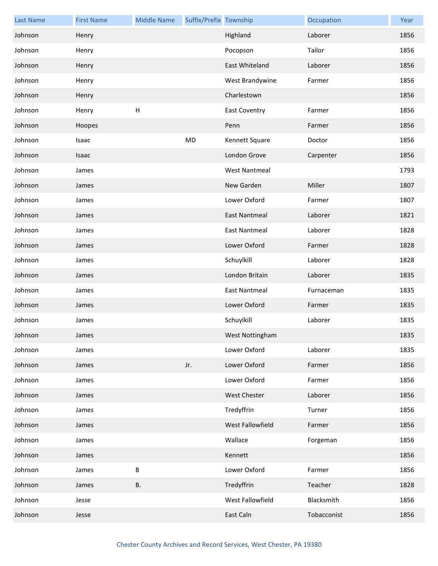| <b>Last Name</b> | <b>First Name</b> | <b>Middle Name</b> | Suffix/Prefix Township |                      | Occupation  | Year |
|------------------|-------------------|--------------------|------------------------|----------------------|-------------|------|
| Johnson          | Henry             |                    |                        | Highland             | Laborer     | 1856 |
| Johnson          | Henry             |                    |                        | Pocopson             | Tailor      | 1856 |
| Johnson          | Henry             |                    |                        | East Whiteland       | Laborer     | 1856 |
| Johnson          | Henry             |                    |                        | West Brandywine      | Farmer      | 1856 |
| Johnson          | Henry             |                    |                        | Charlestown          |             | 1856 |
| Johnson          | Henry             | H                  |                        | <b>East Coventry</b> | Farmer      | 1856 |
| Johnson          | Hoopes            |                    |                        | Penn                 | Farmer      | 1856 |
| Johnson          | Isaac             |                    | MD                     | Kennett Square       | Doctor      | 1856 |
| Johnson          | Isaac             |                    |                        | London Grove         | Carpenter   | 1856 |
| Johnson          | James             |                    |                        | <b>West Nantmeal</b> |             | 1793 |
| Johnson          | James             |                    |                        | New Garden           | Miller      | 1807 |
| Johnson          | James             |                    |                        | Lower Oxford         | Farmer      | 1807 |
| Johnson          | James             |                    |                        | <b>East Nantmeal</b> | Laborer     | 1821 |
| Johnson          | James             |                    |                        | East Nantmeal        | Laborer     | 1828 |
| Johnson          | James             |                    |                        | Lower Oxford         | Farmer      | 1828 |
| Johnson          | James             |                    |                        | Schuylkill           | Laborer     | 1828 |
| Johnson          | James             |                    |                        | London Britain       | Laborer     | 1835 |
| Johnson          | James             |                    |                        | East Nantmeal        | Furnaceman  | 1835 |
| Johnson          | James             |                    |                        | Lower Oxford         | Farmer      | 1835 |
| Johnson          | James             |                    |                        | Schuylkill           | Laborer     | 1835 |
| Johnson          | James             |                    |                        | West Nottingham      |             | 1835 |
| Johnson          | James             |                    |                        | Lower Oxford         | Laborer     | 1835 |
| Johnson          | James             |                    | Jr.                    | Lower Oxford         | Farmer      | 1856 |
| Johnson          | James             |                    |                        | Lower Oxford         | Farmer      | 1856 |
| Johnson          | James             |                    |                        | West Chester         | Laborer     | 1856 |
| Johnson          | James             |                    |                        | Tredyffrin           | Turner      | 1856 |
| Johnson          | James             |                    |                        | West Fallowfield     | Farmer      | 1856 |
| Johnson          | James             |                    |                        | Wallace              | Forgeman    | 1856 |
| Johnson          | James             |                    |                        | Kennett              |             | 1856 |
| Johnson          | James             | $\sf B$            |                        | Lower Oxford         | Farmer      | 1856 |
| Johnson          | James             | <b>B.</b>          |                        | Tredyffrin           | Teacher     | 1828 |
| Johnson          | Jesse             |                    |                        | West Fallowfield     | Blacksmith  | 1856 |
| Johnson          | Jesse             |                    |                        | East Caln            | Tobacconist | 1856 |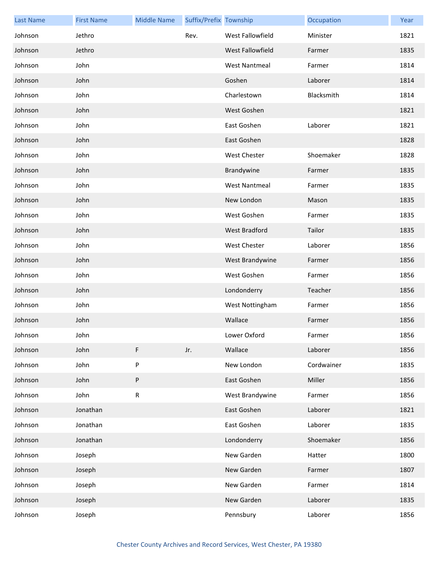| <b>Last Name</b> | <b>First Name</b> | <b>Middle Name</b> | Suffix/Prefix Township |                      | Occupation | Year |
|------------------|-------------------|--------------------|------------------------|----------------------|------------|------|
| Johnson          | Jethro            |                    | Rev.                   | West Fallowfield     | Minister   | 1821 |
| Johnson          | Jethro            |                    |                        | West Fallowfield     | Farmer     | 1835 |
| Johnson          | John              |                    |                        | <b>West Nantmeal</b> | Farmer     | 1814 |
| Johnson          | John              |                    |                        | Goshen               | Laborer    | 1814 |
| Johnson          | John              |                    |                        | Charlestown          | Blacksmith | 1814 |
| Johnson          | John              |                    |                        | West Goshen          |            | 1821 |
| Johnson          | John              |                    |                        | East Goshen          | Laborer    | 1821 |
| Johnson          | John              |                    |                        | East Goshen          |            | 1828 |
| Johnson          | John              |                    |                        | West Chester         | Shoemaker  | 1828 |
| Johnson          | John              |                    |                        | Brandywine           | Farmer     | 1835 |
| Johnson          | John              |                    |                        | <b>West Nantmeal</b> | Farmer     | 1835 |
| Johnson          | John              |                    |                        | New London           | Mason      | 1835 |
| Johnson          | John              |                    |                        | West Goshen          | Farmer     | 1835 |
| Johnson          | John              |                    |                        | West Bradford        | Tailor     | 1835 |
| Johnson          | John              |                    |                        | <b>West Chester</b>  | Laborer    | 1856 |
| Johnson          | John              |                    |                        | West Brandywine      | Farmer     | 1856 |
| Johnson          | John              |                    |                        | West Goshen          | Farmer     | 1856 |
| Johnson          | John              |                    |                        | Londonderry          | Teacher    | 1856 |
| Johnson          | John              |                    |                        | West Nottingham      | Farmer     | 1856 |
| Johnson          | John              |                    |                        | Wallace              | Farmer     | 1856 |
| Johnson          | John              |                    |                        | Lower Oxford         | Farmer     | 1856 |
| Johnson          | John              | F                  | Jr.                    | Wallace              | Laborer    | 1856 |
| Johnson          | John              | P                  |                        | New London           | Cordwainer | 1835 |
| Johnson          | John              | P                  |                        | East Goshen          | Miller     | 1856 |
| Johnson          | John              | R                  |                        | West Brandywine      | Farmer     | 1856 |
| Johnson          | Jonathan          |                    |                        | East Goshen          | Laborer    | 1821 |
| Johnson          | Jonathan          |                    |                        | East Goshen          | Laborer    | 1835 |
| Johnson          | Jonathan          |                    |                        | Londonderry          | Shoemaker  | 1856 |
| Johnson          | Joseph            |                    |                        | New Garden           | Hatter     | 1800 |
| Johnson          | Joseph            |                    |                        | New Garden           | Farmer     | 1807 |
| Johnson          | Joseph            |                    |                        | New Garden           | Farmer     | 1814 |
| Johnson          | Joseph            |                    |                        | New Garden           | Laborer    | 1835 |
| Johnson          | Joseph            |                    |                        | Pennsbury            | Laborer    | 1856 |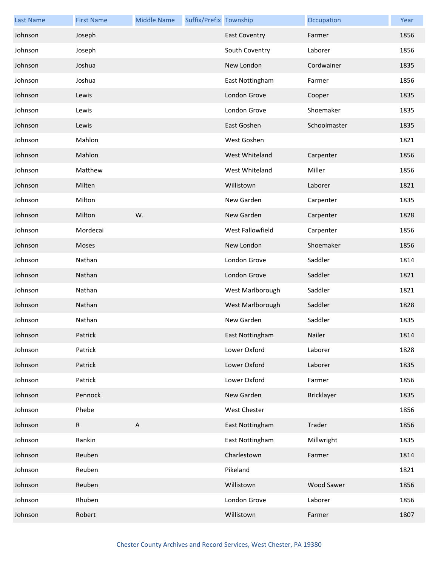| <b>Last Name</b> | <b>First Name</b> | <b>Middle Name</b>        | Suffix/Prefix Township |                      | Occupation   | Year |
|------------------|-------------------|---------------------------|------------------------|----------------------|--------------|------|
| Johnson          | Joseph            |                           |                        | <b>East Coventry</b> | Farmer       | 1856 |
| Johnson          | Joseph            |                           |                        | South Coventry       | Laborer      | 1856 |
| Johnson          | Joshua            |                           |                        | New London           | Cordwainer   | 1835 |
| Johnson          | Joshua            |                           |                        | East Nottingham      | Farmer       | 1856 |
| Johnson          | Lewis             |                           |                        | London Grove         | Cooper       | 1835 |
| Johnson          | Lewis             |                           |                        | London Grove         | Shoemaker    | 1835 |
| Johnson          | Lewis             |                           |                        | East Goshen          | Schoolmaster | 1835 |
| Johnson          | Mahlon            |                           |                        | West Goshen          |              | 1821 |
| Johnson          | Mahlon            |                           |                        | West Whiteland       | Carpenter    | 1856 |
| Johnson          | Matthew           |                           |                        | West Whiteland       | Miller       | 1856 |
| Johnson          | Milten            |                           |                        | Willistown           | Laborer      | 1821 |
| Johnson          | Milton            |                           |                        | New Garden           | Carpenter    | 1835 |
| Johnson          | Milton            | W.                        |                        | New Garden           | Carpenter    | 1828 |
| Johnson          | Mordecai          |                           |                        | West Fallowfield     | Carpenter    | 1856 |
| Johnson          | Moses             |                           |                        | New London           | Shoemaker    | 1856 |
| Johnson          | Nathan            |                           |                        | London Grove         | Saddler      | 1814 |
| Johnson          | Nathan            |                           |                        | London Grove         | Saddler      | 1821 |
| Johnson          | Nathan            |                           |                        | West Marlborough     | Saddler      | 1821 |
| Johnson          | Nathan            |                           |                        | West Marlborough     | Saddler      | 1828 |
| Johnson          | Nathan            |                           |                        | New Garden           | Saddler      | 1835 |
| Johnson          | Patrick           |                           |                        | East Nottingham      | Nailer       | 1814 |
| Johnson          | Patrick           |                           |                        | Lower Oxford         | Laborer      | 1828 |
| Johnson          | Patrick           |                           |                        | Lower Oxford         | Laborer      | 1835 |
| Johnson          | Patrick           |                           |                        | Lower Oxford         | Farmer       | 1856 |
| Johnson          | Pennock           |                           |                        | New Garden           | Bricklayer   | 1835 |
| Johnson          | Phebe             |                           |                        | West Chester         |              | 1856 |
| Johnson          | $\mathsf R$       | $\boldsymbol{\mathsf{A}}$ |                        | East Nottingham      | Trader       | 1856 |
| Johnson          | Rankin            |                           |                        | East Nottingham      | Millwright   | 1835 |
| Johnson          | Reuben            |                           |                        | Charlestown          | Farmer       | 1814 |
| Johnson          | Reuben            |                           |                        | Pikeland             |              | 1821 |
| Johnson          | Reuben            |                           |                        | Willistown           | Wood Sawer   | 1856 |
| Johnson          | Rhuben            |                           |                        | London Grove         | Laborer      | 1856 |
| Johnson          | Robert            |                           |                        | Willistown           | Farmer       | 1807 |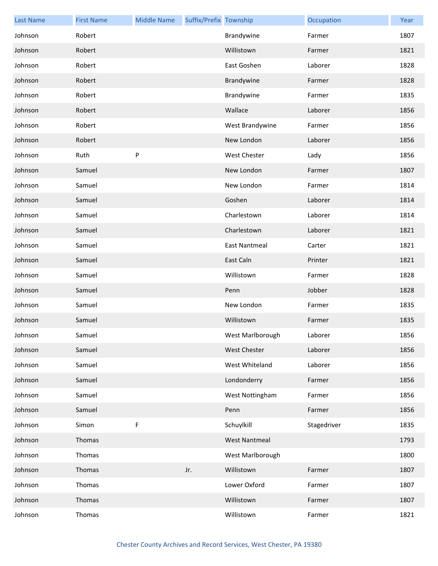| <b>Last Name</b> | <b>First Name</b> | <b>Middle Name</b> | Suffix/Prefix Township |                      | Occupation  | Year |
|------------------|-------------------|--------------------|------------------------|----------------------|-------------|------|
| Johnson          | Robert            |                    |                        | Brandywine           | Farmer      | 1807 |
| Johnson          | Robert            |                    |                        | Willistown           | Farmer      | 1821 |
| Johnson          | Robert            |                    |                        | East Goshen          | Laborer     | 1828 |
| Johnson          | Robert            |                    |                        | Brandywine           | Farmer      | 1828 |
| Johnson          | Robert            |                    |                        | Brandywine           | Farmer      | 1835 |
| Johnson          | Robert            |                    |                        | Wallace              | Laborer     | 1856 |
| Johnson          | Robert            |                    |                        | West Brandywine      | Farmer      | 1856 |
| Johnson          | Robert            |                    |                        | New London           | Laborer     | 1856 |
| Johnson          | Ruth              | P                  |                        | <b>West Chester</b>  | Lady        | 1856 |
| Johnson          | Samuel            |                    |                        | New London           | Farmer      | 1807 |
| Johnson          | Samuel            |                    |                        | New London           | Farmer      | 1814 |
| Johnson          | Samuel            |                    |                        | Goshen               | Laborer     | 1814 |
| Johnson          | Samuel            |                    |                        | Charlestown          | Laborer     | 1814 |
| Johnson          | Samuel            |                    |                        | Charlestown          | Laborer     | 1821 |
| Johnson          | Samuel            |                    |                        | <b>East Nantmeal</b> | Carter      | 1821 |
| Johnson          | Samuel            |                    |                        | East Caln            | Printer     | 1821 |
| Johnson          | Samuel            |                    |                        | Willistown           | Farmer      | 1828 |
| Johnson          | Samuel            |                    |                        | Penn                 | Jobber      | 1828 |
| Johnson          | Samuel            |                    |                        | New London           | Farmer      | 1835 |
| Johnson          | Samuel            |                    |                        | Willistown           | Farmer      | 1835 |
| Johnson          | Samuel            |                    |                        | West Marlborough     | Laborer     | 1856 |
| Johnson          | Samuel            |                    |                        | <b>West Chester</b>  | Laborer     | 1856 |
| Johnson          | Samuel            |                    |                        | West Whiteland       | Laborer     | 1856 |
| Johnson          | Samuel            |                    |                        | Londonderry          | Farmer      | 1856 |
| Johnson          | Samuel            |                    |                        | West Nottingham      | Farmer      | 1856 |
| Johnson          | Samuel            |                    |                        | Penn                 | Farmer      | 1856 |
| Johnson          | Simon             | F                  |                        | Schuylkill           | Stagedriver | 1835 |
| Johnson          | Thomas            |                    |                        | <b>West Nantmeal</b> |             | 1793 |
| Johnson          | Thomas            |                    |                        | West Marlborough     |             | 1800 |
| Johnson          | Thomas            |                    | Jr.                    | Willistown           | Farmer      | 1807 |
| Johnson          | Thomas            |                    |                        | Lower Oxford         | Farmer      | 1807 |
| Johnson          | Thomas            |                    |                        | Willistown           | Farmer      | 1807 |
| Johnson          | Thomas            |                    |                        | Willistown           | Farmer      | 1821 |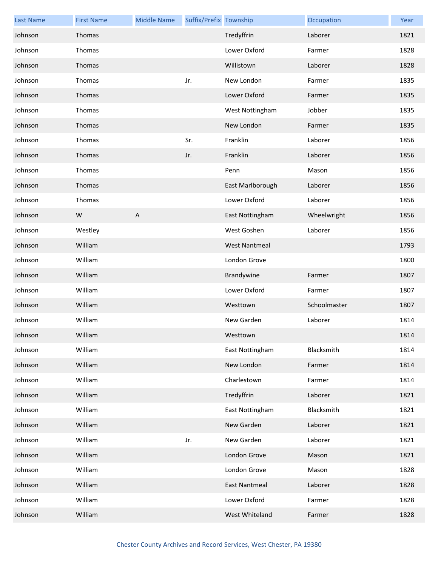| <b>Last Name</b> | <b>First Name</b> | <b>Middle Name</b> | Suffix/Prefix Township |                      | Occupation   | Year |
|------------------|-------------------|--------------------|------------------------|----------------------|--------------|------|
| Johnson          | Thomas            |                    |                        | Tredyffrin           | Laborer      | 1821 |
| Johnson          | Thomas            |                    |                        | Lower Oxford         | Farmer       | 1828 |
| Johnson          | Thomas            |                    |                        | Willistown           | Laborer      | 1828 |
| Johnson          | Thomas            |                    | Jr.                    | New London           | Farmer       | 1835 |
| Johnson          | Thomas            |                    |                        | Lower Oxford         | Farmer       | 1835 |
| Johnson          | Thomas            |                    |                        | West Nottingham      | Jobber       | 1835 |
| Johnson          | Thomas            |                    |                        | New London           | Farmer       | 1835 |
| Johnson          | Thomas            |                    | Sr.                    | Franklin             | Laborer      | 1856 |
| Johnson          | Thomas            |                    | Jr.                    | Franklin             | Laborer      | 1856 |
| Johnson          | Thomas            |                    |                        | Penn                 | Mason        | 1856 |
| Johnson          | Thomas            |                    |                        | East Marlborough     | Laborer      | 1856 |
| Johnson          | Thomas            |                    |                        | Lower Oxford         | Laborer      | 1856 |
| Johnson          | W                 | $\overline{A}$     |                        | East Nottingham      | Wheelwright  | 1856 |
| Johnson          | Westley           |                    |                        | West Goshen          | Laborer      | 1856 |
| Johnson          | William           |                    |                        | <b>West Nantmeal</b> |              | 1793 |
| Johnson          | William           |                    |                        | London Grove         |              | 1800 |
| Johnson          | William           |                    |                        | Brandywine           | Farmer       | 1807 |
| Johnson          | William           |                    |                        | Lower Oxford         | Farmer       | 1807 |
| Johnson          | William           |                    |                        | Westtown             | Schoolmaster | 1807 |
| Johnson          | William           |                    |                        | New Garden           | Laborer      | 1814 |
| Johnson          | William           |                    |                        | Westtown             |              | 1814 |
| Johnson          | William           |                    |                        | East Nottingham      | Blacksmith   | 1814 |
| Johnson          | William           |                    |                        | New London           | Farmer       | 1814 |
| Johnson          | William           |                    |                        | Charlestown          | Farmer       | 1814 |
| Johnson          | William           |                    |                        | Tredyffrin           | Laborer      | 1821 |
| Johnson          | William           |                    |                        | East Nottingham      | Blacksmith   | 1821 |
| Johnson          | William           |                    |                        | New Garden           | Laborer      | 1821 |
| Johnson          | William           |                    | Jr.                    | New Garden           | Laborer      | 1821 |
| Johnson          | William           |                    |                        | London Grove         | Mason        | 1821 |
| Johnson          | William           |                    |                        | London Grove         | Mason        | 1828 |
| Johnson          | William           |                    |                        | <b>East Nantmeal</b> | Laborer      | 1828 |
| Johnson          | William           |                    |                        | Lower Oxford         | Farmer       | 1828 |
| Johnson          | William           |                    |                        | West Whiteland       | Farmer       | 1828 |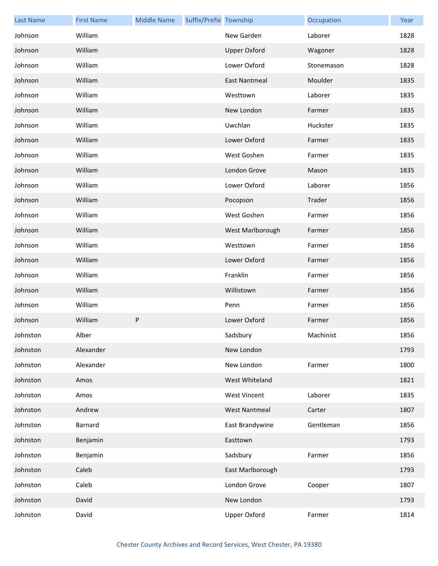| <b>Last Name</b> | <b>First Name</b> | <b>Middle Name</b> | Suffix/Prefix Township |                      | Occupation | Year |
|------------------|-------------------|--------------------|------------------------|----------------------|------------|------|
| Johnson          | William           |                    |                        | New Garden           | Laborer    | 1828 |
| Johnson          | William           |                    |                        | <b>Upper Oxford</b>  | Wagoner    | 1828 |
| Johnson          | William           |                    |                        | Lower Oxford         | Stonemason | 1828 |
| Johnson          | William           |                    |                        | <b>East Nantmeal</b> | Moulder    | 1835 |
| Johnson          | William           |                    |                        | Westtown             | Laborer    | 1835 |
| Johnson          | William           |                    |                        | New London           | Farmer     | 1835 |
| Johnson          | William           |                    |                        | Uwchlan              | Huckster   | 1835 |
| Johnson          | William           |                    |                        | Lower Oxford         | Farmer     | 1835 |
| Johnson          | William           |                    |                        | West Goshen          | Farmer     | 1835 |
| Johnson          | William           |                    |                        | London Grove         | Mason      | 1835 |
| Johnson          | William           |                    |                        | Lower Oxford         | Laborer    | 1856 |
| Johnson          | William           |                    |                        | Pocopson             | Trader     | 1856 |
| Johnson          | William           |                    |                        | West Goshen          | Farmer     | 1856 |
| Johnson          | William           |                    |                        | West Marlborough     | Farmer     | 1856 |
| Johnson          | William           |                    |                        | Westtown             | Farmer     | 1856 |
| Johnson          | William           |                    |                        | Lower Oxford         | Farmer     | 1856 |
| Johnson          | William           |                    |                        | Franklin             | Farmer     | 1856 |
| Johnson          | William           |                    |                        | Willistown           | Farmer     | 1856 |
| Johnson          | William           |                    |                        | Penn                 | Farmer     | 1856 |
| Johnson          | William           | P                  |                        | Lower Oxford         | Farmer     | 1856 |
| Johnston         | Alber             |                    |                        | Sadsbury             | Machinist  | 1856 |
| Johnston         | Alexander         |                    |                        | New London           |            | 1793 |
| Johnston         | Alexander         |                    |                        | New London           | Farmer     | 1800 |
| Johnston         | Amos              |                    |                        | West Whiteland       |            | 1821 |
| Johnston         | Amos              |                    |                        | <b>West Vincent</b>  | Laborer    | 1835 |
| Johnston         | Andrew            |                    |                        | <b>West Nantmeal</b> | Carter     | 1807 |
| Johnston         | Barnard           |                    |                        | East Brandywine      | Gentleman  | 1856 |
| Johnston         | Benjamin          |                    |                        | Easttown             |            | 1793 |
| Johnston         | Benjamin          |                    |                        | Sadsbury             | Farmer     | 1856 |
| Johnston         | Caleb             |                    |                        | East Marlborough     |            | 1793 |
| Johnston         | Caleb             |                    |                        | London Grove         | Cooper     | 1807 |
| Johnston         | David             |                    |                        | New London           |            | 1793 |
| Johnston         | David             |                    |                        | <b>Upper Oxford</b>  | Farmer     | 1814 |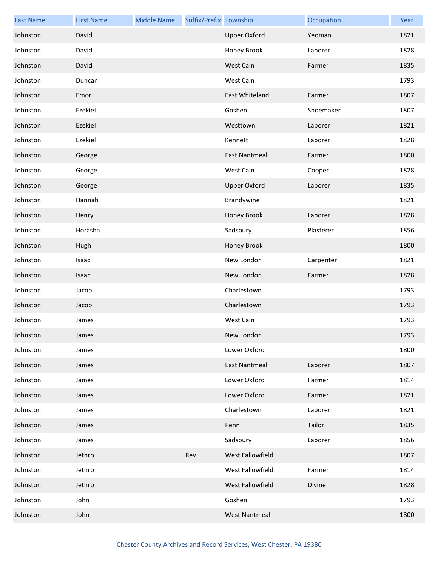| <b>Last Name</b> | <b>First Name</b> | <b>Middle Name</b> | Suffix/Prefix Township |                      | Occupation | Year |
|------------------|-------------------|--------------------|------------------------|----------------------|------------|------|
| Johnston         | David             |                    |                        | <b>Upper Oxford</b>  | Yeoman     | 1821 |
| Johnston         | David             |                    |                        | Honey Brook          | Laborer    | 1828 |
| Johnston         | David             |                    |                        | West Caln            | Farmer     | 1835 |
| Johnston         | Duncan            |                    |                        | West Caln            |            | 1793 |
| Johnston         | Emor              |                    |                        | East Whiteland       | Farmer     | 1807 |
| Johnston         | Ezekiel           |                    |                        | Goshen               | Shoemaker  | 1807 |
| Johnston         | Ezekiel           |                    |                        | Westtown             | Laborer    | 1821 |
| Johnston         | Ezekiel           |                    |                        | Kennett              | Laborer    | 1828 |
| Johnston         | George            |                    |                        | <b>East Nantmeal</b> | Farmer     | 1800 |
| Johnston         | George            |                    |                        | West Caln            | Cooper     | 1828 |
| Johnston         | George            |                    |                        | <b>Upper Oxford</b>  | Laborer    | 1835 |
| Johnston         | Hannah            |                    |                        | Brandywine           |            | 1821 |
| Johnston         | Henry             |                    |                        | Honey Brook          | Laborer    | 1828 |
| Johnston         | Horasha           |                    |                        | Sadsbury             | Plasterer  | 1856 |
| Johnston         | Hugh              |                    |                        | Honey Brook          |            | 1800 |
| Johnston         | Isaac             |                    |                        | New London           | Carpenter  | 1821 |
| Johnston         | Isaac             |                    |                        | New London           | Farmer     | 1828 |
| Johnston         | Jacob             |                    |                        | Charlestown          |            | 1793 |
| Johnston         | Jacob             |                    |                        | Charlestown          |            | 1793 |
| Johnston         | James             |                    |                        | West Caln            |            | 1793 |
| Johnston         | James             |                    |                        | New London           |            | 1793 |
| Johnston         | James             |                    |                        | Lower Oxford         |            | 1800 |
| Johnston         | James             |                    |                        | <b>East Nantmeal</b> | Laborer    | 1807 |
| Johnston         | James             |                    |                        | Lower Oxford         | Farmer     | 1814 |
| Johnston         | James             |                    |                        | Lower Oxford         | Farmer     | 1821 |
| Johnston         | James             |                    |                        | Charlestown          | Laborer    | 1821 |
| Johnston         | James             |                    |                        | Penn                 | Tailor     | 1835 |
| Johnston         | James             |                    |                        | Sadsbury             | Laborer    | 1856 |
| Johnston         | Jethro            |                    | Rev.                   | West Fallowfield     |            | 1807 |
| Johnston         | Jethro            |                    |                        | West Fallowfield     | Farmer     | 1814 |
| Johnston         | Jethro            |                    |                        | West Fallowfield     | Divine     | 1828 |
| Johnston         | John              |                    |                        | Goshen               |            | 1793 |
| Johnston         | John              |                    |                        | <b>West Nantmeal</b> |            | 1800 |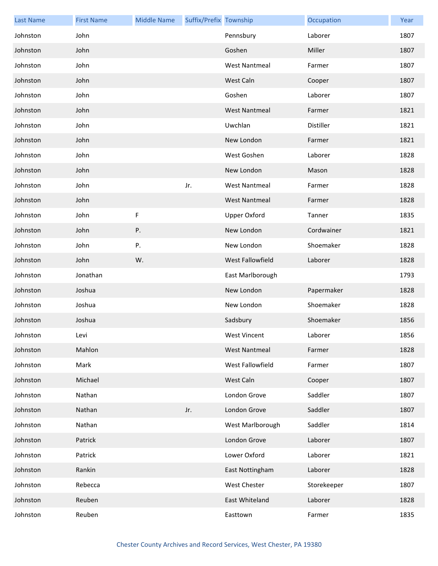| <b>Last Name</b> | <b>First Name</b> | <b>Middle Name</b> | Suffix/Prefix Township |                      | Occupation  | Year |
|------------------|-------------------|--------------------|------------------------|----------------------|-------------|------|
| Johnston         | John              |                    |                        | Pennsbury            | Laborer     | 1807 |
| Johnston         | John              |                    |                        | Goshen               | Miller      | 1807 |
| Johnston         | John              |                    |                        | <b>West Nantmeal</b> | Farmer      | 1807 |
| Johnston         | John              |                    |                        | West Caln            | Cooper      | 1807 |
| Johnston         | John              |                    |                        | Goshen               | Laborer     | 1807 |
| Johnston         | John              |                    |                        | <b>West Nantmeal</b> | Farmer      | 1821 |
| Johnston         | John              |                    |                        | Uwchlan              | Distiller   | 1821 |
| Johnston         | John              |                    |                        | New London           | Farmer      | 1821 |
| Johnston         | John              |                    |                        | West Goshen          | Laborer     | 1828 |
| Johnston         | John              |                    |                        | New London           | Mason       | 1828 |
| Johnston         | John              |                    | Jr.                    | <b>West Nantmeal</b> | Farmer      | 1828 |
| Johnston         | John              |                    |                        | <b>West Nantmeal</b> | Farmer      | 1828 |
| Johnston         | John              | F                  |                        | <b>Upper Oxford</b>  | Tanner      | 1835 |
| Johnston         | John              | Ρ.                 |                        | New London           | Cordwainer  | 1821 |
| Johnston         | John              | Ρ.                 |                        | New London           | Shoemaker   | 1828 |
| Johnston         | John              | W.                 |                        | West Fallowfield     | Laborer     | 1828 |
| Johnston         | Jonathan          |                    |                        | East Marlborough     |             | 1793 |
| Johnston         | Joshua            |                    |                        | New London           | Papermaker  | 1828 |
| Johnston         | Joshua            |                    |                        | New London           | Shoemaker   | 1828 |
| Johnston         | Joshua            |                    |                        | Sadsbury             | Shoemaker   | 1856 |
| Johnston         | Levi              |                    |                        | West Vincent         | Laborer     | 1856 |
| Johnston         | Mahlon            |                    |                        | <b>West Nantmeal</b> | Farmer      | 1828 |
| Johnston         | Mark              |                    |                        | West Fallowfield     | Farmer      | 1807 |
| Johnston         | Michael           |                    |                        | West Caln            | Cooper      | 1807 |
| Johnston         | Nathan            |                    |                        | London Grove         | Saddler     | 1807 |
| Johnston         | Nathan            |                    | Jr.                    | London Grove         | Saddler     | 1807 |
| Johnston         | Nathan            |                    |                        | West Marlborough     | Saddler     | 1814 |
| Johnston         | Patrick           |                    |                        | London Grove         | Laborer     | 1807 |
| Johnston         | Patrick           |                    |                        | Lower Oxford         | Laborer     | 1821 |
| Johnston         | Rankin            |                    |                        | East Nottingham      | Laborer     | 1828 |
| Johnston         | Rebecca           |                    |                        | West Chester         | Storekeeper | 1807 |
| Johnston         | Reuben            |                    |                        | East Whiteland       | Laborer     | 1828 |
| Johnston         | Reuben            |                    |                        | Easttown             | Farmer      | 1835 |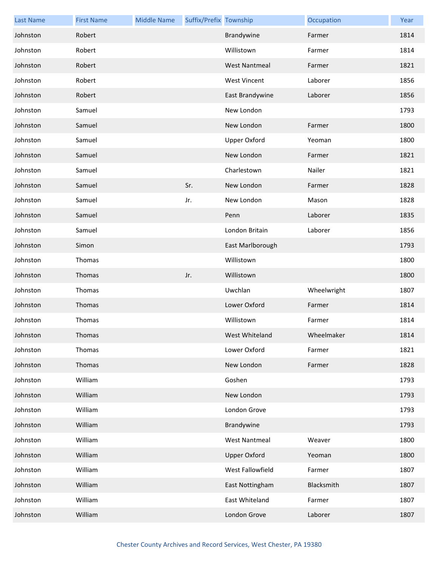| <b>Last Name</b> | <b>First Name</b> | <b>Middle Name</b> | Suffix/Prefix Township |                      | Occupation  | Year |
|------------------|-------------------|--------------------|------------------------|----------------------|-------------|------|
| Johnston         | Robert            |                    |                        | Brandywine           | Farmer      | 1814 |
| Johnston         | Robert            |                    |                        | Willistown           | Farmer      | 1814 |
| Johnston         | Robert            |                    |                        | <b>West Nantmeal</b> | Farmer      | 1821 |
| Johnston         | Robert            |                    |                        | <b>West Vincent</b>  | Laborer     | 1856 |
| Johnston         | Robert            |                    |                        | East Brandywine      | Laborer     | 1856 |
| Johnston         | Samuel            |                    |                        | New London           |             | 1793 |
| Johnston         | Samuel            |                    |                        | New London           | Farmer      | 1800 |
| Johnston         | Samuel            |                    |                        | <b>Upper Oxford</b>  | Yeoman      | 1800 |
| Johnston         | Samuel            |                    |                        | New London           | Farmer      | 1821 |
| Johnston         | Samuel            |                    |                        | Charlestown          | Nailer      | 1821 |
| Johnston         | Samuel            |                    | Sr.                    | New London           | Farmer      | 1828 |
| Johnston         | Samuel            |                    | Jr.                    | New London           | Mason       | 1828 |
| Johnston         | Samuel            |                    |                        | Penn                 | Laborer     | 1835 |
| Johnston         | Samuel            |                    |                        | London Britain       | Laborer     | 1856 |
| Johnston         | Simon             |                    |                        | East Marlborough     |             | 1793 |
| Johnston         | Thomas            |                    |                        | Willistown           |             | 1800 |
| Johnston         | Thomas            |                    | Jr.                    | Willistown           |             | 1800 |
| Johnston         | Thomas            |                    |                        | Uwchlan              | Wheelwright | 1807 |
| Johnston         | Thomas            |                    |                        | Lower Oxford         | Farmer      | 1814 |
| Johnston         | Thomas            |                    |                        | Willistown           | Farmer      | 1814 |
| Johnston         | <b>Thomas</b>     |                    |                        | West Whiteland       | Wheelmaker  | 1814 |
| Johnston         | Thomas            |                    |                        | Lower Oxford         | Farmer      | 1821 |
| Johnston         | Thomas            |                    |                        | New London           | Farmer      | 1828 |
| Johnston         | William           |                    |                        | Goshen               |             | 1793 |
| Johnston         | William           |                    |                        | New London           |             | 1793 |
| Johnston         | William           |                    |                        | London Grove         |             | 1793 |
| Johnston         | William           |                    |                        | Brandywine           |             | 1793 |
| Johnston         | William           |                    |                        | <b>West Nantmeal</b> | Weaver      | 1800 |
| Johnston         | William           |                    |                        | <b>Upper Oxford</b>  | Yeoman      | 1800 |
| Johnston         | William           |                    |                        | West Fallowfield     | Farmer      | 1807 |
| Johnston         | William           |                    |                        | East Nottingham      | Blacksmith  | 1807 |
| Johnston         | William           |                    |                        | East Whiteland       | Farmer      | 1807 |
| Johnston         | William           |                    |                        | London Grove         | Laborer     | 1807 |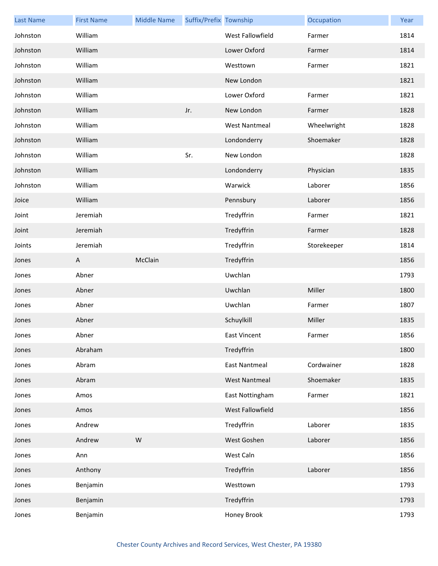| <b>Last Name</b> | <b>First Name</b> | <b>Middle Name</b> | Suffix/Prefix Township |                      | Occupation  | Year |
|------------------|-------------------|--------------------|------------------------|----------------------|-------------|------|
| Johnston         | William           |                    |                        | West Fallowfield     | Farmer      | 1814 |
| Johnston         | William           |                    |                        | Lower Oxford         | Farmer      | 1814 |
| Johnston         | William           |                    |                        | Westtown             | Farmer      | 1821 |
| Johnston         | William           |                    |                        | New London           |             | 1821 |
| Johnston         | William           |                    |                        | Lower Oxford         | Farmer      | 1821 |
| Johnston         | William           |                    | Jr.                    | New London           | Farmer      | 1828 |
| Johnston         | William           |                    |                        | <b>West Nantmeal</b> | Wheelwright | 1828 |
| Johnston         | William           |                    |                        | Londonderry          | Shoemaker   | 1828 |
| Johnston         | William           |                    | Sr.                    | New London           |             | 1828 |
| Johnston         | William           |                    |                        | Londonderry          | Physician   | 1835 |
| Johnston         | William           |                    |                        | Warwick              | Laborer     | 1856 |
| Joice            | William           |                    |                        | Pennsbury            | Laborer     | 1856 |
| Joint            | Jeremiah          |                    |                        | Tredyffrin           | Farmer      | 1821 |
| Joint            | Jeremiah          |                    |                        | Tredyffrin           | Farmer      | 1828 |
| Joints           | Jeremiah          |                    |                        | Tredyffrin           | Storekeeper | 1814 |
| Jones            | A                 | McClain            |                        | Tredyffrin           |             | 1856 |
| Jones            | Abner             |                    |                        | Uwchlan              |             | 1793 |
| Jones            | Abner             |                    |                        | Uwchlan              | Miller      | 1800 |
| Jones            | Abner             |                    |                        | Uwchlan              | Farmer      | 1807 |
| Jones            | Abner             |                    |                        | Schuylkill           | Miller      | 1835 |
| Jones            | Abner             |                    |                        | East Vincent         | Farmer      | 1856 |
| Jones            | Abraham           |                    |                        | Tredyffrin           |             | 1800 |
| Jones            | Abram             |                    |                        | <b>East Nantmeal</b> | Cordwainer  | 1828 |
| Jones            | Abram             |                    |                        | <b>West Nantmeal</b> | Shoemaker   | 1835 |
| Jones            | Amos              |                    |                        | East Nottingham      | Farmer      | 1821 |
| Jones            | Amos              |                    |                        | West Fallowfield     |             | 1856 |
| Jones            | Andrew            |                    |                        | Tredyffrin           | Laborer     | 1835 |
| Jones            | Andrew            | ${\sf W}$          |                        | West Goshen          | Laborer     | 1856 |
| Jones            | Ann               |                    |                        | West Caln            |             | 1856 |
| Jones            | Anthony           |                    |                        | Tredyffrin           | Laborer     | 1856 |
| Jones            | Benjamin          |                    |                        | Westtown             |             | 1793 |
| Jones            | Benjamin          |                    |                        | Tredyffrin           |             | 1793 |
| Jones            | Benjamin          |                    |                        | Honey Brook          |             | 1793 |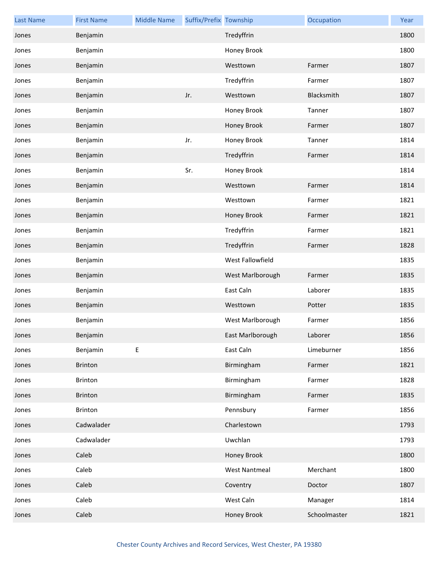| <b>Last Name</b> | <b>First Name</b> | <b>Middle Name</b> | Suffix/Prefix Township |                      | Occupation   | Year |
|------------------|-------------------|--------------------|------------------------|----------------------|--------------|------|
| Jones            | Benjamin          |                    |                        | Tredyffrin           |              | 1800 |
| Jones            | Benjamin          |                    |                        | Honey Brook          |              | 1800 |
| Jones            | Benjamin          |                    |                        | Westtown             | Farmer       | 1807 |
| Jones            | Benjamin          |                    |                        | Tredyffrin           | Farmer       | 1807 |
| Jones            | Benjamin          |                    | Jr.                    | Westtown             | Blacksmith   | 1807 |
| Jones            | Benjamin          |                    |                        | Honey Brook          | Tanner       | 1807 |
| Jones            | Benjamin          |                    |                        | Honey Brook          | Farmer       | 1807 |
| Jones            | Benjamin          |                    | Jr.                    | Honey Brook          | Tanner       | 1814 |
| Jones            | Benjamin          |                    |                        | Tredyffrin           | Farmer       | 1814 |
| Jones            | Benjamin          |                    | Sr.                    | Honey Brook          |              | 1814 |
| Jones            | Benjamin          |                    |                        | Westtown             | Farmer       | 1814 |
| Jones            | Benjamin          |                    |                        | Westtown             | Farmer       | 1821 |
| Jones            | Benjamin          |                    |                        | Honey Brook          | Farmer       | 1821 |
| Jones            | Benjamin          |                    |                        | Tredyffrin           | Farmer       | 1821 |
| Jones            | Benjamin          |                    |                        | Tredyffrin           | Farmer       | 1828 |
| Jones            | Benjamin          |                    |                        | West Fallowfield     |              | 1835 |
| Jones            | Benjamin          |                    |                        | West Marlborough     | Farmer       | 1835 |
| Jones            | Benjamin          |                    |                        | East Caln            | Laborer      | 1835 |
| Jones            | Benjamin          |                    |                        | Westtown             | Potter       | 1835 |
| Jones            | Benjamin          |                    |                        | West Marlborough     | Farmer       | 1856 |
| Jones            | Benjamin          |                    |                        | East Marlborough     | Laborer      | 1856 |
| Jones            | Benjamin          | Е                  |                        | East Caln            | Limeburner   | 1856 |
| Jones            | <b>Brinton</b>    |                    |                        | Birmingham           | Farmer       | 1821 |
| Jones            | Brinton           |                    |                        | Birmingham           | Farmer       | 1828 |
| Jones            | Brinton           |                    |                        | Birmingham           | Farmer       | 1835 |
| Jones            | Brinton           |                    |                        | Pennsbury            | Farmer       | 1856 |
| Jones            | Cadwalader        |                    |                        | Charlestown          |              | 1793 |
| Jones            | Cadwalader        |                    |                        | Uwchlan              |              | 1793 |
| Jones            | Caleb             |                    |                        | Honey Brook          |              | 1800 |
| Jones            | Caleb             |                    |                        | <b>West Nantmeal</b> | Merchant     | 1800 |
| Jones            | Caleb             |                    |                        | Coventry             | Doctor       | 1807 |
| Jones            | Caleb             |                    |                        | West Caln            | Manager      | 1814 |
| Jones            | Caleb             |                    |                        | Honey Brook          | Schoolmaster | 1821 |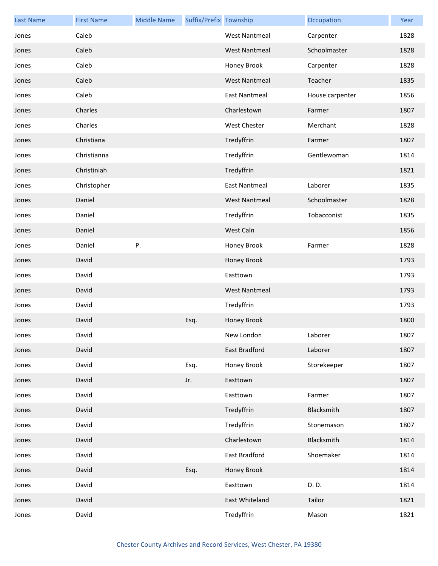| <b>Last Name</b> | <b>First Name</b> | <b>Middle Name</b> | Suffix/Prefix Township |                      | Occupation      | Year |
|------------------|-------------------|--------------------|------------------------|----------------------|-----------------|------|
| Jones            | Caleb             |                    |                        | <b>West Nantmeal</b> | Carpenter       | 1828 |
| Jones            | Caleb             |                    |                        | <b>West Nantmeal</b> | Schoolmaster    | 1828 |
| Jones            | Caleb             |                    |                        | Honey Brook          | Carpenter       | 1828 |
| Jones            | Caleb             |                    |                        | <b>West Nantmeal</b> | Teacher         | 1835 |
| Jones            | Caleb             |                    |                        | <b>East Nantmeal</b> | House carpenter | 1856 |
| Jones            | Charles           |                    |                        | Charlestown          | Farmer          | 1807 |
| Jones            | Charles           |                    |                        | <b>West Chester</b>  | Merchant        | 1828 |
| Jones            | Christiana        |                    |                        | Tredyffrin           | Farmer          | 1807 |
| Jones            | Christianna       |                    |                        | Tredyffrin           | Gentlewoman     | 1814 |
| Jones            | Christiniah       |                    |                        | Tredyffrin           |                 | 1821 |
| Jones            | Christopher       |                    |                        | <b>East Nantmeal</b> | Laborer         | 1835 |
| Jones            | Daniel            |                    |                        | <b>West Nantmeal</b> | Schoolmaster    | 1828 |
| Jones            | Daniel            |                    |                        | Tredyffrin           | Tobacconist     | 1835 |
| Jones            | Daniel            |                    |                        | West Caln            |                 | 1856 |
| Jones            | Daniel            | Ρ.                 |                        | Honey Brook          | Farmer          | 1828 |
| Jones            | David             |                    |                        | Honey Brook          |                 | 1793 |
| Jones            | David             |                    |                        | Easttown             |                 | 1793 |
| Jones            | David             |                    |                        | <b>West Nantmeal</b> |                 | 1793 |
| Jones            | David             |                    |                        | Tredyffrin           |                 | 1793 |
| Jones            | David             |                    | Esq.                   | Honey Brook          |                 | 1800 |
| Jones            | David             |                    |                        | New London           | Laborer         | 1807 |
| Jones            | David             |                    |                        | <b>East Bradford</b> | Laborer         | 1807 |
| Jones            | David             |                    | Esq.                   | Honey Brook          | Storekeeper     | 1807 |
| Jones            | David             |                    | Jr.                    | Easttown             |                 | 1807 |
| Jones            | David             |                    |                        | Easttown             | Farmer          | 1807 |
| Jones            | David             |                    |                        | Tredyffrin           | Blacksmith      | 1807 |
| Jones            | David             |                    |                        | Tredyffrin           | Stonemason      | 1807 |
| Jones            | David             |                    |                        | Charlestown          | Blacksmith      | 1814 |
| Jones            | David             |                    |                        | East Bradford        | Shoemaker       | 1814 |
| Jones            | David             |                    | Esq.                   | Honey Brook          |                 | 1814 |
| Jones            | David             |                    |                        | Easttown             | D. D.           | 1814 |
| Jones            | David             |                    |                        | East Whiteland       | Tailor          | 1821 |
| Jones            | David             |                    |                        | Tredyffrin           | Mason           | 1821 |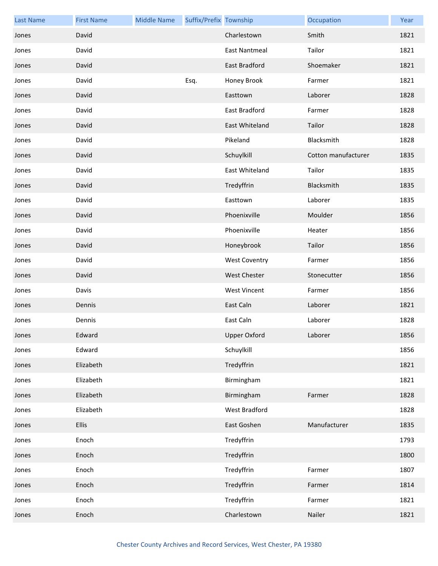| <b>Last Name</b> | <b>First Name</b> | <b>Middle Name</b> | Suffix/Prefix Township |                      | Occupation          | Year |
|------------------|-------------------|--------------------|------------------------|----------------------|---------------------|------|
| Jones            | David             |                    |                        | Charlestown          | Smith               | 1821 |
| Jones            | David             |                    |                        | <b>East Nantmeal</b> | Tailor              | 1821 |
| Jones            | David             |                    |                        | East Bradford        | Shoemaker           | 1821 |
| Jones            | David             |                    | Esq.                   | Honey Brook          | Farmer              | 1821 |
| Jones            | David             |                    |                        | Easttown             | Laborer             | 1828 |
| Jones            | David             |                    |                        | East Bradford        | Farmer              | 1828 |
| Jones            | David             |                    |                        | East Whiteland       | Tailor              | 1828 |
| Jones            | David             |                    |                        | Pikeland             | Blacksmith          | 1828 |
| Jones            | David             |                    |                        | Schuylkill           | Cotton manufacturer | 1835 |
| Jones            | David             |                    |                        | East Whiteland       | Tailor              | 1835 |
| Jones            | David             |                    |                        | Tredyffrin           | Blacksmith          | 1835 |
| Jones            | David             |                    |                        | Easttown             | Laborer             | 1835 |
| Jones            | David             |                    |                        | Phoenixville         | Moulder             | 1856 |
| Jones            | David             |                    |                        | Phoenixville         | Heater              | 1856 |
| Jones            | David             |                    |                        | Honeybrook           | Tailor              | 1856 |
| Jones            | David             |                    |                        | <b>West Coventry</b> | Farmer              | 1856 |
| Jones            | David             |                    |                        | <b>West Chester</b>  | Stonecutter         | 1856 |
| Jones            | Davis             |                    |                        | <b>West Vincent</b>  | Farmer              | 1856 |
| Jones            | Dennis            |                    |                        | East Caln            | Laborer             | 1821 |
| Jones            | Dennis            |                    |                        | East Caln            | Laborer             | 1828 |
| Jones            | Edward            |                    |                        | Upper Oxford         | Laborer             | 1856 |
| Jones            | Edward            |                    |                        | Schuylkill           |                     | 1856 |
| Jones            | Elizabeth         |                    |                        | Tredyffrin           |                     | 1821 |
| Jones            | Elizabeth         |                    |                        | Birmingham           |                     | 1821 |
| Jones            | Elizabeth         |                    |                        | Birmingham           | Farmer              | 1828 |
| Jones            | Elizabeth         |                    |                        | West Bradford        |                     | 1828 |
| Jones            | <b>Ellis</b>      |                    |                        | East Goshen          | Manufacturer        | 1835 |
| Jones            | Enoch             |                    |                        | Tredyffrin           |                     | 1793 |
| Jones            | Enoch             |                    |                        | Tredyffrin           |                     | 1800 |
| Jones            | Enoch             |                    |                        | Tredyffrin           | Farmer              | 1807 |
| Jones            | Enoch             |                    |                        | Tredyffrin           | Farmer              | 1814 |
| Jones            | Enoch             |                    |                        | Tredyffrin           | Farmer              | 1821 |
| Jones            | Enoch             |                    |                        | Charlestown          | Nailer              | 1821 |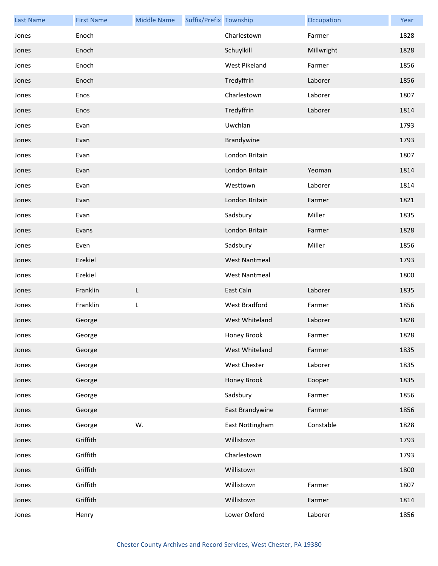| <b>Last Name</b> | <b>First Name</b> | <b>Middle Name</b> | Suffix/Prefix Township |                      | Occupation | Year |
|------------------|-------------------|--------------------|------------------------|----------------------|------------|------|
| Jones            | Enoch             |                    |                        | Charlestown          | Farmer     | 1828 |
| Jones            | Enoch             |                    |                        | Schuylkill           | Millwright | 1828 |
| Jones            | Enoch             |                    |                        | West Pikeland        | Farmer     | 1856 |
| Jones            | Enoch             |                    |                        | Tredyffrin           | Laborer    | 1856 |
| Jones            | Enos              |                    |                        | Charlestown          | Laborer    | 1807 |
| Jones            | Enos              |                    |                        | Tredyffrin           | Laborer    | 1814 |
| Jones            | Evan              |                    |                        | Uwchlan              |            | 1793 |
| Jones            | Evan              |                    |                        | Brandywine           |            | 1793 |
| Jones            | Evan              |                    |                        | London Britain       |            | 1807 |
| Jones            | Evan              |                    |                        | London Britain       | Yeoman     | 1814 |
| Jones            | Evan              |                    |                        | Westtown             | Laborer    | 1814 |
| Jones            | Evan              |                    |                        | London Britain       | Farmer     | 1821 |
| Jones            | Evan              |                    |                        | Sadsbury             | Miller     | 1835 |
| Jones            | Evans             |                    |                        | London Britain       | Farmer     | 1828 |
| Jones            | Even              |                    |                        | Sadsbury             | Miller     | 1856 |
| Jones            | Ezekiel           |                    |                        | <b>West Nantmeal</b> |            | 1793 |
| Jones            | Ezekiel           |                    |                        | <b>West Nantmeal</b> |            | 1800 |
| Jones            | Franklin          | L                  |                        | East Caln            | Laborer    | 1835 |
| Jones            | Franklin          | L                  |                        | <b>West Bradford</b> | Farmer     | 1856 |
| Jones            | George            |                    |                        | West Whiteland       | Laborer    | 1828 |
| Jones            | George            |                    |                        | Honey Brook          | Farmer     | 1828 |
| Jones            | George            |                    |                        | West Whiteland       | Farmer     | 1835 |
| Jones            | George            |                    |                        | West Chester         | Laborer    | 1835 |
| Jones            | George            |                    |                        | Honey Brook          | Cooper     | 1835 |
| Jones            | George            |                    |                        | Sadsbury             | Farmer     | 1856 |
| Jones            | George            |                    |                        | East Brandywine      | Farmer     | 1856 |
| Jones            | George            | W.                 |                        | East Nottingham      | Constable  | 1828 |
| Jones            | Griffith          |                    |                        | Willistown           |            | 1793 |
| Jones            | Griffith          |                    |                        | Charlestown          |            | 1793 |
| Jones            | Griffith          |                    |                        | Willistown           |            | 1800 |
| Jones            | Griffith          |                    |                        | Willistown           | Farmer     | 1807 |
| Jones            | Griffith          |                    |                        | Willistown           | Farmer     | 1814 |
| Jones            | Henry             |                    |                        | Lower Oxford         | Laborer    | 1856 |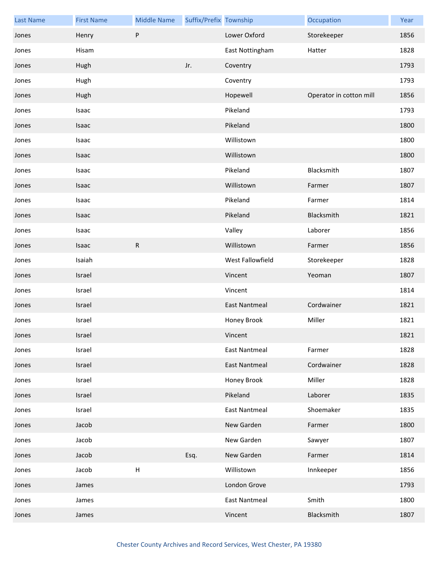| <b>Last Name</b> | <b>First Name</b> | <b>Middle Name</b> | Suffix/Prefix Township |                      | Occupation              | Year |
|------------------|-------------------|--------------------|------------------------|----------------------|-------------------------|------|
| Jones            | Henry             | P                  |                        | Lower Oxford         | Storekeeper             | 1856 |
| Jones            | Hisam             |                    |                        | East Nottingham      | Hatter                  | 1828 |
| Jones            | Hugh              |                    | Jr.                    | Coventry             |                         | 1793 |
| Jones            | Hugh              |                    |                        | Coventry             |                         | 1793 |
| Jones            | Hugh              |                    |                        | Hopewell             | Operator in cotton mill | 1856 |
| Jones            | Isaac             |                    |                        | Pikeland             |                         | 1793 |
| Jones            | Isaac             |                    |                        | Pikeland             |                         | 1800 |
| Jones            | Isaac             |                    |                        | Willistown           |                         | 1800 |
| Jones            | Isaac             |                    |                        | Willistown           |                         | 1800 |
| Jones            | Isaac             |                    |                        | Pikeland             | Blacksmith              | 1807 |
| Jones            | Isaac             |                    |                        | Willistown           | Farmer                  | 1807 |
| Jones            | Isaac             |                    |                        | Pikeland             | Farmer                  | 1814 |
| Jones            | Isaac             |                    |                        | Pikeland             | Blacksmith              | 1821 |
| Jones            | Isaac             |                    |                        | Valley               | Laborer                 | 1856 |
| Jones            | Isaac             | R                  |                        | Willistown           | Farmer                  | 1856 |
| Jones            | Isaiah            |                    |                        | West Fallowfield     | Storekeeper             | 1828 |
| Jones            | Israel            |                    |                        | Vincent              | Yeoman                  | 1807 |
| Jones            | Israel            |                    |                        | Vincent              |                         | 1814 |
| Jones            | Israel            |                    |                        | <b>East Nantmeal</b> | Cordwainer              | 1821 |
| Jones            | Israel            |                    |                        | Honey Brook          | Miller                  | 1821 |
| Jones            | Israel            |                    |                        | Vincent              |                         | 1821 |
| Jones            | Israel            |                    |                        | <b>East Nantmeal</b> | Farmer                  | 1828 |
| Jones            | Israel            |                    |                        | <b>East Nantmeal</b> | Cordwainer              | 1828 |
| Jones            | Israel            |                    |                        | Honey Brook          | Miller                  | 1828 |
| Jones            | Israel            |                    |                        | Pikeland             | Laborer                 | 1835 |
| Jones            | Israel            |                    |                        | <b>East Nantmeal</b> | Shoemaker               | 1835 |
| Jones            | Jacob             |                    |                        | New Garden           | Farmer                  | 1800 |
| Jones            | Jacob             |                    |                        | New Garden           | Sawyer                  | 1807 |
| Jones            | Jacob             |                    | Esq.                   | New Garden           | Farmer                  | 1814 |
| Jones            | Jacob             | $\sf H$            |                        | Willistown           | Innkeeper               | 1856 |
| Jones            | James             |                    |                        | London Grove         |                         | 1793 |
| Jones            | James             |                    |                        | <b>East Nantmeal</b> | Smith                   | 1800 |
| Jones            | James             |                    |                        | Vincent              | Blacksmith              | 1807 |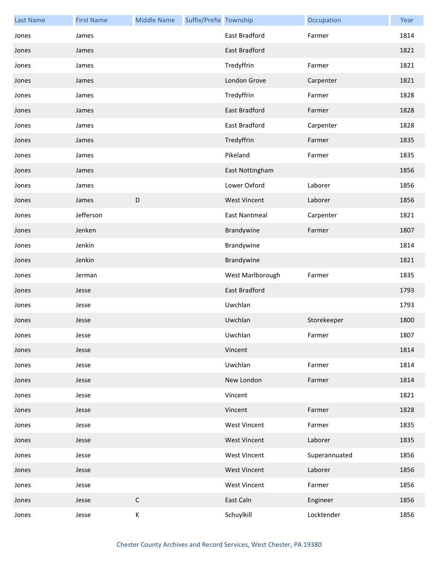| <b>Last Name</b> | <b>First Name</b> | <b>Middle Name</b> | Suffix/Prefix Township |                      | Occupation    | Year |
|------------------|-------------------|--------------------|------------------------|----------------------|---------------|------|
| Jones            | James             |                    |                        | East Bradford        | Farmer        | 1814 |
| Jones            | James             |                    |                        | East Bradford        |               | 1821 |
| Jones            | James             |                    |                        | Tredyffrin           | Farmer        | 1821 |
| Jones            | James             |                    |                        | London Grove         | Carpenter     | 1821 |
| Jones            | James             |                    |                        | Tredyffrin           | Farmer        | 1828 |
| Jones            | James             |                    |                        | East Bradford        | Farmer        | 1828 |
| Jones            | James             |                    |                        | East Bradford        | Carpenter     | 1828 |
| Jones            | James             |                    |                        | Tredyffrin           | Farmer        | 1835 |
| Jones            | James             |                    |                        | Pikeland             | Farmer        | 1835 |
| Jones            | James             |                    |                        | East Nottingham      |               | 1856 |
| Jones            | James             |                    |                        | Lower Oxford         | Laborer       | 1856 |
| Jones            | James             | D                  |                        | <b>West Vincent</b>  | Laborer       | 1856 |
| Jones            | Jefferson         |                    |                        | <b>East Nantmeal</b> | Carpenter     | 1821 |
| Jones            | Jenken            |                    |                        | Brandywine           | Farmer        | 1807 |
| Jones            | Jenkin            |                    |                        | Brandywine           |               | 1814 |
| Jones            | Jenkin            |                    |                        | Brandywine           |               | 1821 |
| Jones            | Jerman            |                    |                        | West Marlborough     | Farmer        | 1835 |
| Jones            | Jesse             |                    |                        | East Bradford        |               | 1793 |
| Jones            | Jesse             |                    |                        | Uwchlan              |               | 1793 |
| Jones            | Jesse             |                    |                        | Uwchlan              | Storekeeper   | 1800 |
| Jones            | Jesse             |                    |                        | Uwchlan              | Farmer        | 1807 |
| Jones            | Jesse             |                    |                        | Vincent              |               | 1814 |
| Jones            | Jesse             |                    |                        | Uwchlan              | Farmer        | 1814 |
| Jones            | Jesse             |                    |                        | New London           | Farmer        | 1814 |
| Jones            | Jesse             |                    |                        | Vincent              |               | 1821 |
| Jones            | Jesse             |                    |                        | Vincent              | Farmer        | 1828 |
| Jones            | Jesse             |                    |                        | <b>West Vincent</b>  | Farmer        | 1835 |
| Jones            | Jesse             |                    |                        | <b>West Vincent</b>  | Laborer       | 1835 |
| Jones            | Jesse             |                    |                        | <b>West Vincent</b>  | Superannuated | 1856 |
| Jones            | Jesse             |                    |                        | <b>West Vincent</b>  | Laborer       | 1856 |
| Jones            | Jesse             |                    |                        | <b>West Vincent</b>  | Farmer        | 1856 |
| Jones            | Jesse             | $\mathsf C$        |                        | East Caln            | Engineer      | 1856 |
| Jones            | Jesse             | K                  |                        | Schuylkill           | Locktender    | 1856 |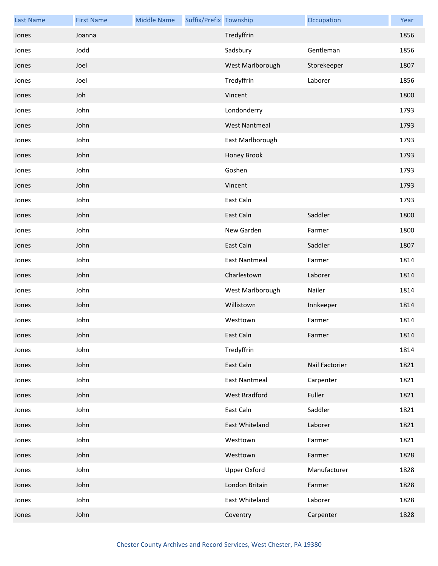| <b>Last Name</b> | <b>First Name</b> | <b>Middle Name</b> | Suffix/Prefix Township |                      | Occupation     | Year |
|------------------|-------------------|--------------------|------------------------|----------------------|----------------|------|
| Jones            | Joanna            |                    |                        | Tredyffrin           |                | 1856 |
| Jones            | Jodd              |                    |                        | Sadsbury             | Gentleman      | 1856 |
| Jones            | Joel              |                    |                        | West Marlborough     | Storekeeper    | 1807 |
| Jones            | Joel              |                    |                        | Tredyffrin           | Laborer        | 1856 |
| Jones            | Joh               |                    |                        | Vincent              |                | 1800 |
| Jones            | John              |                    |                        | Londonderry          |                | 1793 |
| Jones            | John              |                    |                        | <b>West Nantmeal</b> |                | 1793 |
| Jones            | John              |                    |                        | East Marlborough     |                | 1793 |
| Jones            | John              |                    |                        | Honey Brook          |                | 1793 |
| Jones            | John              |                    |                        | Goshen               |                | 1793 |
| Jones            | John              |                    |                        | Vincent              |                | 1793 |
| Jones            | John              |                    |                        | East Caln            |                | 1793 |
| Jones            | John              |                    |                        | East Caln            | Saddler        | 1800 |
| Jones            | John              |                    |                        | New Garden           | Farmer         | 1800 |
| Jones            | John              |                    |                        | East Caln            | Saddler        | 1807 |
| Jones            | John              |                    |                        | <b>East Nantmeal</b> | Farmer         | 1814 |
| Jones            | John              |                    |                        | Charlestown          | Laborer        | 1814 |
| Jones            | John              |                    |                        | West Marlborough     | Nailer         | 1814 |
| Jones            | John              |                    |                        | Willistown           | Innkeeper      | 1814 |
| Jones            | John              |                    |                        | Westtown             | Farmer         | 1814 |
| Jones            | John              |                    |                        | East Caln            | Farmer         | 1814 |
| Jones            | John              |                    |                        | Tredyffrin           |                | 1814 |
| Jones            | John              |                    |                        | East Caln            | Nail Factorier | 1821 |
| Jones            | John              |                    |                        | <b>East Nantmeal</b> | Carpenter      | 1821 |
| Jones            | John              |                    |                        | West Bradford        | Fuller         | 1821 |
| Jones            | John              |                    |                        | East Caln            | Saddler        | 1821 |
| Jones            | John              |                    |                        | East Whiteland       | Laborer        | 1821 |
| Jones            | John              |                    |                        | Westtown             | Farmer         | 1821 |
| Jones            | John              |                    |                        | Westtown             | Farmer         | 1828 |
| Jones            | John              |                    |                        | <b>Upper Oxford</b>  | Manufacturer   | 1828 |
| Jones            | John              |                    |                        | London Britain       | Farmer         | 1828 |
| Jones            | John              |                    |                        | East Whiteland       | Laborer        | 1828 |
| Jones            | John              |                    |                        | Coventry             | Carpenter      | 1828 |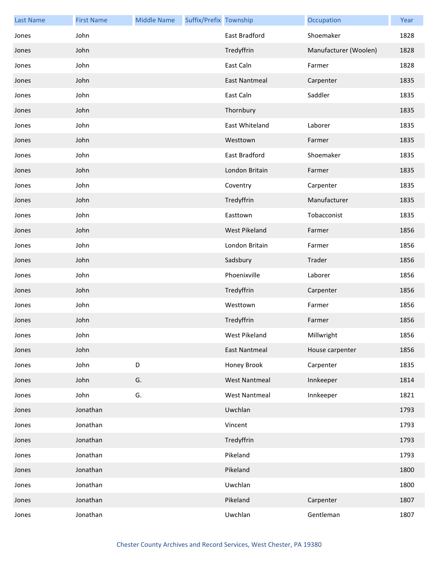| <b>Last Name</b> | <b>First Name</b> | <b>Middle Name</b> | Suffix/Prefix Township |                      | Occupation            | Year |
|------------------|-------------------|--------------------|------------------------|----------------------|-----------------------|------|
| Jones            | John              |                    |                        | East Bradford        | Shoemaker             | 1828 |
| Jones            | John              |                    |                        | Tredyffrin           | Manufacturer (Woolen) | 1828 |
| Jones            | John              |                    |                        | East Caln            | Farmer                | 1828 |
| Jones            | John              |                    |                        | <b>East Nantmeal</b> | Carpenter             | 1835 |
| Jones            | John              |                    |                        | East Caln            | Saddler               | 1835 |
| Jones            | John              |                    |                        | Thornbury            |                       | 1835 |
| Jones            | John              |                    |                        | East Whiteland       | Laborer               | 1835 |
| Jones            | John              |                    |                        | Westtown             | Farmer                | 1835 |
| Jones            | John              |                    |                        | East Bradford        | Shoemaker             | 1835 |
| Jones            | John              |                    |                        | London Britain       | Farmer                | 1835 |
| Jones            | John              |                    |                        | Coventry             | Carpenter             | 1835 |
| Jones            | John              |                    |                        | Tredyffrin           | Manufacturer          | 1835 |
| Jones            | John              |                    |                        | Easttown             | Tobacconist           | 1835 |
| Jones            | John              |                    |                        | West Pikeland        | Farmer                | 1856 |
| Jones            | John              |                    |                        | London Britain       | Farmer                | 1856 |
| Jones            | John              |                    |                        | Sadsbury             | Trader                | 1856 |
| Jones            | John              |                    |                        | Phoenixville         | Laborer               | 1856 |
| Jones            | John              |                    |                        | Tredyffrin           | Carpenter             | 1856 |
| Jones            | John              |                    |                        | Westtown             | Farmer                | 1856 |
| Jones            | John              |                    |                        | Tredyffrin           | Farmer                | 1856 |
| Jones            | John              |                    |                        | West Pikeland        | Millwright            | 1856 |
| Jones            | John              |                    |                        | <b>East Nantmeal</b> | House carpenter       | 1856 |
| Jones            | John              | D                  |                        | Honey Brook          | Carpenter             | 1835 |
| Jones            | John              | G.                 |                        | <b>West Nantmeal</b> | Innkeeper             | 1814 |
| Jones            | John              | G.                 |                        | <b>West Nantmeal</b> | Innkeeper             | 1821 |
| Jones            | Jonathan          |                    |                        | Uwchlan              |                       | 1793 |
| Jones            | Jonathan          |                    |                        | Vincent              |                       | 1793 |
| Jones            | Jonathan          |                    |                        | Tredyffrin           |                       | 1793 |
| Jones            | Jonathan          |                    |                        | Pikeland             |                       | 1793 |
| Jones            | Jonathan          |                    |                        | Pikeland             |                       | 1800 |
| Jones            | Jonathan          |                    |                        | Uwchlan              |                       | 1800 |
| Jones            | Jonathan          |                    |                        | Pikeland             | Carpenter             | 1807 |
| Jones            | Jonathan          |                    |                        | Uwchlan              | Gentleman             | 1807 |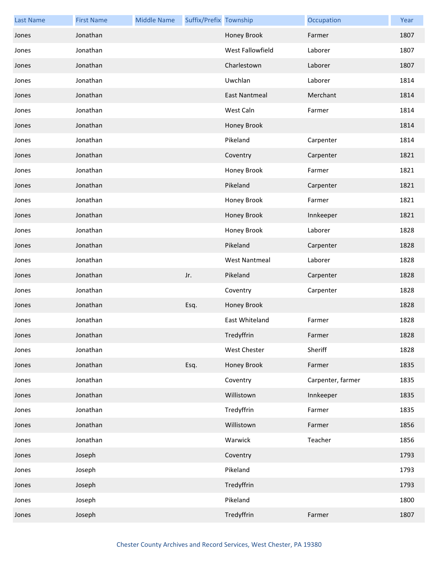| <b>Last Name</b> | <b>First Name</b> | <b>Middle Name</b> | Suffix/Prefix Township |                      | Occupation        | Year |
|------------------|-------------------|--------------------|------------------------|----------------------|-------------------|------|
| Jones            | Jonathan          |                    |                        | Honey Brook          | Farmer            | 1807 |
| Jones            | Jonathan          |                    |                        | West Fallowfield     | Laborer           | 1807 |
| Jones            | Jonathan          |                    |                        | Charlestown          | Laborer           | 1807 |
| Jones            | Jonathan          |                    |                        | Uwchlan              | Laborer           | 1814 |
| Jones            | Jonathan          |                    |                        | <b>East Nantmeal</b> | Merchant          | 1814 |
| Jones            | Jonathan          |                    |                        | West Caln            | Farmer            | 1814 |
| Jones            | Jonathan          |                    |                        | Honey Brook          |                   | 1814 |
| Jones            | Jonathan          |                    |                        | Pikeland             | Carpenter         | 1814 |
| Jones            | Jonathan          |                    |                        | Coventry             | Carpenter         | 1821 |
| Jones            | Jonathan          |                    |                        | Honey Brook          | Farmer            | 1821 |
| Jones            | Jonathan          |                    |                        | Pikeland             | Carpenter         | 1821 |
| Jones            | Jonathan          |                    |                        | Honey Brook          | Farmer            | 1821 |
| Jones            | Jonathan          |                    |                        | Honey Brook          | Innkeeper         | 1821 |
| Jones            | Jonathan          |                    |                        | Honey Brook          | Laborer           | 1828 |
| Jones            | Jonathan          |                    |                        | Pikeland             | Carpenter         | 1828 |
| Jones            | Jonathan          |                    |                        | <b>West Nantmeal</b> | Laborer           | 1828 |
| Jones            | Jonathan          |                    | Jr.                    | Pikeland             | Carpenter         | 1828 |
| Jones            | Jonathan          |                    |                        | Coventry             | Carpenter         | 1828 |
| Jones            | Jonathan          |                    | Esq.                   | Honey Brook          |                   | 1828 |
| Jones            | Jonathan          |                    |                        | East Whiteland       | Farmer            | 1828 |
| Jones            | Jonathan          |                    |                        | Tredyffrin           | Farmer            | 1828 |
| Jones            | Jonathan          |                    |                        | West Chester         | Sheriff           | 1828 |
| Jones            | Jonathan          |                    | Esq.                   | Honey Brook          | Farmer            | 1835 |
| Jones            | Jonathan          |                    |                        | Coventry             | Carpenter, farmer | 1835 |
| Jones            | Jonathan          |                    |                        | Willistown           | Innkeeper         | 1835 |
| Jones            | Jonathan          |                    |                        | Tredyffrin           | Farmer            | 1835 |
| Jones            | Jonathan          |                    |                        | Willistown           | Farmer            | 1856 |
| Jones            | Jonathan          |                    |                        | Warwick              | Teacher           | 1856 |
| Jones            | Joseph            |                    |                        | Coventry             |                   | 1793 |
| Jones            | Joseph            |                    |                        | Pikeland             |                   | 1793 |
| Jones            | Joseph            |                    |                        | Tredyffrin           |                   | 1793 |
| Jones            | Joseph            |                    |                        | Pikeland             |                   | 1800 |
| Jones            | Joseph            |                    |                        | Tredyffrin           | Farmer            | 1807 |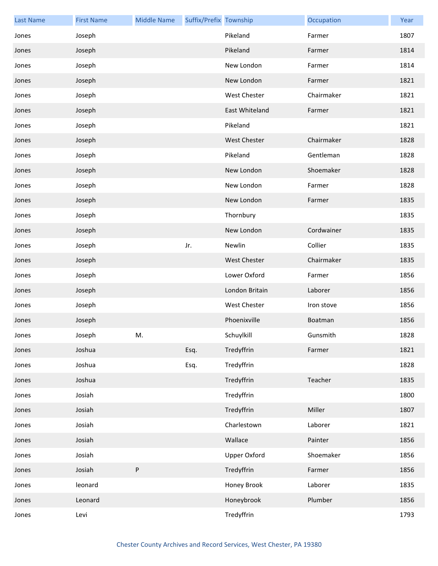| <b>Last Name</b> | <b>First Name</b> | <b>Middle Name</b> | Suffix/Prefix Township |                     | Occupation | Year |
|------------------|-------------------|--------------------|------------------------|---------------------|------------|------|
| Jones            | Joseph            |                    |                        | Pikeland            | Farmer     | 1807 |
| Jones            | Joseph            |                    |                        | Pikeland            | Farmer     | 1814 |
| Jones            | Joseph            |                    |                        | New London          | Farmer     | 1814 |
| Jones            | Joseph            |                    |                        | New London          | Farmer     | 1821 |
| Jones            | Joseph            |                    |                        | <b>West Chester</b> | Chairmaker | 1821 |
| Jones            | Joseph            |                    |                        | East Whiteland      | Farmer     | 1821 |
| Jones            | Joseph            |                    |                        | Pikeland            |            | 1821 |
| Jones            | Joseph            |                    |                        | <b>West Chester</b> | Chairmaker | 1828 |
| Jones            | Joseph            |                    |                        | Pikeland            | Gentleman  | 1828 |
| Jones            | Joseph            |                    |                        | New London          | Shoemaker  | 1828 |
| Jones            | Joseph            |                    |                        | New London          | Farmer     | 1828 |
| Jones            | Joseph            |                    |                        | New London          | Farmer     | 1835 |
| Jones            | Joseph            |                    |                        | Thornbury           |            | 1835 |
| Jones            | Joseph            |                    |                        | New London          | Cordwainer | 1835 |
| Jones            | Joseph            |                    | Jr.                    | Newlin              | Collier    | 1835 |
| Jones            | Joseph            |                    |                        | <b>West Chester</b> | Chairmaker | 1835 |
| Jones            | Joseph            |                    |                        | Lower Oxford        | Farmer     | 1856 |
| Jones            | Joseph            |                    |                        | London Britain      | Laborer    | 1856 |
| Jones            | Joseph            |                    |                        | West Chester        | Iron stove | 1856 |
| Jones            | Joseph            |                    |                        | Phoenixville        | Boatman    | 1856 |
| Jones            | Joseph            | M.                 |                        | Schuylkill          | Gunsmith   | 1828 |
| Jones            | Joshua            |                    | Esq.                   | Tredyffrin          | Farmer     | 1821 |
| Jones            | Joshua            |                    | Esq.                   | Tredyffrin          |            | 1828 |
| Jones            | Joshua            |                    |                        | Tredyffrin          | Teacher    | 1835 |
| Jones            | Josiah            |                    |                        | Tredyffrin          |            | 1800 |
| Jones            | Josiah            |                    |                        | Tredyffrin          | Miller     | 1807 |
| Jones            | Josiah            |                    |                        | Charlestown         | Laborer    | 1821 |
| Jones            | Josiah            |                    |                        | Wallace             | Painter    | 1856 |
| Jones            | Josiah            |                    |                        | <b>Upper Oxford</b> | Shoemaker  | 1856 |
| Jones            | Josiah            | ${\sf P}$          |                        | Tredyffrin          | Farmer     | 1856 |
| Jones            | leonard           |                    |                        | Honey Brook         | Laborer    | 1835 |
| Jones            | Leonard           |                    |                        | Honeybrook          | Plumber    | 1856 |
| Jones            | Levi              |                    |                        | Tredyffrin          |            | 1793 |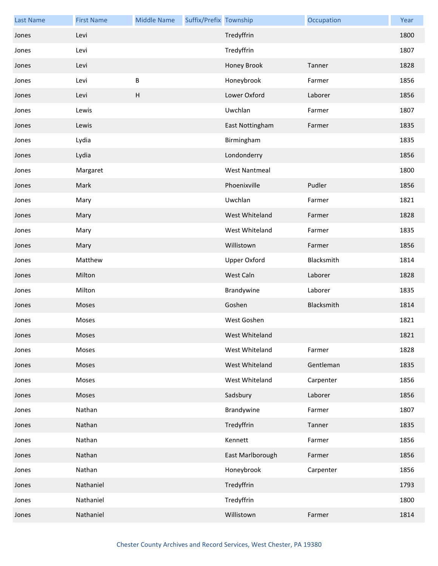| <b>Last Name</b> | <b>First Name</b> | <b>Middle Name</b> | Suffix/Prefix Township |                      | Occupation | Year |
|------------------|-------------------|--------------------|------------------------|----------------------|------------|------|
| Jones            | Levi              |                    |                        | Tredyffrin           |            | 1800 |
| Jones            | Levi              |                    |                        | Tredyffrin           |            | 1807 |
| Jones            | Levi              |                    |                        | Honey Brook          | Tanner     | 1828 |
| Jones            | Levi              | B                  |                        | Honeybrook           | Farmer     | 1856 |
| Jones            | Levi              | Н                  |                        | Lower Oxford         | Laborer    | 1856 |
| Jones            | Lewis             |                    |                        | Uwchlan              | Farmer     | 1807 |
| Jones            | Lewis             |                    |                        | East Nottingham      | Farmer     | 1835 |
| Jones            | Lydia             |                    |                        | Birmingham           |            | 1835 |
| Jones            | Lydia             |                    |                        | Londonderry          |            | 1856 |
| Jones            | Margaret          |                    |                        | <b>West Nantmeal</b> |            | 1800 |
| Jones            | Mark              |                    |                        | Phoenixville         | Pudler     | 1856 |
| Jones            | Mary              |                    |                        | Uwchlan              | Farmer     | 1821 |
| Jones            | Mary              |                    |                        | West Whiteland       | Farmer     | 1828 |
| Jones            | Mary              |                    |                        | West Whiteland       | Farmer     | 1835 |
| Jones            | Mary              |                    |                        | Willistown           | Farmer     | 1856 |
| Jones            | Matthew           |                    |                        | Upper Oxford         | Blacksmith | 1814 |
| Jones            | Milton            |                    |                        | West Caln            | Laborer    | 1828 |
| Jones            | Milton            |                    |                        | Brandywine           | Laborer    | 1835 |
| Jones            | Moses             |                    |                        | Goshen               | Blacksmith | 1814 |
| Jones            | Moses             |                    |                        | West Goshen          |            | 1821 |
| Jones            | Moses             |                    |                        | West Whiteland       |            | 1821 |
| Jones            | Moses             |                    |                        | West Whiteland       | Farmer     | 1828 |
| Jones            | Moses             |                    |                        | West Whiteland       | Gentleman  | 1835 |
| Jones            | Moses             |                    |                        | West Whiteland       | Carpenter  | 1856 |
| Jones            | Moses             |                    |                        | Sadsbury             | Laborer    | 1856 |
| Jones            | Nathan            |                    |                        | Brandywine           | Farmer     | 1807 |
| Jones            | Nathan            |                    |                        | Tredyffrin           | Tanner     | 1835 |
| Jones            | Nathan            |                    |                        | Kennett              | Farmer     | 1856 |
| Jones            | Nathan            |                    |                        | East Marlborough     | Farmer     | 1856 |
| Jones            | Nathan            |                    |                        | Honeybrook           | Carpenter  | 1856 |
| Jones            | Nathaniel         |                    |                        | Tredyffrin           |            | 1793 |
| Jones            | Nathaniel         |                    |                        | Tredyffrin           |            | 1800 |
| Jones            | Nathaniel         |                    |                        | Willistown           | Farmer     | 1814 |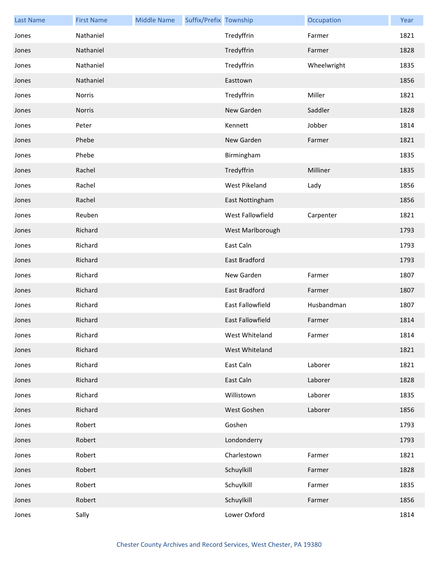| <b>Last Name</b> | <b>First Name</b> | <b>Middle Name</b> | Suffix/Prefix Township |                         | Occupation  | Year |
|------------------|-------------------|--------------------|------------------------|-------------------------|-------------|------|
| Jones            | Nathaniel         |                    |                        | Tredyffrin              | Farmer      | 1821 |
| Jones            | Nathaniel         |                    |                        | Tredyffrin              | Farmer      | 1828 |
| Jones            | Nathaniel         |                    |                        | Tredyffrin              | Wheelwright | 1835 |
| Jones            | Nathaniel         |                    |                        | Easttown                |             | 1856 |
| Jones            | Norris            |                    |                        | Tredyffrin              | Miller      | 1821 |
| Jones            | Norris            |                    |                        | New Garden              | Saddler     | 1828 |
| Jones            | Peter             |                    |                        | Kennett                 | Jobber      | 1814 |
| Jones            | Phebe             |                    |                        | New Garden              | Farmer      | 1821 |
| Jones            | Phebe             |                    |                        | Birmingham              |             | 1835 |
| Jones            | Rachel            |                    |                        | Tredyffrin              | Milliner    | 1835 |
| Jones            | Rachel            |                    |                        | West Pikeland           | Lady        | 1856 |
| Jones            | Rachel            |                    |                        | East Nottingham         |             | 1856 |
| Jones            | Reuben            |                    |                        | West Fallowfield        | Carpenter   | 1821 |
| Jones            | Richard           |                    |                        | West Marlborough        |             | 1793 |
| Jones            | Richard           |                    |                        | East Caln               |             | 1793 |
| Jones            | Richard           |                    |                        | East Bradford           |             | 1793 |
| Jones            | Richard           |                    |                        | New Garden              | Farmer      | 1807 |
| Jones            | Richard           |                    |                        | East Bradford           | Farmer      | 1807 |
| Jones            | Richard           |                    |                        | <b>East Fallowfield</b> | Husbandman  | 1807 |
| Jones            | Richard           |                    |                        | <b>East Fallowfield</b> | Farmer      | 1814 |
| Jones            | Richard           |                    |                        | West Whiteland          | Farmer      | 1814 |
| Jones            | Richard           |                    |                        | West Whiteland          |             | 1821 |
| Jones            | Richard           |                    |                        | East Caln               | Laborer     | 1821 |
| Jones            | Richard           |                    |                        | East Caln               | Laborer     | 1828 |
| Jones            | Richard           |                    |                        | Willistown              | Laborer     | 1835 |
| Jones            | Richard           |                    |                        | West Goshen             | Laborer     | 1856 |
| Jones            | Robert            |                    |                        | Goshen                  |             | 1793 |
| Jones            | Robert            |                    |                        | Londonderry             |             | 1793 |
| Jones            | Robert            |                    |                        | Charlestown             | Farmer      | 1821 |
| Jones            | Robert            |                    |                        | Schuylkill              | Farmer      | 1828 |
| Jones            | Robert            |                    |                        | Schuylkill              | Farmer      | 1835 |
| Jones            | Robert            |                    |                        | Schuylkill              | Farmer      | 1856 |
| Jones            | Sally             |                    |                        | Lower Oxford            |             | 1814 |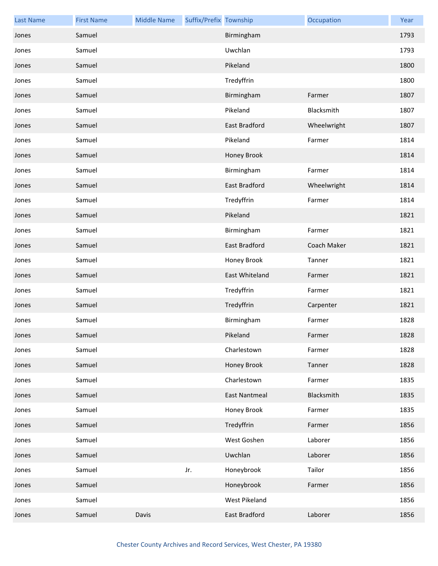| <b>Last Name</b> | <b>First Name</b> | <b>Middle Name</b> | Suffix/Prefix Township |                      | Occupation  | Year |
|------------------|-------------------|--------------------|------------------------|----------------------|-------------|------|
| Jones            | Samuel            |                    |                        | Birmingham           |             | 1793 |
| Jones            | Samuel            |                    |                        | Uwchlan              |             | 1793 |
| Jones            | Samuel            |                    |                        | Pikeland             |             | 1800 |
| Jones            | Samuel            |                    |                        | Tredyffrin           |             | 1800 |
| Jones            | Samuel            |                    |                        | Birmingham           | Farmer      | 1807 |
| Jones            | Samuel            |                    |                        | Pikeland             | Blacksmith  | 1807 |
| Jones            | Samuel            |                    |                        | East Bradford        | Wheelwright | 1807 |
| Jones            | Samuel            |                    |                        | Pikeland             | Farmer      | 1814 |
| Jones            | Samuel            |                    |                        | Honey Brook          |             | 1814 |
| Jones            | Samuel            |                    |                        | Birmingham           | Farmer      | 1814 |
| Jones            | Samuel            |                    |                        | East Bradford        | Wheelwright | 1814 |
| Jones            | Samuel            |                    |                        | Tredyffrin           | Farmer      | 1814 |
| Jones            | Samuel            |                    |                        | Pikeland             |             | 1821 |
| Jones            | Samuel            |                    |                        | Birmingham           | Farmer      | 1821 |
| Jones            | Samuel            |                    |                        | East Bradford        | Coach Maker | 1821 |
| Jones            | Samuel            |                    |                        | Honey Brook          | Tanner      | 1821 |
| Jones            | Samuel            |                    |                        | East Whiteland       | Farmer      | 1821 |
| Jones            | Samuel            |                    |                        | Tredyffrin           | Farmer      | 1821 |
| Jones            | Samuel            |                    |                        | Tredyffrin           | Carpenter   | 1821 |
| Jones            | Samuel            |                    |                        | Birmingham           | Farmer      | 1828 |
| Jones            | Samuel            |                    |                        | Pikeland             | Farmer      | 1828 |
| Jones            | Samuel            |                    |                        | Charlestown          | Farmer      | 1828 |
| Jones            | Samuel            |                    |                        | Honey Brook          | Tanner      | 1828 |
| Jones            | Samuel            |                    |                        | Charlestown          | Farmer      | 1835 |
| Jones            | Samuel            |                    |                        | <b>East Nantmeal</b> | Blacksmith  | 1835 |
| Jones            | Samuel            |                    |                        | Honey Brook          | Farmer      | 1835 |
| Jones            | Samuel            |                    |                        | Tredyffrin           | Farmer      | 1856 |
| Jones            | Samuel            |                    |                        | West Goshen          | Laborer     | 1856 |
| Jones            | Samuel            |                    |                        | Uwchlan              | Laborer     | 1856 |
| Jones            | Samuel            |                    | Jr.                    | Honeybrook           | Tailor      | 1856 |
| Jones            | Samuel            |                    |                        | Honeybrook           | Farmer      | 1856 |
| Jones            | Samuel            |                    |                        | West Pikeland        |             | 1856 |
| Jones            | Samuel            | Davis              |                        | East Bradford        | Laborer     | 1856 |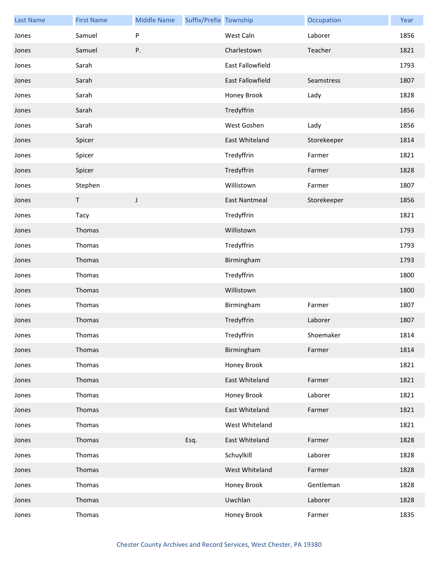| <b>Last Name</b> | <b>First Name</b> | <b>Middle Name</b> | Suffix/Prefix Township |                      | Occupation  | Year |
|------------------|-------------------|--------------------|------------------------|----------------------|-------------|------|
| Jones            | Samuel            | P                  |                        | West Caln            | Laborer     | 1856 |
| Jones            | Samuel            | Ρ.                 |                        | Charlestown          | Teacher     | 1821 |
| Jones            | Sarah             |                    |                        | East Fallowfield     |             | 1793 |
| Jones            | Sarah             |                    |                        | East Fallowfield     | Seamstress  | 1807 |
| Jones            | Sarah             |                    |                        | Honey Brook          | Lady        | 1828 |
| Jones            | Sarah             |                    |                        | Tredyffrin           |             | 1856 |
| Jones            | Sarah             |                    |                        | West Goshen          | Lady        | 1856 |
| Jones            | Spicer            |                    |                        | East Whiteland       | Storekeeper | 1814 |
| Jones            | Spicer            |                    |                        | Tredyffrin           | Farmer      | 1821 |
| Jones            | Spicer            |                    |                        | Tredyffrin           | Farmer      | 1828 |
| Jones            | Stephen           |                    |                        | Willistown           | Farmer      | 1807 |
| Jones            | Τ                 | J                  |                        | <b>East Nantmeal</b> | Storekeeper | 1856 |
| Jones            | Tacy              |                    |                        | Tredyffrin           |             | 1821 |
| Jones            | Thomas            |                    |                        | Willistown           |             | 1793 |
| Jones            | Thomas            |                    |                        | Tredyffrin           |             | 1793 |
| Jones            | Thomas            |                    |                        | Birmingham           |             | 1793 |
| Jones            | Thomas            |                    |                        | Tredyffrin           |             | 1800 |
| Jones            | Thomas            |                    |                        | Willistown           |             | 1800 |
| Jones            | Thomas            |                    |                        | Birmingham           | Farmer      | 1807 |
| Jones            | Thomas            |                    |                        | Tredyffrin           | Laborer     | 1807 |
| Jones            | Thomas            |                    |                        | Tredyffrin           | Shoemaker   | 1814 |
| Jones            | Thomas            |                    |                        | Birmingham           | Farmer      | 1814 |
| Jones            | Thomas            |                    |                        | Honey Brook          |             | 1821 |
| Jones            | Thomas            |                    |                        | East Whiteland       | Farmer      | 1821 |
| Jones            | Thomas            |                    |                        | Honey Brook          | Laborer     | 1821 |
| Jones            | Thomas            |                    |                        | East Whiteland       | Farmer      | 1821 |
| Jones            | Thomas            |                    |                        | West Whiteland       |             | 1821 |
| Jones            | Thomas            |                    | Esq.                   | East Whiteland       | Farmer      | 1828 |
| Jones            | Thomas            |                    |                        | Schuylkill           | Laborer     | 1828 |
| Jones            | Thomas            |                    |                        | West Whiteland       | Farmer      | 1828 |
| Jones            | Thomas            |                    |                        | Honey Brook          | Gentleman   | 1828 |
| Jones            | Thomas            |                    |                        | Uwchlan              | Laborer     | 1828 |
| Jones            | Thomas            |                    |                        | Honey Brook          | Farmer      | 1835 |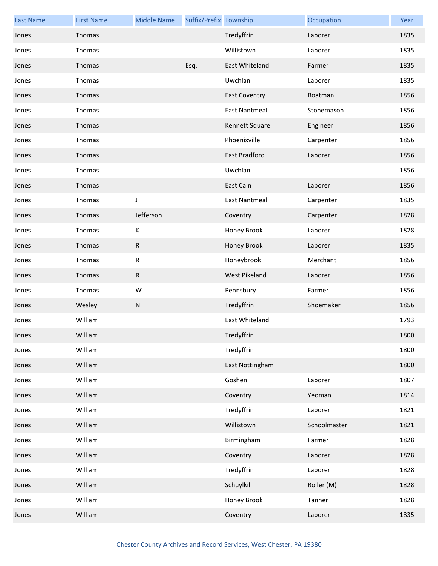| <b>Last Name</b> | <b>First Name</b> | <b>Middle Name</b> | Suffix/Prefix Township |                      | Occupation   | Year |
|------------------|-------------------|--------------------|------------------------|----------------------|--------------|------|
| Jones            | Thomas            |                    |                        | Tredyffrin           | Laborer      | 1835 |
| Jones            | Thomas            |                    |                        | Willistown           | Laborer      | 1835 |
| Jones            | Thomas            |                    | Esq.                   | East Whiteland       | Farmer       | 1835 |
| Jones            | Thomas            |                    |                        | Uwchlan              | Laborer      | 1835 |
| Jones            | Thomas            |                    |                        | <b>East Coventry</b> | Boatman      | 1856 |
| Jones            | Thomas            |                    |                        | <b>East Nantmeal</b> | Stonemason   | 1856 |
| Jones            | Thomas            |                    |                        | Kennett Square       | Engineer     | 1856 |
| Jones            | Thomas            |                    |                        | Phoenixville         | Carpenter    | 1856 |
| Jones            | Thomas            |                    |                        | East Bradford        | Laborer      | 1856 |
| Jones            | Thomas            |                    |                        | Uwchlan              |              | 1856 |
| Jones            | Thomas            |                    |                        | East Caln            | Laborer      | 1856 |
| Jones            | Thomas            | J                  |                        | <b>East Nantmeal</b> | Carpenter    | 1835 |
| Jones            | Thomas            | Jefferson          |                        | Coventry             | Carpenter    | 1828 |
| Jones            | Thomas            | К.                 |                        | Honey Brook          | Laborer      | 1828 |
| Jones            | Thomas            | ${\sf R}$          |                        | Honey Brook          | Laborer      | 1835 |
| Jones            | Thomas            | R                  |                        | Honeybrook           | Merchant     | 1856 |
| Jones            | Thomas            | ${\sf R}$          |                        | West Pikeland        | Laborer      | 1856 |
| Jones            | Thomas            | W                  |                        | Pennsbury            | Farmer       | 1856 |
| Jones            | Wesley            | ${\sf N}$          |                        | Tredyffrin           | Shoemaker    | 1856 |
| Jones            | William           |                    |                        | East Whiteland       |              | 1793 |
| Jones            | William           |                    |                        | Tredyffrin           |              | 1800 |
| Jones            | William           |                    |                        | Tredyffrin           |              | 1800 |
| Jones            | William           |                    |                        | East Nottingham      |              | 1800 |
| Jones            | William           |                    |                        | Goshen               | Laborer      | 1807 |
| Jones            | William           |                    |                        | Coventry             | Yeoman       | 1814 |
| Jones            | William           |                    |                        | Tredyffrin           | Laborer      | 1821 |
| Jones            | William           |                    |                        | Willistown           | Schoolmaster | 1821 |
| Jones            | William           |                    |                        | Birmingham           | Farmer       | 1828 |
| Jones            | William           |                    |                        | Coventry             | Laborer      | 1828 |
| Jones            | William           |                    |                        | Tredyffrin           | Laborer      | 1828 |
| Jones            | William           |                    |                        | Schuylkill           | Roller (M)   | 1828 |
| Jones            | William           |                    |                        | Honey Brook          | Tanner       | 1828 |
| Jones            | William           |                    |                        | Coventry             | Laborer      | 1835 |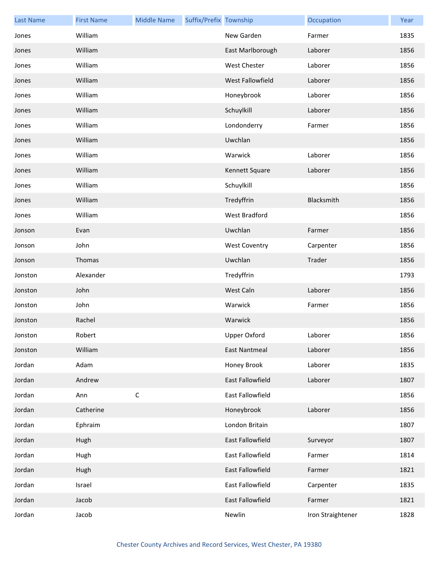| <b>Last Name</b> | <b>First Name</b> | <b>Middle Name</b> | Suffix/Prefix Township |                      | Occupation        | Year |
|------------------|-------------------|--------------------|------------------------|----------------------|-------------------|------|
| Jones            | William           |                    |                        | New Garden           | Farmer            | 1835 |
| Jones            | William           |                    |                        | East Marlborough     | Laborer           | 1856 |
| Jones            | William           |                    |                        | <b>West Chester</b>  | Laborer           | 1856 |
| Jones            | William           |                    |                        | West Fallowfield     | Laborer           | 1856 |
| Jones            | William           |                    |                        | Honeybrook           | Laborer           | 1856 |
| Jones            | William           |                    |                        | Schuylkill           | Laborer           | 1856 |
| Jones            | William           |                    |                        | Londonderry          | Farmer            | 1856 |
| Jones            | William           |                    |                        | Uwchlan              |                   | 1856 |
| Jones            | William           |                    |                        | Warwick              | Laborer           | 1856 |
| Jones            | William           |                    |                        | Kennett Square       | Laborer           | 1856 |
| Jones            | William           |                    |                        | Schuylkill           |                   | 1856 |
| Jones            | William           |                    |                        | Tredyffrin           | Blacksmith        | 1856 |
| Jones            | William           |                    |                        | West Bradford        |                   | 1856 |
| Jonson           | Evan              |                    |                        | Uwchlan              | Farmer            | 1856 |
| Jonson           | John              |                    |                        | <b>West Coventry</b> | Carpenter         | 1856 |
| Jonson           | Thomas            |                    |                        | Uwchlan              | Trader            | 1856 |
| Jonston          | Alexander         |                    |                        | Tredyffrin           |                   | 1793 |
| Jonston          | John              |                    |                        | West Caln            | Laborer           | 1856 |
| Jonston          | John              |                    |                        | Warwick              | Farmer            | 1856 |
| Jonston          | Rachel            |                    |                        | Warwick              |                   | 1856 |
| Jonston          | Robert            |                    |                        | Upper Oxford         | Laborer           | 1856 |
| Jonston          | William           |                    |                        | East Nantmeal        | Laborer           | 1856 |
| Jordan           | Adam              |                    |                        | Honey Brook          | Laborer           | 1835 |
| Jordan           | Andrew            |                    |                        | East Fallowfield     | Laborer           | 1807 |
| Jordan           | Ann               | $\mathsf C$        |                        | East Fallowfield     |                   | 1856 |
| Jordan           | Catherine         |                    |                        | Honeybrook           | Laborer           | 1856 |
| Jordan           | Ephraim           |                    |                        | London Britain       |                   | 1807 |
| Jordan           | Hugh              |                    |                        | East Fallowfield     | Surveyor          | 1807 |
| Jordan           | Hugh              |                    |                        | East Fallowfield     | Farmer            | 1814 |
| Jordan           | Hugh              |                    |                        | East Fallowfield     | Farmer            | 1821 |
| Jordan           | Israel            |                    |                        | East Fallowfield     | Carpenter         | 1835 |
| Jordan           | Jacob             |                    |                        | East Fallowfield     | Farmer            | 1821 |
| Jordan           | Jacob             |                    |                        | Newlin               | Iron Straightener | 1828 |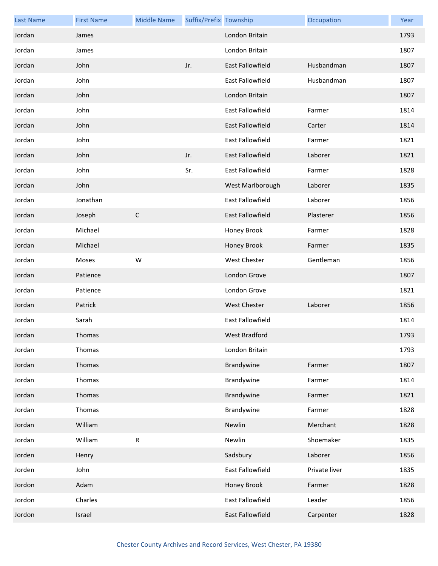| <b>Last Name</b> | <b>First Name</b> | <b>Middle Name</b> | Suffix/Prefix Township |                         | Occupation    | Year |
|------------------|-------------------|--------------------|------------------------|-------------------------|---------------|------|
| Jordan           | James             |                    |                        | London Britain          |               | 1793 |
| Jordan           | James             |                    |                        | London Britain          |               | 1807 |
| Jordan           | John              |                    | Jr.                    | East Fallowfield        | Husbandman    | 1807 |
| Jordan           | John              |                    |                        | East Fallowfield        | Husbandman    | 1807 |
| Jordan           | John              |                    |                        | London Britain          |               | 1807 |
| Jordan           | John              |                    |                        | East Fallowfield        | Farmer        | 1814 |
| Jordan           | John              |                    |                        | East Fallowfield        | Carter        | 1814 |
| Jordan           | John              |                    |                        | East Fallowfield        | Farmer        | 1821 |
| Jordan           | John              |                    | Jr.                    | East Fallowfield        | Laborer       | 1821 |
| Jordan           | John              |                    | Sr.                    | <b>East Fallowfield</b> | Farmer        | 1828 |
| Jordan           | John              |                    |                        | West Marlborough        | Laborer       | 1835 |
| Jordan           | Jonathan          |                    |                        | East Fallowfield        | Laborer       | 1856 |
| Jordan           | Joseph            | $\mathsf C$        |                        | East Fallowfield        | Plasterer     | 1856 |
| Jordan           | Michael           |                    |                        | Honey Brook             | Farmer        | 1828 |
| Jordan           | Michael           |                    |                        | Honey Brook             | Farmer        | 1835 |
| Jordan           | Moses             | W                  |                        | <b>West Chester</b>     | Gentleman     | 1856 |
| Jordan           | Patience          |                    |                        | London Grove            |               | 1807 |
| Jordan           | Patience          |                    |                        | London Grove            |               | 1821 |
| Jordan           | Patrick           |                    |                        | <b>West Chester</b>     | Laborer       | 1856 |
| Jordan           | Sarah             |                    |                        | East Fallowfield        |               | 1814 |
| Jordan           | Thomas            |                    |                        | West Bradford           |               | 1793 |
| Jordan           | Thomas            |                    |                        | London Britain          |               | 1793 |
| Jordan           | Thomas            |                    |                        | Brandywine              | Farmer        | 1807 |
| Jordan           | Thomas            |                    |                        | Brandywine              | Farmer        | 1814 |
| Jordan           | Thomas            |                    |                        | Brandywine              | Farmer        | 1821 |
| Jordan           | Thomas            |                    |                        | Brandywine              | Farmer        | 1828 |
| Jordan           | William           |                    |                        | Newlin                  | Merchant      | 1828 |
| Jordan           | William           | ${\sf R}$          |                        | Newlin                  | Shoemaker     | 1835 |
| Jorden           | Henry             |                    |                        | Sadsbury                | Laborer       | 1856 |
| Jorden           | John              |                    |                        | East Fallowfield        | Private liver | 1835 |
| Jordon           | Adam              |                    |                        | Honey Brook             | Farmer        | 1828 |
| Jordon           | Charles           |                    |                        | East Fallowfield        | Leader        | 1856 |
| Jordon           | Israel            |                    |                        | East Fallowfield        | Carpenter     | 1828 |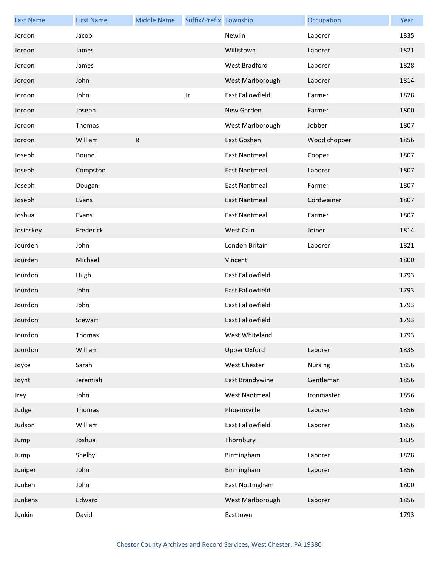| <b>Last Name</b> | <b>First Name</b> | <b>Middle Name</b> | Suffix/Prefix Township |                         | Occupation     | Year |
|------------------|-------------------|--------------------|------------------------|-------------------------|----------------|------|
| Jordon           | Jacob             |                    |                        | Newlin                  | Laborer        | 1835 |
| Jordon           | James             |                    |                        | Willistown              | Laborer        | 1821 |
| Jordon           | James             |                    |                        | <b>West Bradford</b>    | Laborer        | 1828 |
| Jordon           | John              |                    |                        | West Marlborough        | Laborer        | 1814 |
| Jordon           | John              |                    | Jr.                    | <b>East Fallowfield</b> | Farmer         | 1828 |
| Jordon           | Joseph            |                    |                        | New Garden              | Farmer         | 1800 |
| Jordon           | Thomas            |                    |                        | West Marlborough        | Jobber         | 1807 |
| Jordon           | William           | $\mathsf R$        |                        | East Goshen             | Wood chopper   | 1856 |
| Joseph           | Bound             |                    |                        | <b>East Nantmeal</b>    | Cooper         | 1807 |
| Joseph           | Compston          |                    |                        | <b>East Nantmeal</b>    | Laborer        | 1807 |
| Joseph           | Dougan            |                    |                        | <b>East Nantmeal</b>    | Farmer         | 1807 |
| Joseph           | Evans             |                    |                        | <b>East Nantmeal</b>    | Cordwainer     | 1807 |
| Joshua           | Evans             |                    |                        | <b>East Nantmeal</b>    | Farmer         | 1807 |
| Josinskey        | Frederick         |                    |                        | West Caln               | Joiner         | 1814 |
| Jourden          | John              |                    |                        | London Britain          | Laborer        | 1821 |
| Jourden          | Michael           |                    |                        | Vincent                 |                | 1800 |
| Jourdon          | Hugh              |                    |                        | East Fallowfield        |                | 1793 |
| Jourdon          | John              |                    |                        | <b>East Fallowfield</b> |                | 1793 |
| Jourdon          | John              |                    |                        | East Fallowfield        |                | 1793 |
| Jourdon          | Stewart           |                    |                        | East Fallowfield        |                | 1793 |
| Jourdon          | Thomas            |                    |                        | West Whiteland          |                | 1793 |
| Jourdon          | William           |                    |                        | <b>Upper Oxford</b>     | Laborer        | 1835 |
| Joyce            | Sarah             |                    |                        | West Chester            | <b>Nursing</b> | 1856 |
| Joynt            | Jeremiah          |                    |                        | East Brandywine         | Gentleman      | 1856 |
| Jrey             | John              |                    |                        | <b>West Nantmeal</b>    | Ironmaster     | 1856 |
| Judge            | Thomas            |                    |                        | Phoenixville            | Laborer        | 1856 |
| Judson           | William           |                    |                        | East Fallowfield        | Laborer        | 1856 |
| Jump             | Joshua            |                    |                        | Thornbury               |                | 1835 |
| Jump             | Shelby            |                    |                        | Birmingham              | Laborer        | 1828 |
| Juniper          | John              |                    |                        | Birmingham              | Laborer        | 1856 |
| Junken           | John              |                    |                        | East Nottingham         |                | 1800 |
| Junkens          | Edward            |                    |                        | West Marlborough        | Laborer        | 1856 |
| Junkin           | David             |                    |                        | Easttown                |                | 1793 |